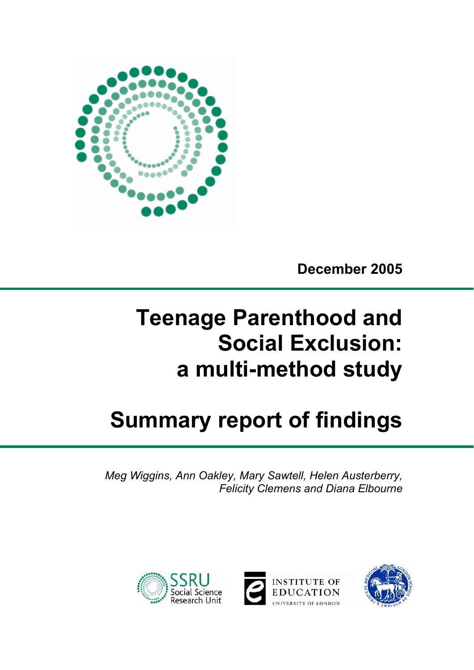

**December 2005** 

# **Teenage Parenthood and Social Exclusion: a multi-method study**

# **Summary report of findings**

*Meg Wiggins, Ann Oakley, Mary Sawtell, Helen Austerberry, Felicity Clemens and Diana Elbourne* 





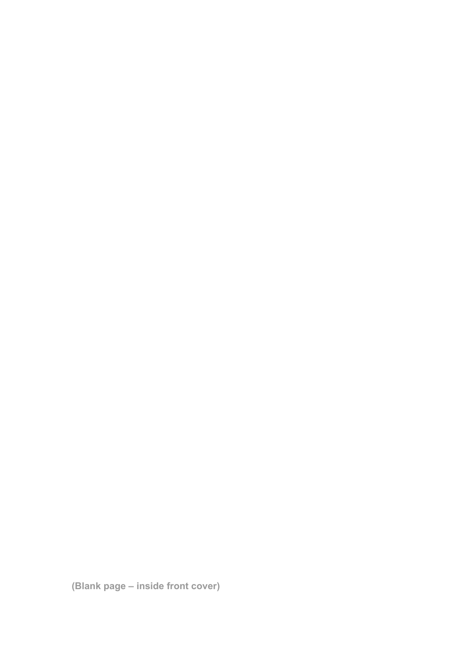**(Blank page – inside front cover)**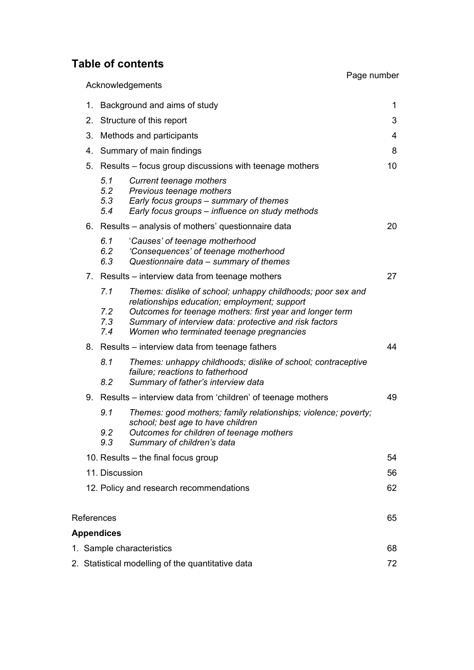# **Table of contents**

Acknowledgements

Page number

|  | 1.                                      | Background and aims of study                                |                                                                                                                                                                                                                                                                               |    |  |  |
|--|-----------------------------------------|-------------------------------------------------------------|-------------------------------------------------------------------------------------------------------------------------------------------------------------------------------------------------------------------------------------------------------------------------------|----|--|--|
|  | Structure of this report<br>2.          |                                                             |                                                                                                                                                                                                                                                                               |    |  |  |
|  | 3.                                      | Methods and participants                                    |                                                                                                                                                                                                                                                                               |    |  |  |
|  | 4.                                      | Summary of main findings                                    |                                                                                                                                                                                                                                                                               |    |  |  |
|  | 5.                                      | Results – focus group discussions with teenage mothers      |                                                                                                                                                                                                                                                                               |    |  |  |
|  |                                         | 5.1<br>5.2<br>5.3<br>5.4                                    | Current teenage mothers<br>Previous teenage mothers<br>Early focus groups - summary of themes<br>Early focus groups - influence on study methods                                                                                                                              |    |  |  |
|  | 6.                                      | Results – analysis of mothers' questionnaire data           |                                                                                                                                                                                                                                                                               |    |  |  |
|  |                                         | 6.1<br>6.2<br>6.3                                           | 'Causes' of teenage motherhood<br>'Consequences' of teenage motherhood<br>Questionnaire data - summary of themes                                                                                                                                                              |    |  |  |
|  | 7.                                      |                                                             | Results – interview data from teenage mothers                                                                                                                                                                                                                                 |    |  |  |
|  |                                         | 7.1<br>7.2<br>7.3<br>7.4                                    | Themes: dislike of school; unhappy childhoods; poor sex and<br>relationships education; employment; support<br>Outcomes for teenage mothers: first year and longer term<br>Summary of interview data: protective and risk factors<br>Women who terminated teenage pregnancies |    |  |  |
|  | 8.                                      | Results – interview data from teenage fathers               |                                                                                                                                                                                                                                                                               |    |  |  |
|  |                                         | 8.1<br>8.2                                                  | Themes: unhappy childhoods; dislike of school; contraceptive<br>failure; reactions to fatherhood<br>Summary of father's interview data                                                                                                                                        |    |  |  |
|  | 9.                                      | Results - interview data from 'children' of teenage mothers |                                                                                                                                                                                                                                                                               | 49 |  |  |
|  |                                         | 9.1<br>9.2<br>9.3                                           | Themes: good mothers; family relationships; violence; poverty;<br>school; best age to have children<br>Outcomes for children of teenage mothers<br>Summary of children's data                                                                                                 |    |  |  |
|  | 10. Results - the final focus group     |                                                             |                                                                                                                                                                                                                                                                               | 54 |  |  |
|  |                                         | 11. Discussion                                              |                                                                                                                                                                                                                                                                               |    |  |  |
|  | 12. Policy and research recommendations |                                                             |                                                                                                                                                                                                                                                                               |    |  |  |
|  |                                         | References                                                  |                                                                                                                                                                                                                                                                               | 65 |  |  |
|  |                                         | <b>Appendices</b>                                           |                                                                                                                                                                                                                                                                               |    |  |  |
|  |                                         |                                                             | 1. Sample characteristics                                                                                                                                                                                                                                                     | 68 |  |  |
|  |                                         | 2. Statistical modelling of the quantitative data<br>72     |                                                                                                                                                                                                                                                                               |    |  |  |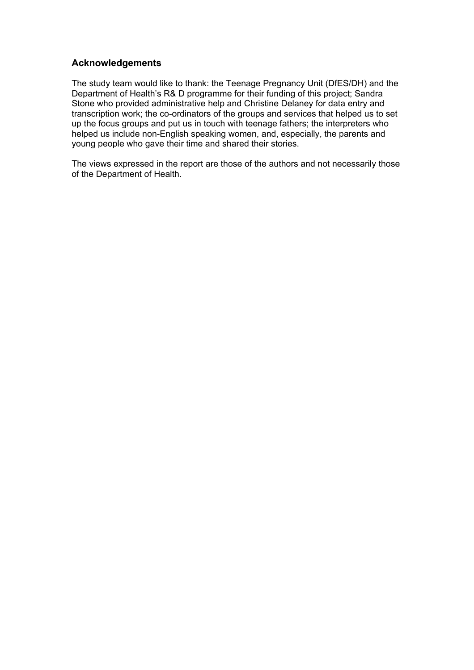## **Acknowledgements**

The study team would like to thank: the Teenage Pregnancy Unit (DfES/DH) and the Department of Health's R& D programme for their funding of this project; Sandra Stone who provided administrative help and Christine Delaney for data entry and transcription work; the co-ordinators of the groups and services that helped us to set up the focus groups and put us in touch with teenage fathers; the interpreters who helped us include non-English speaking women, and, especially, the parents and young people who gave their time and shared their stories.

The views expressed in the report are those of the authors and not necessarily those of the Department of Health.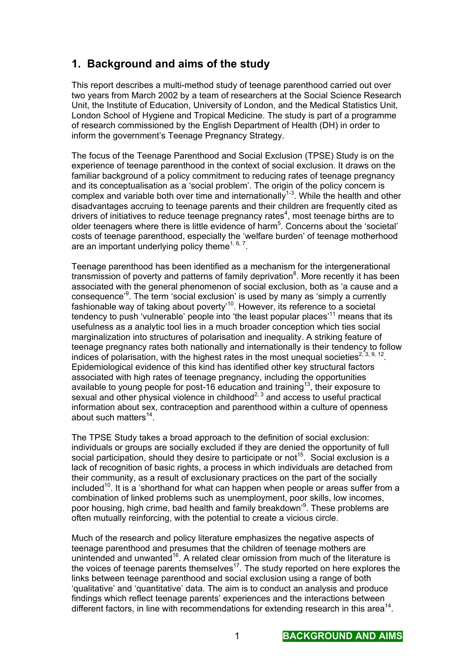# **1. Background and aims of the study**

This report describes a multi-method study of teenage parenthood carried out over two years from March 2002 by a team of researchers at the Social Science Research Unit, the Institute of Education, University of London, and the Medical Statistics Unit, London School of Hygiene and Tropical Medicine. The study is part of a programme of research commissioned by the English Department of Health (DH) in order to inform the government's Teenage Pregnancy Strategy.

The focus of the Teenage Parenthood and Social Exclusion (TPSE) Study is on the experience of teenage parenthood in the context of social exclusion. It draws on the familiar background of a policy commitment to reducing rates of teenage pregnancy and its conceptualisation as a 'social problem'. The origin of the policy concern is complex and variable both over time and internationally<sup>1-3</sup>. While the health and other disadvantages accruing to teenage parents and their children are frequently cited as drivers of initiatives to reduce teenage pregnancy rates $4$ , most teenage births are to older teenagers where there is little evidence of harm<sup>5</sup>. Concerns about the 'societal' costs of teenage parenthood, especially the 'welfare burden' of teenage motherhood are an important underlying policy theme<sup>1,  $6, 7$ </sup>.

Teenage parenthood has been identified as a mechanism for the intergenerational transmission of poverty and patterns of family deprivation<sup>8</sup>. More recently it has been associated with the general phenomenon of social exclusion, both as 'a cause and a consequence'<sup>9</sup> . The term 'social exclusion' is used by many as 'simply a currently fashionable way of taking about poverty<sup>'10</sup>. However, its reference to a societal tendency to push 'vulnerable' people into 'the least popular places'<sup>11</sup> means that its usefulness as a analytic tool lies in a much broader conception which ties social marginalization into structures of polarisation and inequality. A striking feature of teenage pregnancy rates both nationally and internationally is their tendency to follow indices of polarisation, with the highest rates in the most unequal societies<sup>2, 3, 9, 12</sup>. Epidemiological evidence of this kind has identified other key structural factors associated with high rates of teenage pregnancy, including the opportunities available to young people for post-16 education and training<sup>13</sup>, their exposure to sexual and other physical violence in childhood<sup>2, 3</sup> and access to useful practical information about sex, contraception and parenthood within a culture of openness about such matters $^{14}$ .

The TPSE Study takes a broad approach to the definition of social exclusion: individuals or groups are socially excluded if they are denied the opportunity of full social participation, should they desire to participate or not<sup>15</sup>. Social exclusion is a lack of recognition of basic rights, a process in which individuals are detached from their community, as a result of exclusionary practices on the part of the socially  $included<sup>10</sup>$ . It is a 'shorthand for what can happen when people or areas suffer from a combination of linked problems such as unemployment, poor skills, low incomes, poor housing, high crime, bad health and family breakdown<sup>9</sup>. These problems are often mutually reinforcing, with the potential to create a vicious circle.

Much of the research and policy literature emphasizes the negative aspects of teenage parenthood and presumes that the children of teenage mothers are unintended and unwanted<sup>16</sup>. A related clear omission from much of the literature is the voices of teenage parents themselves<sup>17</sup>. The study reported on here explores the links between teenage parenthood and social exclusion using a range of both 'qualitative' and 'quantitative' data. The aim is to conduct an analysis and produce findings which reflect teenage parents' experiences and the interactions between different factors, in line with recommendations for extending research in this area<sup>14</sup>.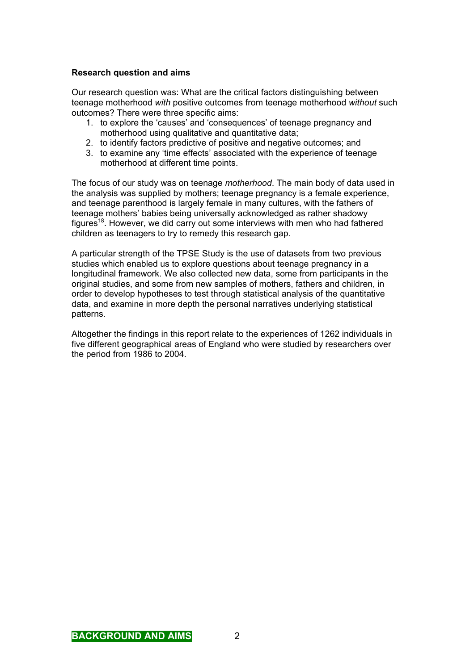## **Research question and aims**

Our research question was: What are the critical factors distinguishing between teenage motherhood *with* positive outcomes from teenage motherhood *without* such outcomes? There were three specific aims:

- 1. to explore the 'causes' and 'consequences' of teenage pregnancy and motherhood using qualitative and quantitative data;
- 2. to identify factors predictive of positive and negative outcomes; and
- 3. to examine any 'time effects' associated with the experience of teenage motherhood at different time points.

The focus of our study was on teenage *motherhood*. The main body of data used in the analysis was supplied by mothers; teenage pregnancy is a female experience, and teenage parenthood is largely female in many cultures, with the fathers of teenage mothers' babies being universally acknowledged as rather shadowy figures<sup>18</sup>. However, we did carry out some interviews with men who had fathered children as teenagers to try to remedy this research gap.

A particular strength of the TPSE Study is the use of datasets from two previous studies which enabled us to explore questions about teenage pregnancy in a longitudinal framework. We also collected new data, some from participants in the original studies, and some from new samples of mothers, fathers and children, in order to develop hypotheses to test through statistical analysis of the quantitative data, and examine in more depth the personal narratives underlying statistical patterns.

Altogether the findings in this report relate to the experiences of 1262 individuals in five different geographical areas of England who were studied by researchers over the period from 1986 to 2004.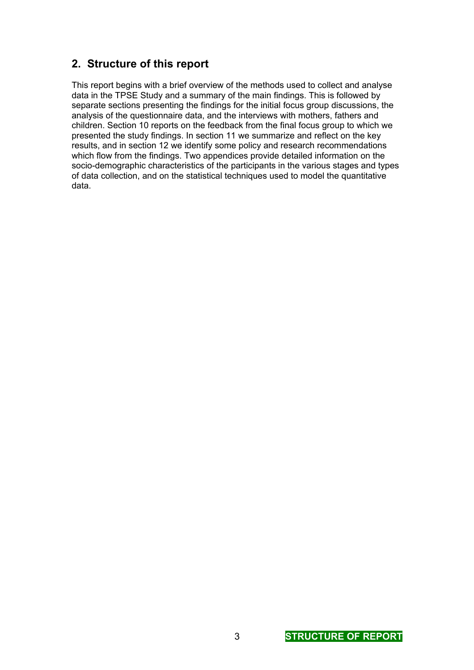# **2. Structure of this report**

This report begins with a brief overview of the methods used to collect and analyse data in the TPSE Study and a summary of the main findings. This is followed by separate sections presenting the findings for the initial focus group discussions, the analysis of the questionnaire data, and the interviews with mothers, fathers and children. Section 10 reports on the feedback from the final focus group to which we presented the study findings. In section 11 we summarize and reflect on the key results, and in section 12 we identify some policy and research recommendations which flow from the findings. Two appendices provide detailed information on the socio-demographic characteristics of the participants in the various stages and types of data collection, and on the statistical techniques used to model the quantitative data.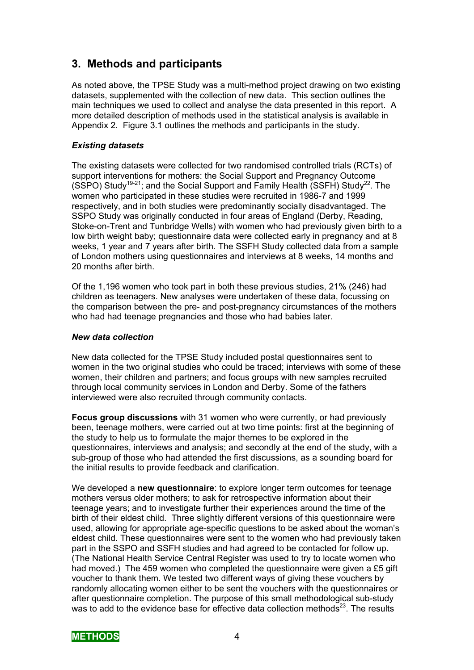# **3. Methods and participants**

As noted above, the TPSE Study was a multi-method project drawing on two existing datasets, supplemented with the collection of new data. This section outlines the main techniques we used to collect and analyse the data presented in this report. A more detailed description of methods used in the statistical analysis is available in Appendix 2. Figure 3.1 outlines the methods and participants in the study.

## *Existing datasets*

The existing datasets were collected for two randomised controlled trials (RCTs) of support interventions for mothers: the Social Support and Pregnancy Outcome (SSPO) Study<sup>19-21</sup>; and the Social Support and Family Health (SSFH) Study<sup>22</sup>. The women who participated in these studies were recruited in 1986-7 and 1999 respectively, and in both studies were predominantly socially disadvantaged. The SSPO Study was originally conducted in four areas of England (Derby, Reading, Stoke-on-Trent and Tunbridge Wells) with women who had previously given birth to a low birth weight baby; questionnaire data were collected early in pregnancy and at 8 weeks, 1 year and 7 years after birth. The SSFH Study collected data from a sample of London mothers using questionnaires and interviews at 8 weeks, 14 months and 20 months after birth.

Of the 1,196 women who took part in both these previous studies, 21% (246) had children as teenagers. New analyses were undertaken of these data, focussing on the comparison between the pre- and post-pregnancy circumstances of the mothers who had had teenage pregnancies and those who had babies later.

## *New data collection*

New data collected for the TPSE Study included postal questionnaires sent to women in the two original studies who could be traced; interviews with some of these women, their children and partners; and focus groups with new samples recruited through local community services in London and Derby. Some of the fathers interviewed were also recruited through community contacts.

**Focus group discussions** with 31 women who were currently, or had previously been, teenage mothers, were carried out at two time points: first at the beginning of the study to help us to formulate the major themes to be explored in the questionnaires, interviews and analysis; and secondly at the end of the study, with a sub-group of those who had attended the first discussions, as a sounding board for the initial results to provide feedback and clarification.

We developed a **new questionnaire**: to explore longer term outcomes for teenage mothers versus older mothers; to ask for retrospective information about their teenage years; and to investigate further their experiences around the time of the birth of their eldest child. Three slightly different versions of this questionnaire were used, allowing for appropriate age-specific questions to be asked about the woman's eldest child. These questionnaires were sent to the women who had previously taken part in the SSPO and SSFH studies and had agreed to be contacted for follow up. (The National Health Service Central Register was used to try to locate women who had moved.) The 459 women who completed the questionnaire were given a £5 gift voucher to thank them. We tested two different ways of giving these vouchers by randomly allocating women either to be sent the vouchers with the questionnaires or after questionnaire completion. The purpose of this small methodological sub-study was to add to the evidence base for effective data collection methods $23$ . The results

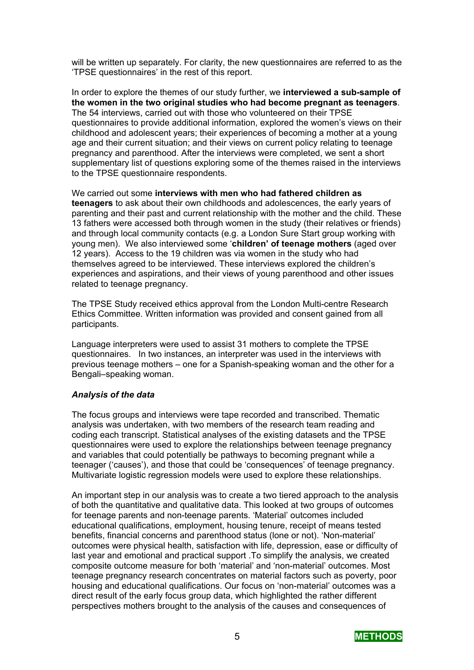will be written up separately. For clarity, the new questionnaires are referred to as the 'TPSE questionnaires' in the rest of this report.

In order to explore the themes of our study further, we **interviewed a sub-sample of the women in the two original studies who had become pregnant as teenagers**. The 54 interviews, carried out with those who volunteered on their TPSE questionnaires to provide additional information, explored the women's views on their childhood and adolescent years; their experiences of becoming a mother at a young age and their current situation; and their views on current policy relating to teenage pregnancy and parenthood. After the interviews were completed, we sent a short supplementary list of questions exploring some of the themes raised in the interviews to the TPSE questionnaire respondents.

We carried out some **interviews with men who had fathered children as teenagers** to ask about their own childhoods and adolescences, the early years of parenting and their past and current relationship with the mother and the child. These 13 fathers were accessed both through women in the study (their relatives or friends) and through local community contacts (e.g. a London Sure Start group working with young men). We also interviewed some '**children' of teenage mothers** (aged over 12 years). Access to the 19 children was via women in the study who had themselves agreed to be interviewed. These interviews explored the children's experiences and aspirations, and their views of young parenthood and other issues related to teenage pregnancy.

The TPSE Study received ethics approval from the London Multi-centre Research Ethics Committee. Written information was provided and consent gained from all participants.

Language interpreters were used to assist 31 mothers to complete the TPSE questionnaires. In two instances, an interpreter was used in the interviews with previous teenage mothers – one for a Spanish-speaking woman and the other for a Bengali–speaking woman.

### *Analysis of the data*

The focus groups and interviews were tape recorded and transcribed. Thematic analysis was undertaken, with two members of the research team reading and coding each transcript. Statistical analyses of the existing datasets and the TPSE questionnaires were used to explore the relationships between teenage pregnancy and variables that could potentially be pathways to becoming pregnant while a teenager ('causes'), and those that could be 'consequences' of teenage pregnancy. Multivariate logistic regression models were used to explore these relationships.

An important step in our analysis was to create a two tiered approach to the analysis of both the quantitative and qualitative data. This looked at two groups of outcomes for teenage parents and non-teenage parents. 'Material' outcomes included educational qualifications, employment, housing tenure, receipt of means tested benefits, financial concerns and parenthood status (lone or not). 'Non-material' outcomes were physical health, satisfaction with life, depression, ease or difficulty of last year and emotional and practical support .To simplify the analysis, we created composite outcome measure for both 'material' and 'non-material' outcomes. Most teenage pregnancy research concentrates on material factors such as poverty, poor housing and educational qualifications. Our focus on 'non-material' outcomes was a direct result of the early focus group data, which highlighted the rather different perspectives mothers brought to the analysis of the causes and consequences of

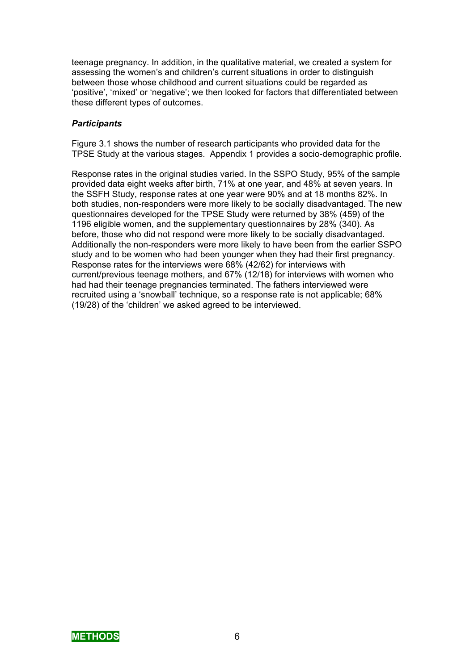teenage pregnancy. In addition, in the qualitative material, we created a system for assessing the women's and children's current situations in order to distinguish between those whose childhood and current situations could be regarded as 'positive', 'mixed' or 'negative'; we then looked for factors that differentiated between these different types of outcomes.

## *Participants*

Figure 3.1 shows the number of research participants who provided data for the TPSE Study at the various stages. Appendix 1 provides a socio-demographic profile.

Response rates in the original studies varied. In the SSPO Study, 95% of the sample provided data eight weeks after birth, 71% at one year, and 48% at seven years. In the SSFH Study, response rates at one year were 90% and at 18 months 82%. In both studies, non-responders were more likely to be socially disadvantaged. The new questionnaires developed for the TPSE Study were returned by 38% (459) of the 1196 eligible women, and the supplementary questionnaires by 28% (340). As before, those who did not respond were more likely to be socially disadvantaged. Additionally the non-responders were more likely to have been from the earlier SSPO study and to be women who had been younger when they had their first pregnancy. Response rates for the interviews were 68% (42/62) for interviews with current/previous teenage mothers, and 67% (12/18) for interviews with women who had had their teenage pregnancies terminated. The fathers interviewed were recruited using a 'snowball' technique, so a response rate is not applicable; 68% (19/28) of the 'children' we asked agreed to be interviewed.

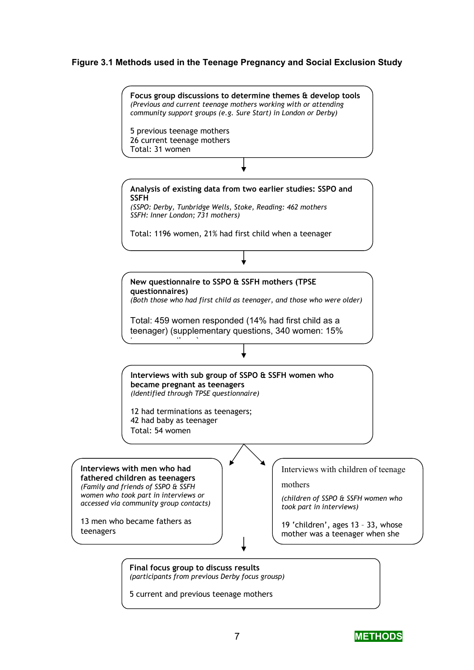## **Figure 3.1 Methods used in the Teenage Pregnancy and Social Exclusion Study**



*(participants from previous Derby focus grousp)* 

5 current and previous teenage mothers

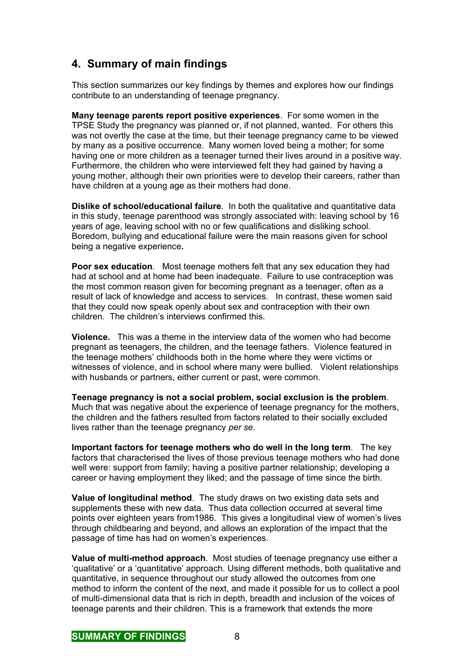## **4. Summary of main findings**

This section summarizes our key findings by themes and explores how our findings contribute to an understanding of teenage pregnancy.

**Many teenage parents report positive experiences**. For some women in the TPSE Study the pregnancy was planned or, if not planned, wanted. For others this was not overtly the case at the time, but their teenage pregnancy came to be viewed by many as a positive occurrence. Many women loved being a mother; for some having one or more children as a teenager turned their lives around in a positive way. Furthermore, the children who were interviewed felt they had gained by having a young mother, although their own priorities were to develop their careers, rather than have children at a young age as their mothers had done.

**Dislike of school/educational failure**. In both the qualitative and quantitative data in this study, teenage parenthood was strongly associated with: leaving school by 16 years of age, leaving school with no or few qualifications and disliking school. Boredom, bullying and educational failure were the main reasons given for school being a negative experience**.**

**Poor sex education.** Most teenage mothers felt that any sex education they had had at school and at home had been inadequate. Failure to use contraception was the most common reason given for becoming pregnant as a teenager, often as a result of lack of knowledge and access to services. In contrast, these women said that they could now speak openly about sex and contraception with their own children. The children's interviews confirmed this.

**Violence.** This was a theme in the interview data of the women who had become pregnant as teenagers, the children, and the teenage fathers. Violence featured in the teenage mothers' childhoods both in the home where they were victims or witnesses of violence, and in school where many were bullied. Violent relationships with husbands or partners, either current or past, were common.

**Teenage pregnancy is not a social problem, social exclusion is the problem**. Much that was negative about the experience of teenage pregnancy for the mothers, the children and the fathers resulted from factors related to their socially excluded lives rather than the teenage pregnancy *per se*.

**Important factors for teenage mothers who do well in the long term**. The key factors that characterised the lives of those previous teenage mothers who had done well were: support from family; having a positive partner relationship; developing a career or having employment they liked; and the passage of time since the birth.

**Value of longitudinal method**. The study draws on two existing data sets and supplements these with new data. Thus data collection occurred at several time points over eighteen years from1986. This gives a longitudinal view of women's lives through childbearing and beyond, and allows an exploration of the impact that the passage of time has had on women's experiences.

**Value of multi-method approach**. Most studies of teenage pregnancy use either a 'qualitative' or a 'quantitative' approach. Using different methods, both qualitative and quantitative, in sequence throughout our study allowed the outcomes from one method to inform the content of the next, and made it possible for us to collect a pool of multi-dimensional data that is rich in depth, breadth and inclusion of the voices of teenage parents and their children. This is a framework that extends the more

**SUMMARY OF FINDINGS** 8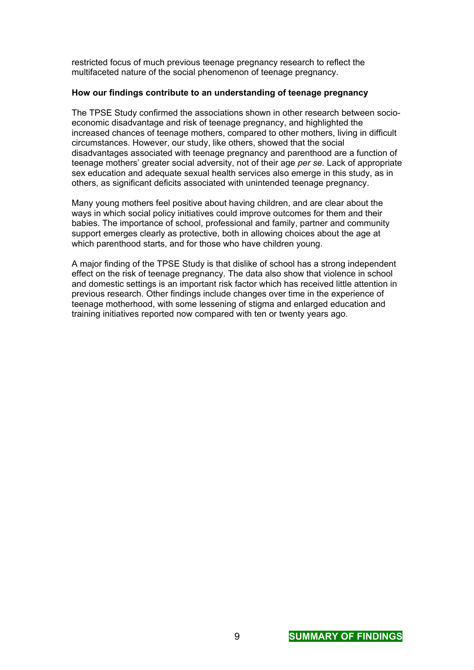restricted focus of much previous teenage pregnancy research to reflect the multifaceted nature of the social phenomenon of teenage pregnancy.

## **How our findings contribute to an understanding of teenage pregnancy**

The TPSE Study confirmed the associations shown in other research between socioeconomic disadvantage and risk of teenage pregnancy, and highlighted the increased chances of teenage mothers, compared to other mothers, living in difficult circumstances. However, our study, like others, showed that the social disadvantages associated with teenage pregnancy and parenthood are a function of teenage mothers' greater social adversity, not of their age *per se*. Lack of appropriate sex education and adequate sexual health services also emerge in this study, as in others, as significant deficits associated with unintended teenage pregnancy.

Many young mothers feel positive about having children, and are clear about the ways in which social policy initiatives could improve outcomes for them and their babies. The importance of school, professional and family, partner and community support emerges clearly as protective, both in allowing choices about the age at which parenthood starts, and for those who have children young.

A major finding of the TPSE Study is that dislike of school has a strong independent effect on the risk of teenage pregnancy. The data also show that violence in school and domestic settings is an important risk factor which has received little attention in previous research. Other findings include changes over time in the experience of teenage motherhood, with some lessening of stigma and enlarged education and training initiatives reported now compared with ten or twenty years ago.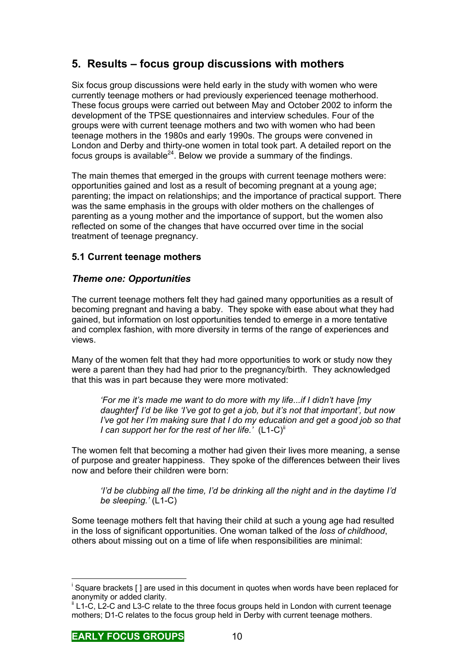## **5. Results – focus group discussions with mothers**

Six focus group discussions were held early in the study with women who were currently teenage mothers or had previously experienced teenage motherhood. These focus groups were carried out between May and October 2002 to inform the development of the TPSE questionnaires and interview schedules. Four of the groups were with current teenage mothers and two with women who had been teenage mothers in the 1980s and early 1990s. The groups were convened in London and Derby and thirty-one women in total took part. A detailed report on the focus groups is available<sup>24</sup>. Below we provide a summary of the findings.

The main themes that emerged in the groups with current teenage mothers were: opportunities gained and lost as a result of becoming pregnant at a young age; parenting; the impact on relationships; and the importance of practical support. There was the same emphasis in the groups with older mothers on the challenges of parenting as a young mother and the importance of support, but the women also reflected on some of the changes that have occurred over time in the social treatment of teenage pregnancy.

## **5.1 Current teenage mothers**

## *Theme one: Opportunities*

The current teenage mothers felt they had gained many opportunities as a result of becoming pregnant and having a baby. They spoke with ease about what they had gained, but information on lost opportunities tended to emerge in a more tentative and complex fashion, with more diversity in terms of the range of experiences and views.

Many of the women felt that they had more opportunities to work or study now they were a parent than they had had prior to the pregnancy/birth. They acknowledged that this was in part because they were more motivated:

*'For me it's made me want to do more with my life...if I didn't have [my daughter]<sup>i</sup> I'd be like 'I've got to get a job, but it's not that important', but now I've got her I'm making sure that I do my education and get a good job so that I* can support her for the rest of her life.' (L1-C)<sup>ii</sup>

The women felt that becoming a mother had given their lives more meaning, a sense of purpose and greater happiness. They spoke of the differences between their lives now and before their children were born:

*'I'd be clubbing all the time, I'd be drinking all the night and in the daytime I'd be sleeping.'* (L1-C)

Some teenage mothers felt that having their child at such a young age had resulted in the loss of significant opportunities. One woman talked of the *loss of childhood*, others about missing out on a time of life when responsibilities are minimal:

**EARLY FOCUS GROUPS** 10

 $\overline{a}$ 

i Square brackets [ ] are used in this document in quotes when words have been replaced for anonymity or added clarity.

L1-C, L2-C and L3-C relate to the three focus groups held in London with current teenage mothers; D1-C relates to the focus group held in Derby with current teenage mothers.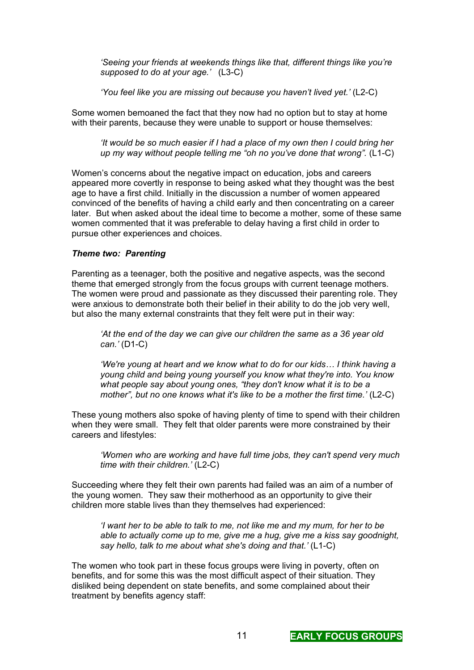*'Seeing your friends at weekends things like that, different things like you're supposed to do at your age.'* (L3-C)

*'You feel like you are missing out because you haven't lived yet.'* (L2-C)

Some women bemoaned the fact that they now had no option but to stay at home with their parents, because they were unable to support or house themselves:

*'It would be so much easier if I had a place of my own then I could bring her up my way without people telling me "oh no you've done that wrong".* (L1-C)

Women's concerns about the negative impact on education, jobs and careers appeared more covertly in response to being asked what they thought was the best age to have a first child. Initially in the discussion a number of women appeared convinced of the benefits of having a child early and then concentrating on a career later. But when asked about the ideal time to become a mother, some of these same women commented that it was preferable to delay having a first child in order to pursue other experiences and choices.

## *Theme two: Parenting*

Parenting as a teenager, both the positive and negative aspects, was the second theme that emerged strongly from the focus groups with current teenage mothers. The women were proud and passionate as they discussed their parenting role. They were anxious to demonstrate both their belief in their ability to do the job very well, but also the many external constraints that they felt were put in their way:

*'At the end of the day we can give our children the same as a 36 year old can.'* (D1-C)

*'We're young at heart and we know what to do for our kids… I think having a young child and being young yourself you know what they're into. You know what people say about young ones, "they don't know what it is to be a mother", but no one knows what it's like to be a mother the first time.'* (L2-C)

These young mothers also spoke of having plenty of time to spend with their children when they were small. They felt that older parents were more constrained by their careers and lifestyles:

*'Women who are working and have full time jobs, they can't spend very much time with their children.'* (L2-C)

Succeeding where they felt their own parents had failed was an aim of a number of the young women. They saw their motherhood as an opportunity to give their children more stable lives than they themselves had experienced:

*'I want her to be able to talk to me, not like me and my mum, for her to be able to actually come up to me, give me a hug, give me a kiss say goodnight, say hello, talk to me about what she's doing and that.'* (L1-C)

The women who took part in these focus groups were living in poverty, often on benefits, and for some this was the most difficult aspect of their situation. They disliked being dependent on state benefits, and some complained about their treatment by benefits agency staff: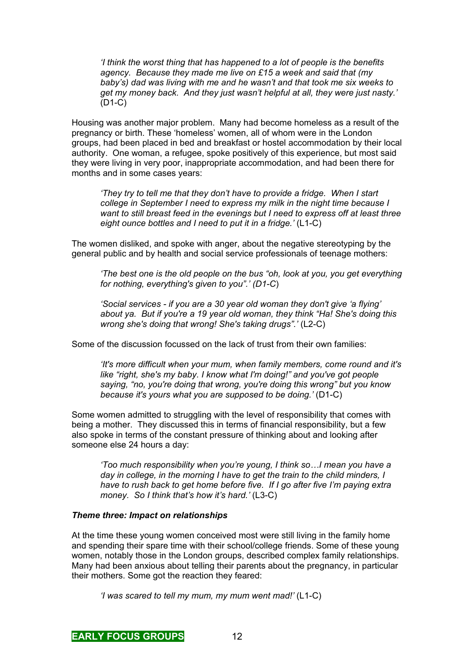*'I think the worst thing that has happened to a lot of people is the benefits agency. Because they made me live on £15 a week and said that (my baby's) dad was living with me and he wasn't and that took me six weeks to get my money back. And they just wasn't helpful at all, they were just nasty.'*  (D1-C)

Housing was another major problem. Many had become homeless as a result of the pregnancy or birth. These 'homeless' women, all of whom were in the London groups, had been placed in bed and breakfast or hostel accommodation by their local authority. One woman, a refugee, spoke positively of this experience, but most said they were living in very poor, inappropriate accommodation, and had been there for months and in some cases years:

*'They try to tell me that they don't have to provide a fridge. When I start college in September I need to express my milk in the night time because I want to still breast feed in the evenings but I need to express off at least three eight ounce bottles and I need to put it in a fridge.'* (L1-C)

The women disliked, and spoke with anger, about the negative stereotyping by the general public and by health and social service professionals of teenage mothers:

*'The best one is the old people on the bus "oh, look at you, you get everything for nothing, everything's given to you".' (D1-C*)

*'Social services - if you are a 30 year old woman they don't give 'a flying' about ya. But if you're a 19 year old woman, they think "Ha! She's doing this wrong she's doing that wrong! She's taking drugs".'* (L2-C)

Some of the discussion focussed on the lack of trust from their own families:

*'It's more difficult when your mum, when family members, come round and it's like "right, she's my baby. I know what I'm doing!" and you've got people saying, "no, you're doing that wrong, you're doing this wrong" but you know because it's yours what you are supposed to be doing.'* (D1-C)

Some women admitted to struggling with the level of responsibility that comes with being a mother. They discussed this in terms of financial responsibility, but a few also spoke in terms of the constant pressure of thinking about and looking after someone else 24 hours a day:

*'Too much responsibility when you're young, I think so…I mean you have a day in college, in the morning I have to get the train to the child minders, I have to rush back to get home before five. If I go after five I'm paying extra money. So I think that's how it's hard.'* (L3-C)

### *Theme three: Impact on relationships*

At the time these young women conceived most were still living in the family home and spending their spare time with their school/college friends. Some of these young women, notably those in the London groups, described complex family relationships. Many had been anxious about telling their parents about the pregnancy, in particular their mothers. Some got the reaction they feared:

*'I was scared to tell my mum, my mum went mad!'* (L1-C)

**EARLY FOCUS GROUPS** 12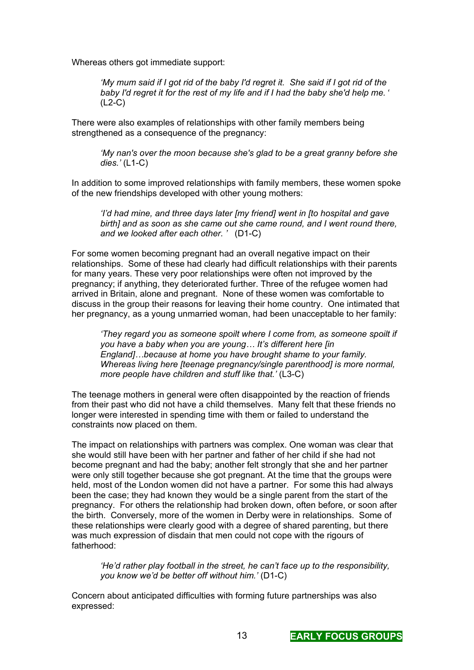Whereas others got immediate support:

*'My mum said if I got rid of the baby I'd regret it. She said if I got rid of the baby I'd regret it for the rest of my life and if I had the baby she'd help me. '*  (L2-C)

There were also examples of relationships with other family members being strengthened as a consequence of the pregnancy:

*'My nan's over the moon because she's glad to be a great granny before she dies.'* (L1-C)

In addition to some improved relationships with family members, these women spoke of the new friendships developed with other young mothers:

*'I'd had mine, and three days later [my friend] went in [to hospital and gave birth] and as soon as she came out she came round, and I went round there, and we looked after each other. '* (D1-C)

For some women becoming pregnant had an overall negative impact on their relationships. Some of these had clearly had difficult relationships with their parents for many years. These very poor relationships were often not improved by the pregnancy; if anything, they deteriorated further. Three of the refugee women had arrived in Britain, alone and pregnant. None of these women was comfortable to discuss in the group their reasons for leaving their home country. One intimated that her pregnancy, as a young unmarried woman, had been unacceptable to her family:

*'They regard you as someone spoilt where I come from, as someone spoilt if you have a baby when you are young… It's different here [in England]…because at home you have brought shame to your family. Whereas living here [teenage pregnancy/single parenthood] is more normal, more people have children and stuff like that.'* (L3-C)

The teenage mothers in general were often disappointed by the reaction of friends from their past who did not have a child themselves. Many felt that these friends no longer were interested in spending time with them or failed to understand the constraints now placed on them.

The impact on relationships with partners was complex. One woman was clear that she would still have been with her partner and father of her child if she had not become pregnant and had the baby; another felt strongly that she and her partner were only still together because she got pregnant. At the time that the groups were held, most of the London women did not have a partner. For some this had always been the case; they had known they would be a single parent from the start of the pregnancy. For others the relationship had broken down, often before, or soon after the birth. Conversely, more of the women in Derby were in relationships. Some of these relationships were clearly good with a degree of shared parenting, but there was much expression of disdain that men could not cope with the rigours of fatherhood:

*'He'd rather play football in the street, he can't face up to the responsibility, you know we'd be better off without him.'* (D1-C)

Concern about anticipated difficulties with forming future partnerships was also expressed:

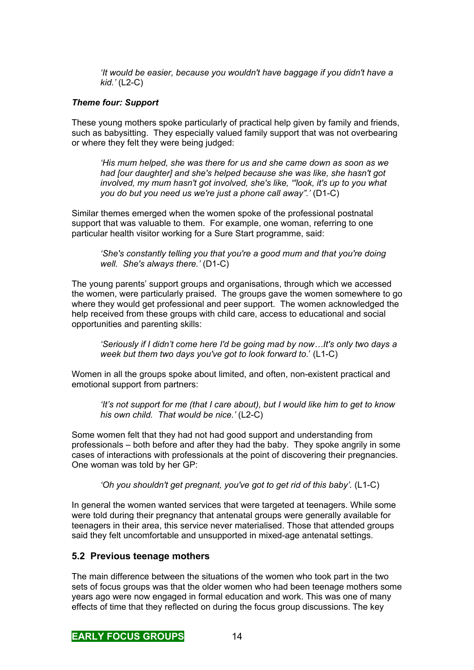*'It would be easier, because you wouldn't have baggage if you didn't have a kid.'* (L2-C)

#### *Theme four: Support*

These young mothers spoke particularly of practical help given by family and friends, such as babysitting. They especially valued family support that was not overbearing or where they felt they were being judged:

*'His mum helped, she was there for us and she came down as soon as we had [our daughter] and she's helped because she was like, she hasn't got involved, my mum hasn't got involved, she's like, "'look, it's up to you what you do but you need us we're just a phone call away".'* (D1-C)

Similar themes emerged when the women spoke of the professional postnatal support that was valuable to them. For example, one woman, referring to one particular health visitor working for a Sure Start programme, said:

*'She's constantly telling you that you're a good mum and that you're doing well. She's always there.'* (D1-C)

The young parents' support groups and organisations, through which we accessed the women, were particularly praised. The groups gave the women somewhere to go where they would get professional and peer support. The women acknowledged the help received from these groups with child care, access to educational and social opportunities and parenting skills:

*'Seriously if I didn't come here I'd be going mad by now…It's only two days a week but them two days you've got to look forward to.*' (L1-C)

Women in all the groups spoke about limited, and often, non-existent practical and emotional support from partners:

*'It's not support for me (that I care about), but I would like him to get to know his own child. That would be nice.'* (L2-C)

Some women felt that they had not had good support and understanding from professionals – both before and after they had the baby. They spoke angrily in some cases of interactions with professionals at the point of discovering their pregnancies. One woman was told by her GP:

*'Oh you shouldn't get pregnant, you've got to get rid of this baby'.* (L1-C)

In general the women wanted services that were targeted at teenagers. While some were told during their pregnancy that antenatal groups were generally available for teenagers in their area, this service never materialised. Those that attended groups said they felt uncomfortable and unsupported in mixed-age antenatal settings.

## **5.2 Previous teenage mothers**

The main difference between the situations of the women who took part in the two sets of focus groups was that the older women who had been teenage mothers some years ago were now engaged in formal education and work. This was one of many effects of time that they reflected on during the focus group discussions. The key

**EARLY FOCUS GROUPS** 14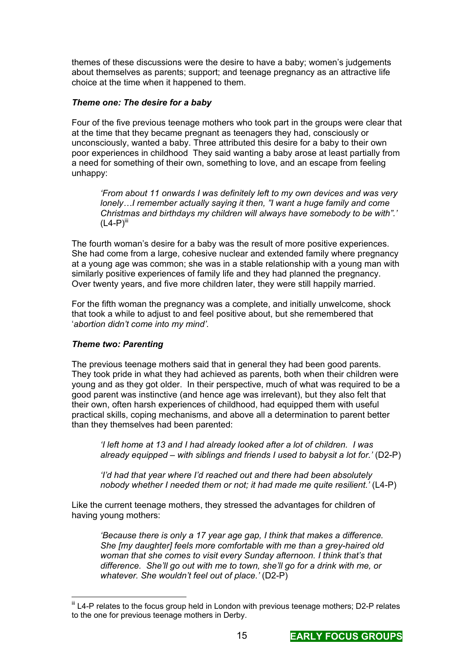themes of these discussions were the desire to have a baby; women's judgements about themselves as parents; support; and teenage pregnancy as an attractive life choice at the time when it happened to them.

## *Theme one: The desire for a baby*

Four of the five previous teenage mothers who took part in the groups were clear that at the time that they became pregnant as teenagers they had, consciously or unconsciously, wanted a baby. Three attributed this desire for a baby to their own poor experiences in childhood They said wanting a baby arose at least partially from a need for something of their own, something to love, and an escape from feeling unhappy:

*'From about 11 onwards I was definitely left to my own devices and was very lonely…I remember actually saying it then, "I want a huge family and come Christmas and birthdays my children will always have somebody to be with".'*   $(L4-P)^{iii}$ 

The fourth woman's desire for a baby was the result of more positive experiences. She had come from a large, cohesive nuclear and extended family where pregnancy at a young age was common; she was in a stable relationship with a young man with similarly positive experiences of family life and they had planned the pregnancy. Over twenty years, and five more children later, they were still happily married.

For the fifth woman the pregnancy was a complete, and initially unwelcome, shock that took a while to adjust to and feel positive about, but she remembered that '*abortion didn't come into my mind'.* 

## *Theme two: Parenting*

 $\overline{a}$ 

The previous teenage mothers said that in general they had been good parents. They took pride in what they had achieved as parents, both when their children were young and as they got older. In their perspective, much of what was required to be a good parent was instinctive (and hence age was irrelevant), but they also felt that their own, often harsh experiences of childhood, had equipped them with useful practical skills, coping mechanisms, and above all a determination to parent better than they themselves had been parented:

*'I left home at 13 and I had already looked after a lot of children. I was already equipped – with siblings and friends I used to babysit a lot for.'* (D2-P)

*'I'd had that year where I'd reached out and there had been absolutely nobody whether I needed them or not; it had made me quite resilient.'* (L4-P)

Like the current teenage mothers, they stressed the advantages for children of having young mothers:

*'Because there is only a 17 year age gap, I think that makes a difference. She [my daughter] feels more comfortable with me than a grey-haired old woman that she comes to visit every Sunday afternoon. I think that's that difference. She'll go out with me to town, she'll go for a drink with me, or whatever. She wouldn't feel out of place.'* (D2-P)

III L4-P relates to the focus group held in London with previous teenage mothers; D2-P relates to the one for previous teenage mothers in Derby.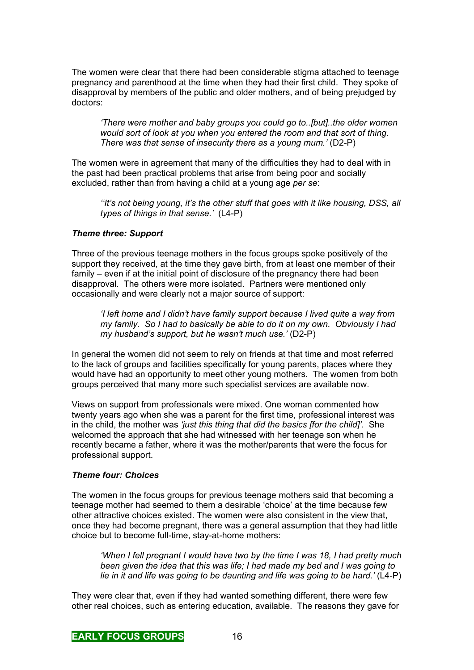The women were clear that there had been considerable stigma attached to teenage pregnancy and parenthood at the time when they had their first child. They spoke of disapproval by members of the public and older mothers, and of being prejudged by doctors:

*'There were mother and baby groups you could go to..[but]..the older women would sort of look at you when you entered the room and that sort of thing. There was that sense of insecurity there as a young mum.'* (D2-P)

The women were in agreement that many of the difficulties they had to deal with in the past had been practical problems that arise from being poor and socially excluded, rather than from having a child at a young age *per se*:

*''It's not being young, it's the other stuff that goes with it like housing, DSS, all types of things in that sense.'* (L4-P)

### *Theme three: Support*

Three of the previous teenage mothers in the focus groups spoke positively of the support they received, at the time they gave birth, from at least one member of their family – even if at the initial point of disclosure of the pregnancy there had been disapproval. The others were more isolated. Partners were mentioned only occasionally and were clearly not a major source of support:

*'I left home and I didn't have family support because I lived quite a way from my family. So I had to basically be able to do it on my own. Obviously I had my husband's support, but he wasn't much use.'* (D2-P)

In general the women did not seem to rely on friends at that time and most referred to the lack of groups and facilities specifically for young parents, places where they would have had an opportunity to meet other young mothers. The women from both groups perceived that many more such specialist services are available now.

Views on support from professionals were mixed. One woman commented how twenty years ago when she was a parent for the first time, professional interest was in the child, the mother was *'just this thing that did the basics [for the child]'.* She welcomed the approach that she had witnessed with her teenage son when he recently became a father, where it was the mother/parents that were the focus for professional support.

## *Theme four: Choices*

The women in the focus groups for previous teenage mothers said that becoming a teenage mother had seemed to them a desirable 'choice' at the time because few other attractive choices existed. The women were also consistent in the view that, once they had become pregnant, there was a general assumption that they had little choice but to become full-time, stay-at-home mothers:

*'When I fell pregnant I would have two by the time I was 18, I had pretty much been given the idea that this was life; I had made my bed and I was going to lie in it and life was going to be daunting and life was going to be hard.'* (L4-P)

They were clear that, even if they had wanted something different, there were few other real choices, such as entering education, available. The reasons they gave for

## **EARLY FOCUS GROUPS** 16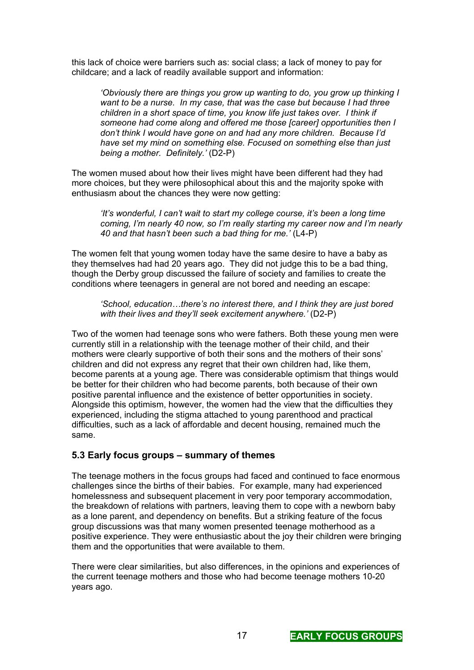this lack of choice were barriers such as: social class; a lack of money to pay for childcare; and a lack of readily available support and information:

*'Obviously there are things you grow up wanting to do, you grow up thinking I want to be a nurse. In my case, that was the case but because I had three children in a short space of time, you know life just takes over. I think if someone had come along and offered me those [career] opportunities then I don't think I would have gone on and had any more children. Because I'd have set my mind on something else. Focused on something else than just being a mother. Definitely.'* (D2-P)

The women mused about how their lives might have been different had they had more choices, but they were philosophical about this and the majority spoke with enthusiasm about the chances they were now getting:

*'It's wonderful, I can't wait to start my college course, it's been a long time coming, I'm nearly 40 now, so I'm really starting my career now and I'm nearly 40 and that hasn't been such a bad thing for me.'* (L4-P)

The women felt that young women today have the same desire to have a baby as they themselves had had 20 years ago. They did not judge this to be a bad thing, though the Derby group discussed the failure of society and families to create the conditions where teenagers in general are not bored and needing an escape:

*'School, education…there's no interest there, and I think they are just bored with their lives and they'll seek excitement anywhere.'* (D2-P)

Two of the women had teenage sons who were fathers. Both these young men were currently still in a relationship with the teenage mother of their child, and their mothers were clearly supportive of both their sons and the mothers of their sons' children and did not express any regret that their own children had, like them, become parents at a young age. There was considerable optimism that things would be better for their children who had become parents, both because of their own positive parental influence and the existence of better opportunities in society. Alongside this optimism, however, the women had the view that the difficulties they experienced, including the stigma attached to young parenthood and practical difficulties, such as a lack of affordable and decent housing, remained much the same.

## **5.3 Early focus groups – summary of themes**

The teenage mothers in the focus groups had faced and continued to face enormous challenges since the births of their babies. For example, many had experienced homelessness and subsequent placement in very poor temporary accommodation, the breakdown of relations with partners, leaving them to cope with a newborn baby as a lone parent, and dependency on benefits. But a striking feature of the focus group discussions was that many women presented teenage motherhood as a positive experience. They were enthusiastic about the joy their children were bringing them and the opportunities that were available to them.

There were clear similarities, but also differences, in the opinions and experiences of the current teenage mothers and those who had become teenage mothers 10-20 years ago.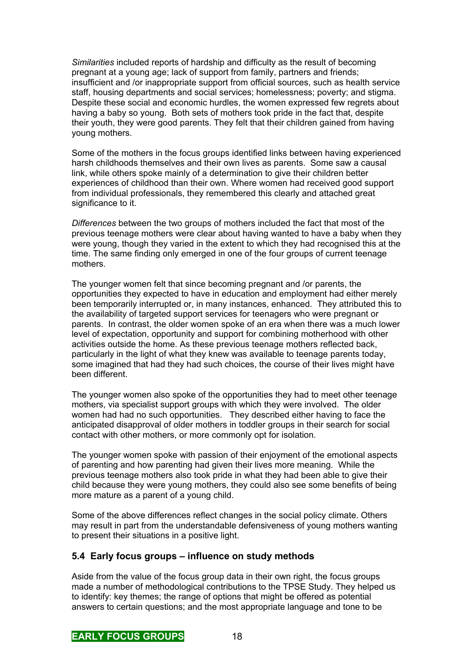*Similarities* included reports of hardship and difficulty as the result of becoming pregnant at a young age; lack of support from family, partners and friends; insufficient and /or inappropriate support from official sources, such as health service staff, housing departments and social services; homelessness; poverty; and stigma. Despite these social and economic hurdles, the women expressed few regrets about having a baby so young. Both sets of mothers took pride in the fact that, despite their youth, they were good parents. They felt that their children gained from having young mothers.

Some of the mothers in the focus groups identified links between having experienced harsh childhoods themselves and their own lives as parents. Some saw a causal link, while others spoke mainly of a determination to give their children better experiences of childhood than their own. Where women had received good support from individual professionals, they remembered this clearly and attached great significance to it.

*Differences* between the two groups of mothers included the fact that most of the previous teenage mothers were clear about having wanted to have a baby when they were young, though they varied in the extent to which they had recognised this at the time. The same finding only emerged in one of the four groups of current teenage mothers.

The younger women felt that since becoming pregnant and /or parents, the opportunities they expected to have in education and employment had either merely been temporarily interrupted or, in many instances, enhanced. They attributed this to the availability of targeted support services for teenagers who were pregnant or parents. In contrast, the older women spoke of an era when there was a much lower level of expectation, opportunity and support for combining motherhood with other activities outside the home. As these previous teenage mothers reflected back, particularly in the light of what they knew was available to teenage parents today, some imagined that had they had such choices, the course of their lives might have been different.

The younger women also spoke of the opportunities they had to meet other teenage mothers, via specialist support groups with which they were involved. The older women had had no such opportunities. They described either having to face the anticipated disapproval of older mothers in toddler groups in their search for social contact with other mothers, or more commonly opt for isolation.

The younger women spoke with passion of their enjoyment of the emotional aspects of parenting and how parenting had given their lives more meaning. While the previous teenage mothers also took pride in what they had been able to give their child because they were young mothers, they could also see some benefits of being more mature as a parent of a young child.

Some of the above differences reflect changes in the social policy climate. Others may result in part from the understandable defensiveness of young mothers wanting to present their situations in a positive light.

## **5.4 Early focus groups – influence on study methods**

Aside from the value of the focus group data in their own right, the focus groups made a number of methodological contributions to the TPSE Study. They helped us to identify: key themes; the range of options that might be offered as potential answers to certain questions; and the most appropriate language and tone to be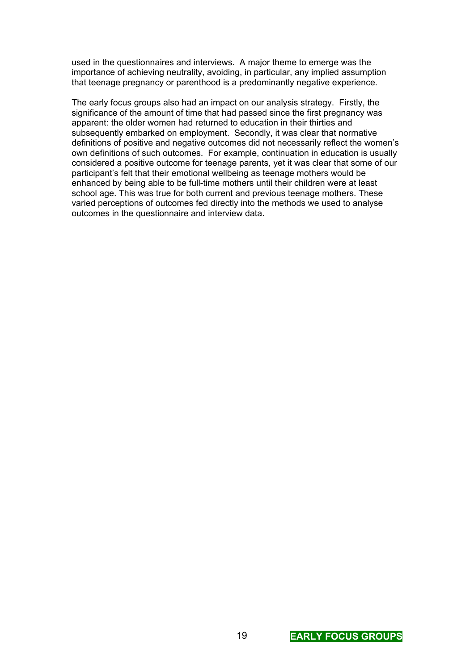used in the questionnaires and interviews. A major theme to emerge was the importance of achieving neutrality, avoiding, in particular, any implied assumption that teenage pregnancy or parenthood is a predominantly negative experience.

The early focus groups also had an impact on our analysis strategy. Firstly, the significance of the amount of time that had passed since the first pregnancy was apparent: the older women had returned to education in their thirties and subsequently embarked on employment. Secondly, it was clear that normative definitions of positive and negative outcomes did not necessarily reflect the women's own definitions of such outcomes. For example, continuation in education is usually considered a positive outcome for teenage parents, yet it was clear that some of our participant's felt that their emotional wellbeing as teenage mothers would be enhanced by being able to be full-time mothers until their children were at least school age. This was true for both current and previous teenage mothers. These varied perceptions of outcomes fed directly into the methods we used to analyse outcomes in the questionnaire and interview data.

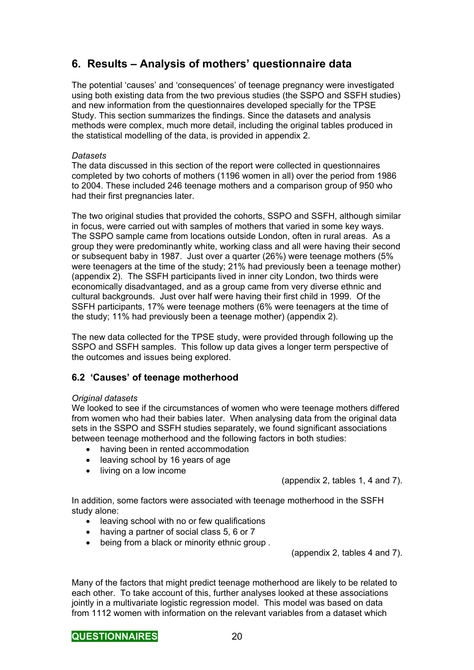# **6. Results – Analysis of mothers' questionnaire data**

The potential 'causes' and 'consequences' of teenage pregnancy were investigated using both existing data from the two previous studies (the SSPO and SSFH studies) and new information from the questionnaires developed specially for the TPSE Study. This section summarizes the findings. Since the datasets and analysis methods were complex, much more detail, including the original tables produced in the statistical modelling of the data, is provided in appendix 2.

## *Datasets*

The data discussed in this section of the report were collected in questionnaires completed by two cohorts of mothers (1196 women in all) over the period from 1986 to 2004. These included 246 teenage mothers and a comparison group of 950 who had their first pregnancies later.

The two original studies that provided the cohorts, SSPO and SSFH, although similar in focus, were carried out with samples of mothers that varied in some key ways. The SSPO sample came from locations outside London, often in rural areas. As a group they were predominantly white, working class and all were having their second or subsequent baby in 1987. Just over a quarter (26%) were teenage mothers (5% were teenagers at the time of the study; 21% had previously been a teenage mother) (appendix 2). The SSFH participants lived in inner city London, two thirds were economically disadvantaged, and as a group came from very diverse ethnic and cultural backgrounds. Just over half were having their first child in 1999. Of the SSFH participants, 17% were teenage mothers (6% were teenagers at the time of the study; 11% had previously been a teenage mother) (appendix 2).

The new data collected for the TPSE study, were provided through following up the SSPO and SSFH samples. This follow up data gives a longer term perspective of the outcomes and issues being explored.

## **6.2 'Causes' of teenage motherhood**

## *Original datasets*

We looked to see if the circumstances of women who were teenage mothers differed from women who had their babies later. When analysing data from the original data sets in the SSPO and SSFH studies separately, we found significant associations between teenage motherhood and the following factors in both studies:

- having been in rented accommodation
- leaving school by 16 years of age
- living on a low income

(appendix 2, tables 1, 4 and 7).

In addition, some factors were associated with teenage motherhood in the SSFH study alone:

- leaving school with no or few qualifications
- having a partner of social class 5, 6 or 7
- being from a black or minority ethnic group *.*

(appendix 2, tables 4 and 7).

Many of the factors that might predict teenage motherhood are likely to be related to each other. To take account of this, further analyses looked at these associations jointly in a multivariate logistic regression model. This model was based on data from 1112 women with information on the relevant variables from a dataset which

## **QUESTIONNAIRES** 20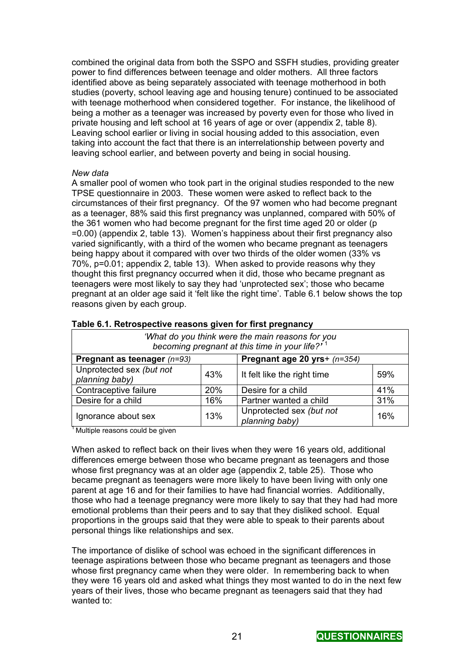combined the original data from both the SSPO and SSFH studies, providing greater power to find differences between teenage and older mothers. All three factors identified above as being separately associated with teenage motherhood in both studies (poverty, school leaving age and housing tenure) continued to be associated with teenage motherhood when considered together. For instance, the likelihood of being a mother as a teenager was increased by poverty even for those who lived in private housing and left school at 16 years of age or over (appendix 2, table 8). Leaving school earlier or living in social housing added to this association, even taking into account the fact that there is an interrelationship between poverty and leaving school earlier, and between poverty and being in social housing.

## *New data*

A smaller pool of women who took part in the original studies responded to the new TPSE questionnaire in 2003. These women were asked to reflect back to the circumstances of their first pregnancy. Of the 97 women who had become pregnant as a teenager, 88% said this first pregnancy was unplanned, compared with 50% of the 361 women who had become pregnant for the first time aged 20 or older (p =0.00) (appendix 2, table 13). Women's happiness about their first pregnancy also varied significantly, with a third of the women who became pregnant as teenagers being happy about it compared with over two thirds of the older women (33% vs 70%, p=0.01; appendix 2, table 13). When asked to provide reasons why they thought this first pregnancy occurred when it did, those who became pregnant as teenagers were most likely to say they had 'unprotected sex'; those who became pregnant at an older age said it 'felt like the right time'. Table 6.1 below shows the top reasons given by each group.

| 'What do you think were the main reasons for you<br>becoming pregnant at this time in your life?' <sup>1</sup> |     |                                            |     |  |  |  |  |  |
|----------------------------------------------------------------------------------------------------------------|-----|--------------------------------------------|-----|--|--|--|--|--|
| Pregnant as teenager $(n=93)$                                                                                  |     | Pregnant age 20 yrs+ (n=354)               |     |  |  |  |  |  |
| Unprotected sex (but not<br>planning baby)                                                                     | 43% | It felt like the right time                | 59% |  |  |  |  |  |
| Contraceptive failure<br>20%                                                                                   |     | Desire for a child                         | 41% |  |  |  |  |  |
| Desire for a child                                                                                             | 16% | Partner wanted a child                     | 31% |  |  |  |  |  |
| Ignorance about sex                                                                                            | 13% | Unprotected sex (but not<br>planning baby) | 16% |  |  |  |  |  |

### **Table 6.1. Retrospective reasons given for first pregnancy**

<sup>1</sup> Multiple reasons could be given

When asked to reflect back on their lives when they were 16 years old, additional differences emerge between those who became pregnant as teenagers and those whose first pregnancy was at an older age (appendix 2, table 25). Those who became pregnant as teenagers were more likely to have been living with only one parent at age 16 and for their families to have had financial worries. Additionally, those who had a teenage pregnancy were more likely to say that they had had more emotional problems than their peers and to say that they disliked school. Equal proportions in the groups said that they were able to speak to their parents about personal things like relationships and sex.

The importance of dislike of school was echoed in the significant differences in teenage aspirations between those who became pregnant as teenagers and those whose first pregnancy came when they were older. In remembering back to when they were 16 years old and asked what things they most wanted to do in the next few years of their lives, those who became pregnant as teenagers said that they had wanted to: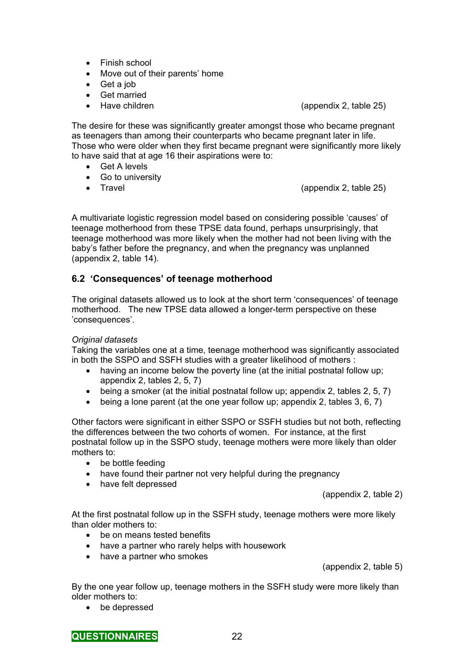- Finish school
- Move out of their parents' home
- Get a job
- Get married
- 

• Have children (appendix 2, table 25)

The desire for these was significantly greater amongst those who became pregnant as teenagers than among their counterparts who became pregnant later in life. Those who were older when they first became pregnant were significantly more likely to have said that at age 16 their aspirations were to:

- Get A levels
- Go to university
- 

• Travel **•** Changel Controller Controller and the Controller Controller and the Controller and the Controller and the Controller and the Controller and the Controller and the Controller and the Controller and the Controll

A multivariate logistic regression model based on considering possible 'causes' of teenage motherhood from these TPSE data found, perhaps unsurprisingly, that teenage motherhood was more likely when the mother had not been living with the baby's father before the pregnancy, and when the pregnancy was unplanned (appendix 2, table 14).

## **6.2 'Consequences' of teenage motherhood**

The original datasets allowed us to look at the short term 'consequences' of teenage motherhood. The new TPSE data allowed a longer-term perspective on these 'consequences'.

### *Original datasets*

Taking the variables one at a time, teenage motherhood was significantly associated in both the SSPO and SSFH studies with a greater likelihood of mothers :

- having an income below the poverty line (at the initial postnatal follow up; appendix 2, tables 2, 5, 7)
- being a smoker (at the initial postnatal follow up; appendix 2, tables 2, 5, 7)
- being a lone parent (at the one year follow up; appendix 2, tables 3, 6, 7)

Other factors were significant in either SSPO or SSFH studies but not both, reflecting the differences between the two cohorts of women. For instance, at the first postnatal follow up in the SSPO study, teenage mothers were more likely than older mothers to:

- be bottle feeding
- have found their partner not very helpful during the pregnancy
- have felt depressed

(appendix 2, table 2)

At the first postnatal follow up in the SSFH study, teenage mothers were more likely than older mothers to:

- be on means tested benefits
- have a partner who rarely helps with housework
- have a partner who smokes

(appendix 2, table 5)

By the one year follow up, teenage mothers in the SSFH study were more likely than older mothers to:

• be depressed

**QUESTIONNAIRES** 22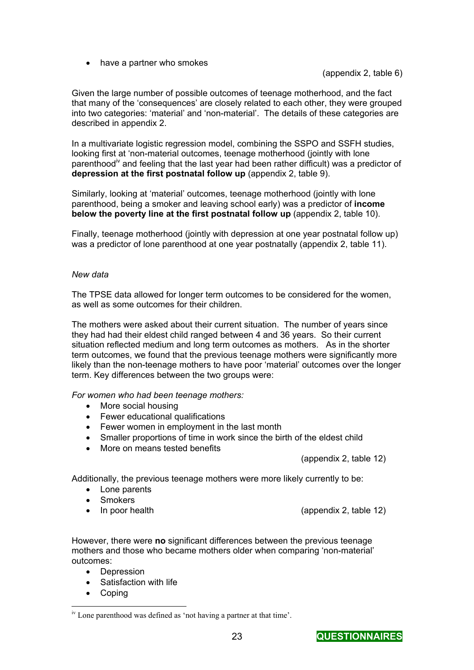• have a partner who smokes

(appendix 2, table 6)

Given the large number of possible outcomes of teenage motherhood, and the fact that many of the 'consequences' are closely related to each other, they were grouped into two categories: 'material' and 'non-material'. The details of these categories are described in appendix 2.

In a multivariate logistic regression model, combining the SSPO and SSFH studies, looking first at 'non-material outcomes, teenage motherhood (jointly with lone parenthood<sup>iv</sup> and feeling that the last year had been rather difficult) was a predictor of **depression at the first postnatal follow up** (appendix 2, table 9).

Similarly, looking at 'material' outcomes, teenage motherhood (jointly with lone parenthood, being a smoker and leaving school early) was a predictor of **income below the poverty line at the first postnatal follow up** (appendix 2, table 10).

Finally, teenage motherhood (jointly with depression at one year postnatal follow up) was a predictor of lone parenthood at one year postnatally (appendix 2, table 11).

## *New data*

The TPSE data allowed for longer term outcomes to be considered for the women, as well as some outcomes for their children.

The mothers were asked about their current situation. The number of years since they had had their eldest child ranged between 4 and 36 years. So their current situation reflected medium and long term outcomes as mothers. As in the shorter term outcomes, we found that the previous teenage mothers were significantly more likely than the non-teenage mothers to have poor 'material' outcomes over the longer term. Key differences between the two groups were:

*For women who had been teenage mothers:* 

- More social housing
- Fewer educational qualifications
- Fewer women in employment in the last month
- Smaller proportions of time in work since the birth of the eldest child
- More on means tested benefits

(appendix 2, table 12)

Additionally, the previous teenage mothers were more likely currently to be:

- Lone parents
- Smokers
- 

• In poor health (appendix 2, table 12)

However, there were **no** significant differences between the previous teenage mothers and those who became mothers older when comparing 'non-material' outcomes:

- Depression
- Satisfaction with life
- Coping

 $\overline{a}$ 

iv Lone parenthood was defined as 'not having a partner at that time'.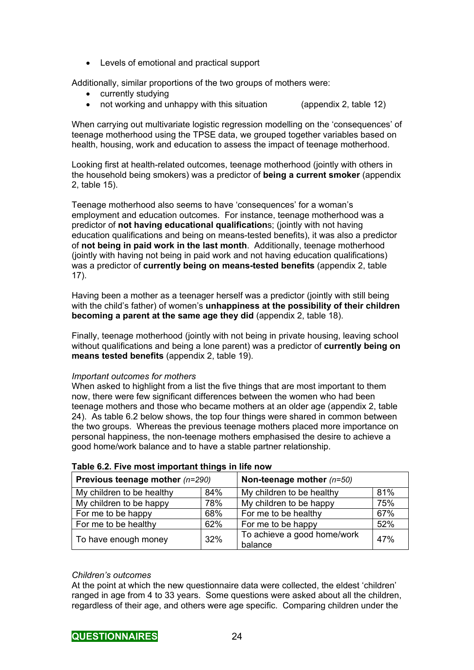• Levels of emotional and practical support

Additionally, similar proportions of the two groups of mothers were:

- currently studying
- not working and unhappy with this situation (appendix 2, table 12)

When carrying out multivariate logistic regression modelling on the 'consequences' of teenage motherhood using the TPSE data, we grouped together variables based on health, housing, work and education to assess the impact of teenage motherhood.

Looking first at health-related outcomes, teenage motherhood (jointly with others in the household being smokers) was a predictor of **being a current smoker** (appendix 2, table 15).

Teenage motherhood also seems to have 'consequences' for a woman's employment and education outcomes. For instance, teenage motherhood was a predictor of **not having educational qualification**s; (jointly with not having education qualifications and being on means-tested benefits), it was also a predictor of **not being in paid work in the last month**. Additionally, teenage motherhood (jointly with having not being in paid work and not having education qualifications) was a predictor of **currently being on means-tested benefits** (appendix 2, table 17).

Having been a mother as a teenager herself was a predictor (jointly with still being with the child's father) of women's **unhappiness at the possibility of their children becoming a parent at the same age they did** (appendix 2, table 18).

Finally, teenage motherhood (jointly with not being in private housing, leaving school without qualifications and being a lone parent) was a predictor of **currently being on means tested benefits** (appendix 2, table 19).

### *Important outcomes for mothers*

When asked to highlight from a list the five things that are most important to them now, there were few significant differences between the women who had been teenage mothers and those who became mothers at an older age (appendix 2, table 24). As table 6.2 below shows, the top four things were shared in common between the two groups. Whereas the previous teenage mothers placed more importance on personal happiness, the non-teenage mothers emphasised the desire to achieve a good home/work balance and to have a stable partner relationship.

| Previous teenage mother (n=290) |     | Non-teenage mother $(n=50)$ |     |
|---------------------------------|-----|-----------------------------|-----|
| My children to be healthy       | 84% | My children to be healthy   | 81% |
| My children to be happy         | 78% | My children to be happy     | 75% |
| For me to be happy              | 68% | For me to be healthy        | 67% |
| For me to be healthy            | 62% | For me to be happy          | 52% |
| To have enough money            | 32% | To achieve a good home/work | 47% |
|                                 |     | balance                     |     |

## **Table 6.2. Five most important things in life now**

## *Children's outcomes*

At the point at which the new questionnaire data were collected, the eldest 'children' ranged in age from 4 to 33 years. Some questions were asked about all the children, regardless of their age, and others were age specific. Comparing children under the

## **QUESTIONNAIRES** 24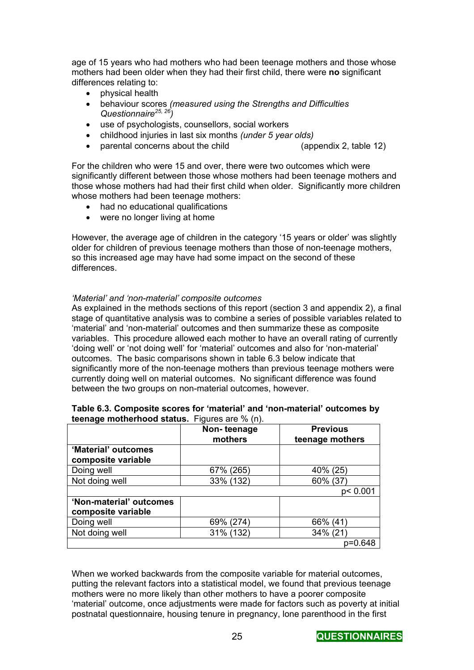age of 15 years who had mothers who had been teenage mothers and those whose mothers had been older when they had their first child, there were **no** significant differences relating to:

- physical health
- behaviour scores *(measured using the Strengths and Difficulties Questionnaire25, 26)*
- use of psychologists, counsellors, social workers
- childhood injuries in last six months *(under 5 year olds)*
- parental concerns about the child (appendix 2, table 12)

For the children who were 15 and over, there were two outcomes which were significantly different between those whose mothers had been teenage mothers and those whose mothers had had their first child when older. Significantly more children whose mothers had been teenage mothers:

- had no educational qualifications
- were no longer living at home

However, the average age of children in the category '15 years or older' was slightly older for children of previous teenage mothers than those of non-teenage mothers, so this increased age may have had some impact on the second of these differences.

## *'Material' and 'non-material' composite outcomes*

As explained in the methods sections of this report (section 3 and appendix 2), a final stage of quantitative analysis was to combine a series of possible variables related to 'material' and 'non-material' outcomes and then summarize these as composite variables. This procedure allowed each mother to have an overall rating of currently 'doing well' or 'not doing well' for 'material' outcomes and also for 'non-material' outcomes. The basic comparisons shown in table 6.3 below indicate that significantly more of the non-teenage mothers than previous teenage mothers were currently doing well on material outcomes. No significant difference was found between the two groups on non-material outcomes, however.

|                         | Non-teenage<br>mothers | <b>Previous</b><br>teenage mothers |
|-------------------------|------------------------|------------------------------------|
| 'Material' outcomes     |                        |                                    |
| composite variable      |                        |                                    |
| Doing well              | 67% (265)              | 40% (25)                           |
| Not doing well          | 33% (132)              | 60% (37)                           |
|                         |                        | p< 0.001                           |
| 'Non-material' outcomes |                        |                                    |
| composite variable      |                        |                                    |
| Doing well              | 69% (274)              | 66% (41)                           |
| Not doing well          | 31% (132)              | 34% (21)                           |
|                         |                        | p=0.648                            |

### **Table 6.3. Composite scores for 'material' and 'non-material' outcomes by teenage motherhood status.** Figures are % (n).

When we worked backwards from the composite variable for material outcomes, putting the relevant factors into a statistical model, we found that previous teenage mothers were no more likely than other mothers to have a poorer composite 'material' outcome, once adjustments were made for factors such as poverty at initial postnatal questionnaire, housing tenure in pregnancy, lone parenthood in the first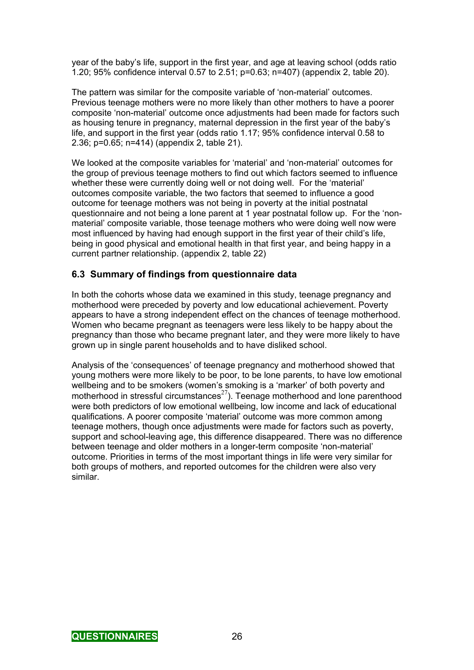year of the baby's life, support in the first year, and age at leaving school (odds ratio 1.20; 95% confidence interval 0.57 to 2.51; p=0.63; n=407) (appendix 2, table 20).

The pattern was similar for the composite variable of 'non-material' outcomes. Previous teenage mothers were no more likely than other mothers to have a poorer composite 'non-material' outcome once adjustments had been made for factors such as housing tenure in pregnancy, maternal depression in the first year of the baby's life, and support in the first year (odds ratio 1.17; 95% confidence interval 0.58 to 2.36; p=0.65; n=414) (appendix 2, table 21).

We looked at the composite variables for 'material' and 'non-material' outcomes for the group of previous teenage mothers to find out which factors seemed to influence whether these were currently doing well or not doing well. For the 'material' outcomes composite variable, the two factors that seemed to influence a good outcome for teenage mothers was not being in poverty at the initial postnatal questionnaire and not being a lone parent at 1 year postnatal follow up. For the 'nonmaterial' composite variable, those teenage mothers who were doing well now were most influenced by having had enough support in the first year of their child's life, being in good physical and emotional health in that first year, and being happy in a current partner relationship. (appendix 2, table 22)

## **6.3 Summary of findings from questionnaire data**

In both the cohorts whose data we examined in this study, teenage pregnancy and motherhood were preceded by poverty and low educational achievement. Poverty appears to have a strong independent effect on the chances of teenage motherhood. Women who became pregnant as teenagers were less likely to be happy about the pregnancy than those who became pregnant later, and they were more likely to have grown up in single parent households and to have disliked school.

Analysis of the 'consequences' of teenage pregnancy and motherhood showed that young mothers were more likely to be poor, to be lone parents, to have low emotional wellbeing and to be smokers (women's smoking is a 'marker' of both poverty and motherhood in stressful circumstances<sup>27</sup>). Teenage motherhood and lone parenthood were both predictors of low emotional wellbeing, low income and lack of educational qualifications. A poorer composite 'material' outcome was more common among teenage mothers, though once adjustments were made for factors such as poverty, support and school-leaving age, this difference disappeared. There was no difference between teenage and older mothers in a longer-term composite 'non-material' outcome. Priorities in terms of the most important things in life were very similar for both groups of mothers, and reported outcomes for the children were also very similar.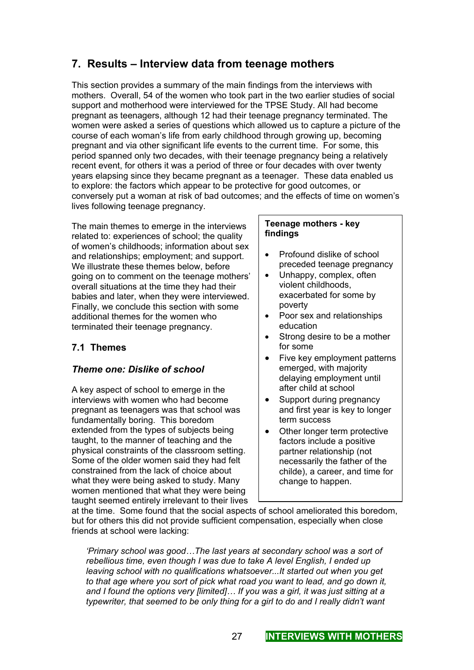# **7. Results – Interview data from teenage mothers**

This section provides a summary of the main findings from the interviews with mothers. Overall, 54 of the women who took part in the two earlier studies of social support and motherhood were interviewed for the TPSE Study. All had become pregnant as teenagers, although 12 had their teenage pregnancy terminated. The women were asked a series of questions which allowed us to capture a picture of the course of each woman's life from early childhood through growing up, becoming pregnant and via other significant life events to the current time. For some, this period spanned only two decades, with their teenage pregnancy being a relatively recent event, for others it was a period of three or four decades with over twenty years elapsing since they became pregnant as a teenager. These data enabled us to explore: the factors which appear to be protective for good outcomes, or conversely put a woman at risk of bad outcomes; and the effects of time on women's lives following teenage pregnancy.

The main themes to emerge in the interviews related to: experiences of school; the quality of women's childhoods; information about sex and relationships; employment; and support. We illustrate these themes below, before going on to comment on the teenage mothers' overall situations at the time they had their babies and later, when they were interviewed. Finally, we conclude this section with some additional themes for the women who terminated their teenage pregnancy.

## **7.1 Themes**

## *Theme one: Dislike of school*

A key aspect of school to emerge in the interviews with women who had become pregnant as teenagers was that school was fundamentally boring. This boredom extended from the types of subjects being taught, to the manner of teaching and the physical constraints of the classroom setting. Some of the older women said they had felt constrained from the lack of choice about what they were being asked to study. Many women mentioned that what they were being taught seemed entirely irrelevant to their lives

## **Teenage mothers - key findings**

- Profound dislike of school preceded teenage pregnancy
- Unhappy, complex, often violent childhoods, exacerbated for some by poverty
- Poor sex and relationships education
- Strong desire to be a mother for some
- Five key employment patterns emerged, with majority delaying employment until after child at school
- Support during pregnancy and first year is key to longer term success
- Other longer term protective factors include a positive partner relationship (not necessarily the father of the childe), a career, and time for change to happen.

at the time. Some found that the social aspects of school ameliorated this boredom, but for others this did not provide sufficient compensation, especially when close friends at school were lacking:

*'Primary school was good…The last years at secondary school was a sort of rebellious time, even though I was due to take A level English, I ended up leaving school with no qualifications whatsoever...It started out when you get to that age where you sort of pick what road you want to lead, and go down it, and I found the options very [limited]… If you was a girl, it was just sitting at a typewriter, that seemed to be only thing for a girl to do and I really didn't want*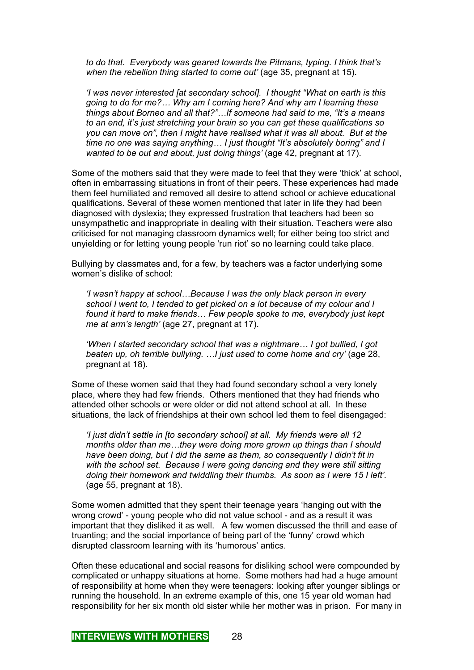*to do that. Everybody was geared towards the Pitmans, typing. I think that's when the rebellion thing started to come out'* (age 35, pregnant at 15).

*'I was never interested [at secondary school]. I thought "What on earth is this going to do for me?… Why am I coming here? And why am I learning these things about Borneo and all that?"…If someone had said to me, "It's a means to an end, it's just stretching your brain so you can get these qualifications so you can move on", then I might have realised what it was all about. But at the time no one was saying anything… I just thought "It's absolutely boring" and I wanted to be out and about, just doing things'* (age 42, pregnant at 17).

Some of the mothers said that they were made to feel that they were 'thick' at school, often in embarrassing situations in front of their peers. These experiences had made them feel humiliated and removed all desire to attend school or achieve educational qualifications. Several of these women mentioned that later in life they had been diagnosed with dyslexia; they expressed frustration that teachers had been so unsympathetic and inappropriate in dealing with their situation. Teachers were also criticised for not managing classroom dynamics well; for either being too strict and unyielding or for letting young people 'run riot' so no learning could take place.

Bullying by classmates and, for a few, by teachers was a factor underlying some women's dislike of school:

*'I wasn't happy at school…Because I was the only black person in every school I went to, I tended to get picked on a lot because of my colour and I found it hard to make friends… Few people spoke to me, everybody just kept me at arm's length'* (age 27, pregnant at 17).

*'When I started secondary school that was a nightmare… I got bullied, I got beaten up, oh terrible bullying. …I just used to come home and cry'* (age 28, pregnant at 18).

Some of these women said that they had found secondary school a very lonely place, where they had few friends. Others mentioned that they had friends who attended other schools or were older or did not attend school at all. In these situations, the lack of friendships at their own school led them to feel disengaged:

*'I just didn't settle in [to secondary school] at all. My friends were all 12 months older than me…they were doing more grown up things than I should have been doing, but I did the same as them, so consequently I didn't fit in*  with the school set. Because I were going dancing and they were still sitting *doing their homework and twiddling their thumbs. As soon as I were 15 I left'.*  (age 55, pregnant at 18).

Some women admitted that they spent their teenage years 'hanging out with the wrong crowd' - young people who did not value school - and as a result it was important that they disliked it as well. A few women discussed the thrill and ease of truanting; and the social importance of being part of the 'funny' crowd which disrupted classroom learning with its 'humorous' antics.

Often these educational and social reasons for disliking school were compounded by complicated or unhappy situations at home. Some mothers had had a huge amount of responsibility at home when they were teenagers: looking after younger siblings or running the household. In an extreme example of this, one 15 year old woman had responsibility for her six month old sister while her mother was in prison. For many in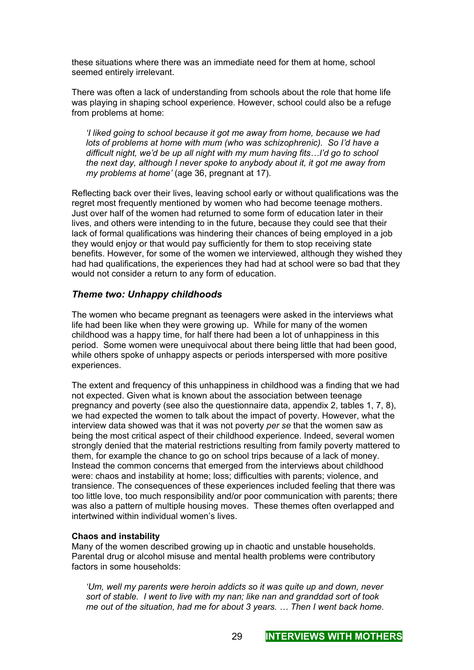these situations where there was an immediate need for them at home, school seemed entirely irrelevant.

There was often a lack of understanding from schools about the role that home life was playing in shaping school experience. However, school could also be a refuge from problems at home:

*'I liked going to school because it got me away from home, because we had lots of problems at home with mum (who was schizophrenic). So I'd have a difficult night, we'd be up all night with my mum having fits…I'd go to school the next day, although I never spoke to anybody about it, it got me away from my problems at home'* (age 36, pregnant at 17).

Reflecting back over their lives, leaving school early or without qualifications was the regret most frequently mentioned by women who had become teenage mothers. Just over half of the women had returned to some form of education later in their lives, and others were intending to in the future, because they could see that their lack of formal qualifications was hindering their chances of being employed in a job they would enjoy or that would pay sufficiently for them to stop receiving state benefits. However, for some of the women we interviewed, although they wished they had had qualifications, the experiences they had had at school were so bad that they would not consider a return to any form of education.

## *Theme two: Unhappy childhoods*

The women who became pregnant as teenagers were asked in the interviews what life had been like when they were growing up. While for many of the women childhood was a happy time, for half there had been a lot of unhappiness in this period. Some women were unequivocal about there being little that had been good, while others spoke of unhappy aspects or periods interspersed with more positive experiences.

The extent and frequency of this unhappiness in childhood was a finding that we had not expected. Given what is known about the association between teenage pregnancy and poverty (see also the questionnaire data, appendix 2, tables 1, 7, 8), we had expected the women to talk about the impact of poverty. However, what the interview data showed was that it was not poverty *per se* that the women saw as being the most critical aspect of their childhood experience. Indeed, several women strongly denied that the material restrictions resulting from family poverty mattered to them, for example the chance to go on school trips because of a lack of money. Instead the common concerns that emerged from the interviews about childhood were: chaos and instability at home; loss; difficulties with parents; violence, and transience. The consequences of these experiences included feeling that there was too little love, too much responsibility and/or poor communication with parents; there was also a pattern of multiple housing moves. These themes often overlapped and intertwined within individual women's lives.

#### **Chaos and instability**

Many of the women described growing up in chaotic and unstable households. Parental drug or alcohol misuse and mental health problems were contributory factors in some households:

*'Um, well my parents were heroin addicts so it was quite up and down, never sort of stable. I went to live with my nan; like nan and granddad sort of took me out of the situation, had me for about 3 years. … Then I went back home.*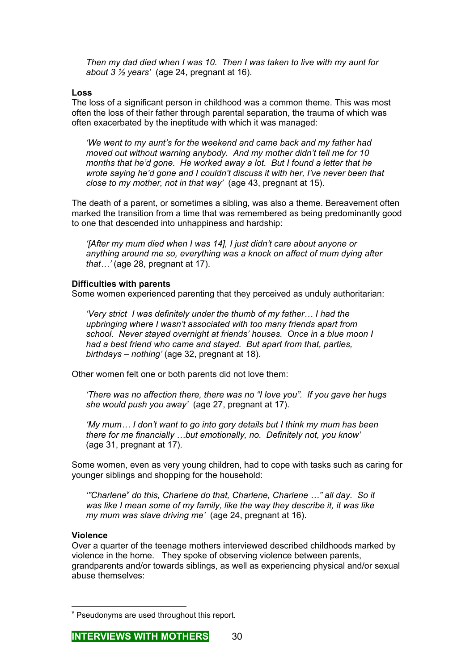*Then my dad died when I was 10. Then I was taken to live with my aunt for about 3 ½ years'* (age 24, pregnant at 16).

#### **Loss**

The loss of a significant person in childhood was a common theme. This was most often the loss of their father through parental separation, the trauma of which was often exacerbated by the ineptitude with which it was managed:

*'We went to my aunt's for the weekend and came back and my father had moved out without warning anybody. And my mother didn't tell me for 10 months that he'd gone. He worked away a lot. But I found a letter that he wrote saying he'd gone and I couldn't discuss it with her, I've never been that close to my mother, not in that way'* (age 43, pregnant at 15).

The death of a parent, or sometimes a sibling, was also a theme. Bereavement often marked the transition from a time that was remembered as being predominantly good to one that descended into unhappiness and hardship:

*'[After my mum died when I was 14], I just didn't care about anyone or anything around me so, everything was a knock on affect of mum dying after that…'* (age 28, pregnant at 17).

#### **Difficulties with parents**

Some women experienced parenting that they perceived as unduly authoritarian:

*'Very strict I was definitely under the thumb of my father… I had the upbringing where I wasn't associated with too many friends apart from school. Never stayed overnight at friends' houses. Once in a blue moon I had a best friend who came and stayed. But apart from that, parties, birthdays – nothing'* (age 32, pregnant at 18).

Other women felt one or both parents did not love them:

*'There was no affection there, there was no "I love you". If you gave her hugs she would push you away'* (age 27, pregnant at 17).

*'My mum… I don't want to go into gory details but I think my mum has been there for me financially …but emotionally, no. Definitely not, you know'*  (age 31, pregnant at 17).

Some women, even as very young children, had to cope with tasks such as caring for younger siblings and shopping for the household:

"Charlene<sup>y</sup> do this, Charlene do that, Charlene, Charlene ..." all day. So it *was like I mean some of my family, like the way they describe it, it was like my mum was slave driving me'* (age 24, pregnant at 16).

#### **Violence**

 $\overline{a}$ 

Over a quarter of the teenage mothers interviewed described childhoods marked by violence in the home. They spoke of observing violence between parents, grandparents and/or towards siblings, as well as experiencing physical and/or sexual abuse themselves:

<sup>&</sup>lt;sup>v</sup> Pseudonyms are used throughout this report.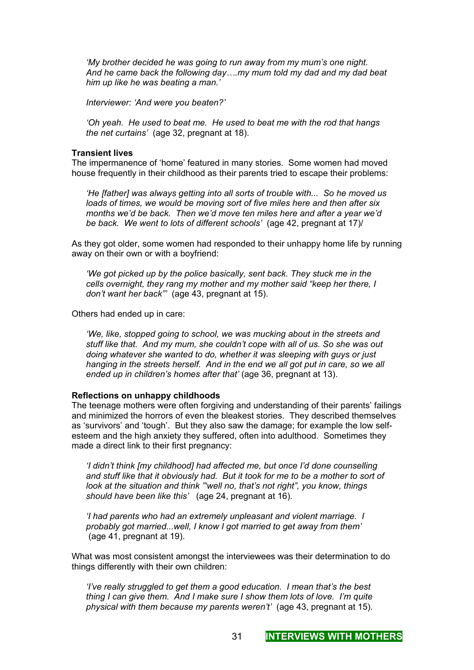*'My brother decided he was going to run away from my mum's one night. And he came back the following day….my mum told my dad and my dad beat him up like he was beating a man.'* 

*Interviewer: 'And were you beaten?'* 

*'Oh yeah. He used to beat me. He used to beat me with the rod that hangs the net curtains'* (age 32, pregnant at 18).

## **Transient lives**

The impermanence of 'home' featured in many stories. Some women had moved house frequently in their childhood as their parents tried to escape their problems:

*'He [father] was always getting into all sorts of trouble with... So he moved us loads of times, we would be moving sort of five miles here and then after six months we'd be back. Then we'd move ten miles here and after a year we'd be back. We went to lots of different schools'* (age 42, pregnant at 17)/

As they got older, some women had responded to their unhappy home life by running away on their own or with a boyfriend:

*'We got picked up by the police basically, sent back. They stuck me in the cells overnight, they rang my mother and my mother said "keep her there, I don't want her back"'* (age 43, pregnant at 15).

Others had ended up in care:

*'We, like, stopped going to school, we was mucking about in the streets and stuff like that. And my mum, she couldn't cope with all of us. So she was out doing whatever she wanted to do, whether it was sleeping with guys or just hanging in the streets herself. And in the end we all got put in care, so we all ended up in children's homes after that'* (age 36, pregnant at 13).

## **Reflections on unhappy childhoods**

The teenage mothers were often forgiving and understanding of their parents' failings and minimized the horrors of even the bleakest stories. They described themselves as 'survivors' and 'tough'. But they also saw the damage; for example the low selfesteem and the high anxiety they suffered, often into adulthood. Sometimes they made a direct link to their first pregnancy:

*'I didn't think [my childhood] had affected me, but once I'd done counselling and stuff like that it obviously had. But it took for me to be a mother to sort of look at the situation and think "'well no, that's not right", you know, things should have been like this'* (age 24, pregnant at 16).

*'I had parents who had an extremely unpleasant and violent marriage. I probably got married...well, I know I got married to get away from them'*  (age 41, pregnant at 19).

What was most consistent amongst the interviewees was their determination to do things differently with their own children:

*'I've really struggled to get them a good education. I mean that's the best thing I can give them. And I make sure I show them lots of love. I'm quite physical with them because my parents weren't'* (age 43, pregnant at 15).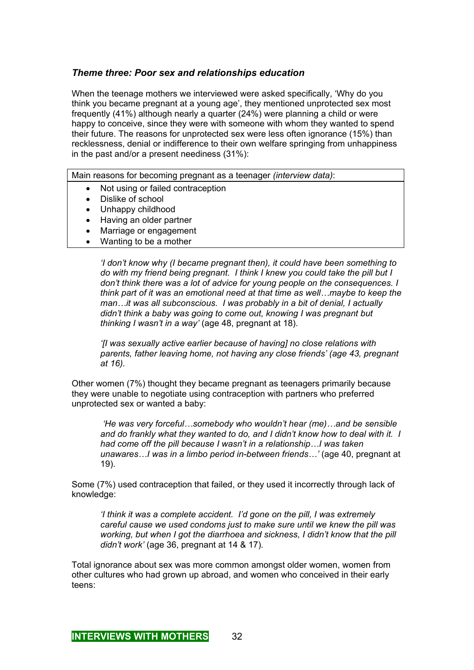## *Theme three: Poor sex and relationships education*

When the teenage mothers we interviewed were asked specifically, 'Why do you think you became pregnant at a young age', they mentioned unprotected sex most frequently (41%) although nearly a quarter (24%) were planning a child or were happy to conceive, since they were with someone with whom they wanted to spend their future. The reasons for unprotected sex were less often ignorance (15%) than recklessness, denial or indifference to their own welfare springing from unhappiness in the past and/or a present neediness (31%):

Main reasons for becoming pregnant as a teenager *(interview data)*:

- Not using or failed contraception
- Dislike of school
- Unhappy childhood
- Having an older partner
- Marriage or engagement
- Wanting to be a mother

*'I don't know why (I became pregnant then), it could have been something to do with my friend being pregnant. I think I knew you could take the pill but I don't think there was a lot of advice for young people on the consequences. I think part of it was an emotional need at that time as well…maybe to keep the man…it was all subconscious. I was probably in a bit of denial, I actually didn't think a baby was going to come out, knowing I was pregnant but thinking I wasn't in a way'* (age 48, pregnant at 18).

*'[I was sexually active earlier because of having] no close relations with parents, father leaving home, not having any close friends' (age 43, pregnant at 16).* 

Other women (7%) thought they became pregnant as teenagers primarily because they were unable to negotiate using contraception with partners who preferred unprotected sex or wanted a baby:

*'He was very forceful…somebody who wouldn't hear (me)…and be sensible and do frankly what they wanted to do, and I didn't know how to deal with it. I had come off the pill because I wasn't in a relationship…I was taken unawares…I was in a limbo period in-between friends…'* (age 40, pregnant at 19).

Some (7%) used contraception that failed, or they used it incorrectly through lack of knowledge:

*'I think it was a complete accident. I'd gone on the pill, I was extremely careful cause we used condoms just to make sure until we knew the pill was working, but when I got the diarrhoea and sickness, I didn't know that the pill didn't work'* (age 36, pregnant at 14 & 17)*.* 

Total ignorance about sex was more common amongst older women, women from other cultures who had grown up abroad, and women who conceived in their early teens: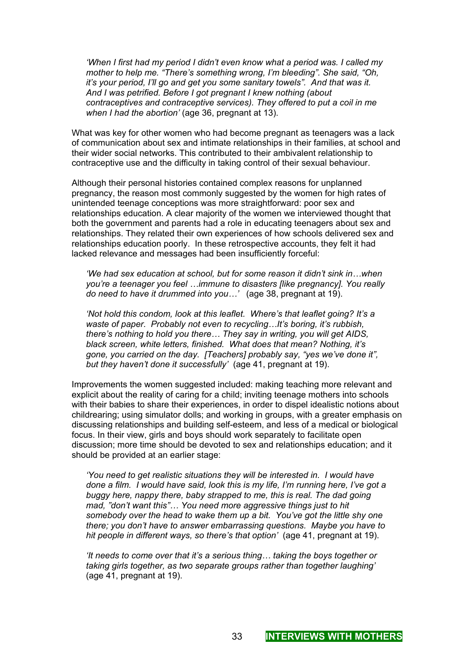*'When I first had my period I didn't even know what a period was. I called my mother to help me. "There's something wrong, I'm bleeding". She said, "Oh, it's your period, I'll go and get you some sanitary towels". And that was it. And I was petrified. Before I got pregnant I knew nothing (about contraceptives and contraceptive services). They offered to put a coil in me when I had the abortion'* (age 36, pregnant at 13).

What was key for other women who had become pregnant as teenagers was a lack of communication about sex and intimate relationships in their families, at school and their wider social networks. This contributed to their ambivalent relationship to contraceptive use and the difficulty in taking control of their sexual behaviour.

Although their personal histories contained complex reasons for unplanned pregnancy, the reason most commonly suggested by the women for high rates of unintended teenage conceptions was more straightforward: poor sex and relationships education. A clear majority of the women we interviewed thought that both the government and parents had a role in educating teenagers about sex and relationships. They related their own experiences of how schools delivered sex and relationships education poorly. In these retrospective accounts, they felt it had lacked relevance and messages had been insufficiently forceful:

*'We had sex education at school, but for some reason it didn't sink in…when you're a teenager you feel …immune to disasters [like pregnancy]. You really do need to have it drummed into you…'* (age 38, pregnant at 19).

*'Not hold this condom, look at this leaflet. Where's that leaflet going? It's a waste of paper. Probably not even to recycling…It's boring, it's rubbish, there's nothing to hold you there… They say in writing, you will get AIDS, black screen, white letters, finished. What does that mean? Nothing, it's gone, you carried on the day. [Teachers] probably say, "yes we've done it", but they haven't done it successfully'* (age 41, pregnant at 19).

Improvements the women suggested included: making teaching more relevant and explicit about the reality of caring for a child; inviting teenage mothers into schools with their babies to share their experiences, in order to dispel idealistic notions about childrearing; using simulator dolls; and working in groups, with a greater emphasis on discussing relationships and building self-esteem, and less of a medical or biological focus. In their view, girls and boys should work separately to facilitate open discussion; more time should be devoted to sex and relationships education; and it should be provided at an earlier stage:

*'You need to get realistic situations they will be interested in. I would have done a film. I would have said, look this is my life, I'm running here, I've got a buggy here, nappy there, baby strapped to me, this is real. The dad going mad, "don't want this"… You need more aggressive things just to hit somebody over the head to wake them up a bit. You've got the little shy one there; you don't have to answer embarrassing questions. Maybe you have to hit people in different ways, so there's that option'* (age 41, pregnant at 19).

*'It needs to come over that it's a serious thing… taking the boys together or taking girls together, as two separate groups rather than together laughing'* (age 41, pregnant at 19).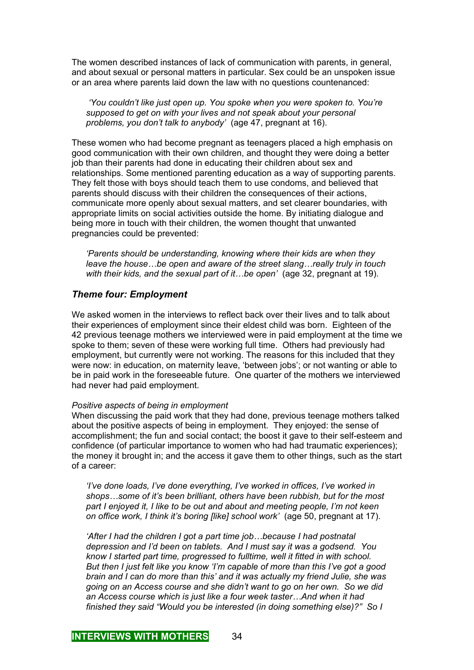The women described instances of lack of communication with parents, in general, and about sexual or personal matters in particular. Sex could be an unspoken issue or an area where parents laid down the law with no questions countenanced:

 *'You couldn't like just open up. You spoke when you were spoken to. You're supposed to get on with your lives and not speak about your personal problems, you don't talk to anybody'* (age 47, pregnant at 16).

These women who had become pregnant as teenagers placed a high emphasis on good communication with their own children, and thought they were doing a better job than their parents had done in educating their children about sex and relationships. Some mentioned parenting education as a way of supporting parents. They felt those with boys should teach them to use condoms, and believed that parents should discuss with their children the consequences of their actions, communicate more openly about sexual matters, and set clearer boundaries, with appropriate limits on social activities outside the home. By initiating dialogue and being more in touch with their children, the women thought that unwanted pregnancies could be prevented:

*'Parents should be understanding, knowing where their kids are when they leave the house…be open and aware of the street slang…really truly in touch with their kids, and the sexual part of it…be open'* (age 32, pregnant at 19).

#### *Theme four: Employment*

We asked women in the interviews to reflect back over their lives and to talk about their experiences of employment since their eldest child was born. Eighteen of the 42 previous teenage mothers we interviewed were in paid employment at the time we spoke to them; seven of these were working full time. Others had previously had employment, but currently were not working. The reasons for this included that they were now: in education, on maternity leave, 'between jobs'; or not wanting or able to be in paid work in the foreseeable future. One quarter of the mothers we interviewed had never had paid employment.

#### *Positive aspects of being in employment*

When discussing the paid work that they had done, previous teenage mothers talked about the positive aspects of being in employment. They enjoyed: the sense of accomplishment; the fun and social contact; the boost it gave to their self-esteem and confidence (of particular importance to women who had had traumatic experiences); the money it brought in; and the access it gave them to other things, such as the start of a career:

*'I've done loads, I've done everything, I've worked in offices, I've worked in shops…some of it's been brilliant, others have been rubbish, but for the most part I enjoyed it, I like to be out and about and meeting people, I'm not keen on office work, I think it's boring [like] school work'* (age 50, pregnant at 17).

*'After I had the children I got a part time job…because I had postnatal depression and I'd been on tablets. And I must say it was a godsend. You know I started part time, progressed to fulltime, well it fitted in with school. But then I just felt like you know 'I'm capable of more than this I've got a good brain and I can do more than this' and it was actually my friend Julie, she was going on an Access course and she didn't want to go on her own. So we did an Access course which is just like a four week taster…And when it had finished they said "Would you be interested (in doing something else)?" So I*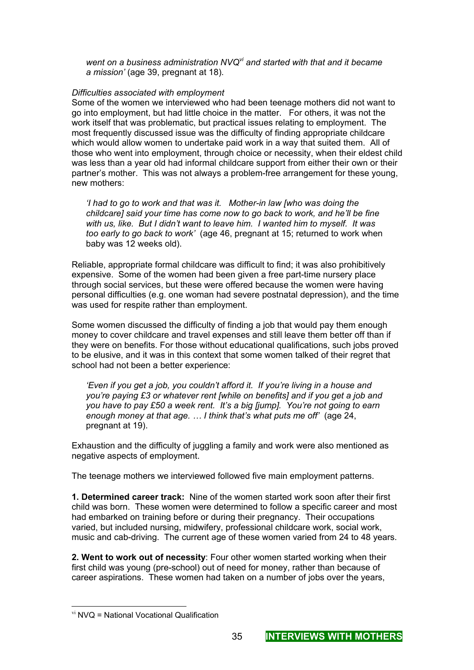*went on a business administration NVQvi and started with that and it became a mission'* (age 39, pregnant at 18).

#### *Difficulties associated with employment*

Some of the women we interviewed who had been teenage mothers did not want to go into employment, but had little choice in the matter. For others, it was not the work itself that was problematic, but practical issues relating to employment. The most frequently discussed issue was the difficulty of finding appropriate childcare which would allow women to undertake paid work in a way that suited them. All of those who went into employment, through choice or necessity, when their eldest child was less than a year old had informal childcare support from either their own or their partner's mother. This was not always a problem-free arrangement for these young, new mothers:

*'I had to go to work and that was it. Mother-in law [who was doing the childcare] said your time has come now to go back to work, and he'll be fine with us, like. But I didn't want to leave him. I wanted him to myself. It was too early to go back to work'* (age 46, pregnant at 15; returned to work when baby was 12 weeks old).

Reliable, appropriate formal childcare was difficult to find; it was also prohibitively expensive. Some of the women had been given a free part-time nursery place through social services, but these were offered because the women were having personal difficulties (e.g. one woman had severe postnatal depression), and the time was used for respite rather than employment.

Some women discussed the difficulty of finding a job that would pay them enough money to cover childcare and travel expenses and still leave them better off than if they were on benefits. For those without educational qualifications, such jobs proved to be elusive, and it was in this context that some women talked of their regret that school had not been a better experience:

*'Even if you get a job, you couldn't afford it. If you're living in a house and you're paying £3 or whatever rent [while on benefits] and if you get a job and you have to pay £50 a week rent. It's a big [jump]. You're not going to earn enough money at that age. … I think that's what puts me off'* (age 24, pregnant at 19).

Exhaustion and the difficulty of juggling a family and work were also mentioned as negative aspects of employment.

The teenage mothers we interviewed followed five main employment patterns.

**1. Determined career track:** Nine of the women started work soon after their first child was born. These women were determined to follow a specific career and most had embarked on training before or during their pregnancy. Their occupations varied, but included nursing, midwifery, professional childcare work, social work, music and cab-driving. The current age of these women varied from 24 to 48 years.

**2. Went to work out of necessity**: Four other women started working when their first child was young (pre-school) out of need for money, rather than because of career aspirations. These women had taken on a number of jobs over the years,

 $\overline{a}$ 

 $\overline{v}$ <sup>i</sup> NVO = National Vocational Qualification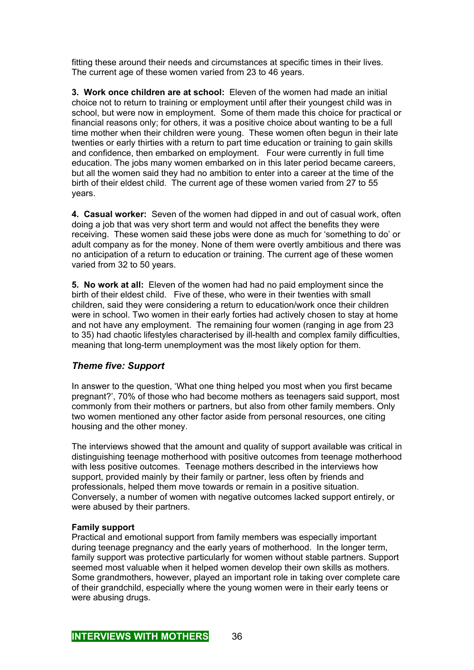fitting these around their needs and circumstances at specific times in their lives. The current age of these women varied from 23 to 46 years.

**3. Work once children are at school:** Eleven of the women had made an initial choice not to return to training or employment until after their youngest child was in school, but were now in employment. Some of them made this choice for practical or financial reasons only; for others, it was a positive choice about wanting to be a full time mother when their children were young. These women often begun in their late twenties or early thirties with a return to part time education or training to gain skills and confidence, then embarked on employment. Four were currently in full time education. The jobs many women embarked on in this later period became careers, but all the women said they had no ambition to enter into a career at the time of the birth of their eldest child. The current age of these women varied from 27 to 55 years.

**4. Casual worker:** Seven of the women had dipped in and out of casual work, often doing a job that was very short term and would not affect the benefits they were receiving. These women said these jobs were done as much for 'something to do' or adult company as for the money. None of them were overtly ambitious and there was no anticipation of a return to education or training. The current age of these women varied from 32 to 50 years.

**5. No work at all:** Eleven of the women had had no paid employment since the birth of their eldest child. Five of these, who were in their twenties with small children, said they were considering a return to education/work once their children were in school. Two women in their early forties had actively chosen to stay at home and not have any employment. The remaining four women (ranging in age from 23 to 35) had chaotic lifestyles characterised by ill-health and complex family difficulties, meaning that long-term unemployment was the most likely option for them.

### *Theme five: Support*

In answer to the question, 'What one thing helped you most when you first became pregnant?', 70% of those who had become mothers as teenagers said support, most commonly from their mothers or partners, but also from other family members. Only two women mentioned any other factor aside from personal resources, one citing housing and the other money.

The interviews showed that the amount and quality of support available was critical in distinguishing teenage motherhood with positive outcomes from teenage motherhood with less positive outcomes. Teenage mothers described in the interviews how support, provided mainly by their family or partner, less often by friends and professionals, helped them move towards or remain in a positive situation. Conversely, a number of women with negative outcomes lacked support entirely, or were abused by their partners.

### **Family support**

Practical and emotional support from family members was especially important during teenage pregnancy and the early years of motherhood. In the longer term, family support was protective particularly for women without stable partners. Support seemed most valuable when it helped women develop their own skills as mothers. Some grandmothers, however, played an important role in taking over complete care of their grandchild, especially where the young women were in their early teens or were abusing drugs.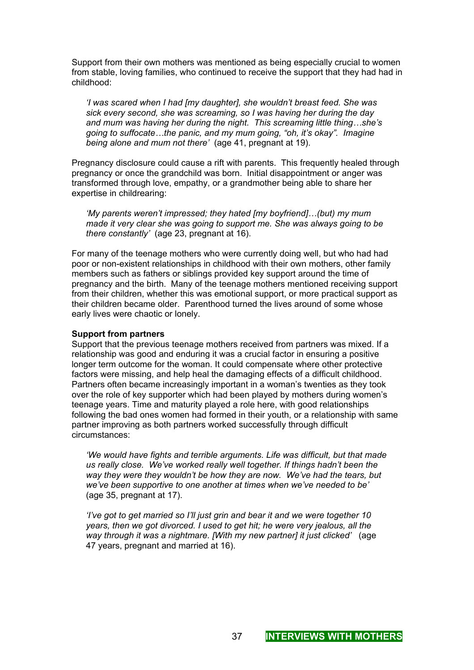Support from their own mothers was mentioned as being especially crucial to women from stable, loving families, who continued to receive the support that they had had in childhood:

*'I was scared when I had [my daughter], she wouldn't breast feed. She was sick every second, she was screaming, so I was having her during the day and mum was having her during the night. This screaming little thing…she's going to suffocate…the panic, and my mum going, "oh, it's okay". Imagine being alone and mum not there'* (age 41, pregnant at 19).

Pregnancy disclosure could cause a rift with parents. This frequently healed through pregnancy or once the grandchild was born. Initial disappointment or anger was transformed through love, empathy, or a grandmother being able to share her expertise in childrearing:

*'My parents weren't impressed; they hated [my boyfriend]…(but) my mum made it very clear she was going to support me. She was always going to be there constantly'* (age 23, pregnant at 16).

For many of the teenage mothers who were currently doing well, but who had had poor or non-existent relationships in childhood with their own mothers, other family members such as fathers or siblings provided key support around the time of pregnancy and the birth. Many of the teenage mothers mentioned receiving support from their children, whether this was emotional support, or more practical support as their children became older. Parenthood turned the lives around of some whose early lives were chaotic or lonely.

#### **Support from partners**

Support that the previous teenage mothers received from partners was mixed. If a relationship was good and enduring it was a crucial factor in ensuring a positive longer term outcome for the woman. It could compensate where other protective factors were missing, and help heal the damaging effects of a difficult childhood. Partners often became increasingly important in a woman's twenties as they took over the role of key supporter which had been played by mothers during women's teenage years. Time and maturity played a role here, with good relationships following the bad ones women had formed in their youth, or a relationship with same partner improving as both partners worked successfully through difficult circumstances:

*'We would have fights and terrible arguments. Life was difficult, but that made us really close. We've worked really well together. If things hadn't been the way they were they wouldn't be how they are now. We've had the tears, but we've been supportive to one another at times when we've needed to be'*  (age 35, pregnant at 17).

*'I've got to get married so I'll just grin and bear it and we were together 10 years, then we got divorced. I used to get hit; he were very jealous, all the way through it was a nightmare. [With my new partner] it just clicked'* (age 47 years, pregnant and married at 16).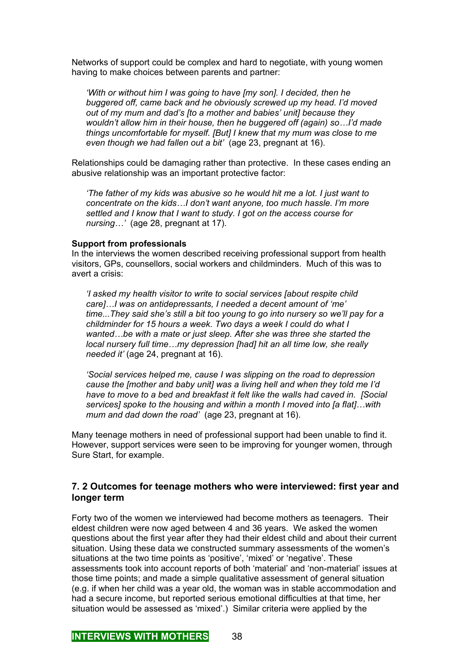Networks of support could be complex and hard to negotiate, with young women having to make choices between parents and partner:

*'With or without him I was going to have [my son]. I decided, then he buggered off, came back and he obviously screwed up my head. I'd moved out of my mum and dad's [to a mother and babies' unit] because they wouldn't allow him in their house, then he buggered off (again) so…I'd made things uncomfortable for myself. [But] I knew that my mum was close to me even though we had fallen out a bit'* (age 23, pregnant at 16).

Relationships could be damaging rather than protective. In these cases ending an abusive relationship was an important protective factor:

*'The father of my kids was abusive so he would hit me a lot. I just want to concentrate on the kids…I don't want anyone, too much hassle. I'm more settled and I know that I want to study. I got on the access course for nursing…'* (age 28, pregnant at 17).

#### **Support from professionals**

In the interviews the women described receiving professional support from health visitors, GPs, counsellors, social workers and childminders. Much of this was to avert a crisis:

*'I asked my health visitor to write to social services [about respite child care]…I was on antidepressants, I needed a decent amount of 'me' time...They said she's still a bit too young to go into nursery so we'll pay for a childminder for 15 hours a week. Two days a week I could do what I wanted…be with a mate or just sleep. After she was three she started the local nursery full time…my depression [had] hit an all time low, she really needed it'* (age 24, pregnant at 16).

*'Social services helped me, cause I was slipping on the road to depression cause the [mother and baby unit] was a living hell and when they told me I'd have to move to a bed and breakfast it felt like the walls had caved in. [Social services] spoke to the housing and within a month I moved into [a flat]…with mum and dad down the road'* (age 23, pregnant at 16).

Many teenage mothers in need of professional support had been unable to find it. However, support services were seen to be improving for younger women, through Sure Start, for example.

### **7. 2 Outcomes for teenage mothers who were interviewed: first year and longer term**

Forty two of the women we interviewed had become mothers as teenagers. Their eldest children were now aged between 4 and 36 years. We asked the women questions about the first year after they had their eldest child and about their current situation. Using these data we constructed summary assessments of the women's situations at the two time points as 'positive', 'mixed' or 'negative'. These assessments took into account reports of both 'material' and 'non-material' issues at those time points; and made a simple qualitative assessment of general situation (e.g. if when her child was a year old, the woman was in stable accommodation and had a secure income, but reported serious emotional difficulties at that time, her situation would be assessed as 'mixed'.) Similar criteria were applied by the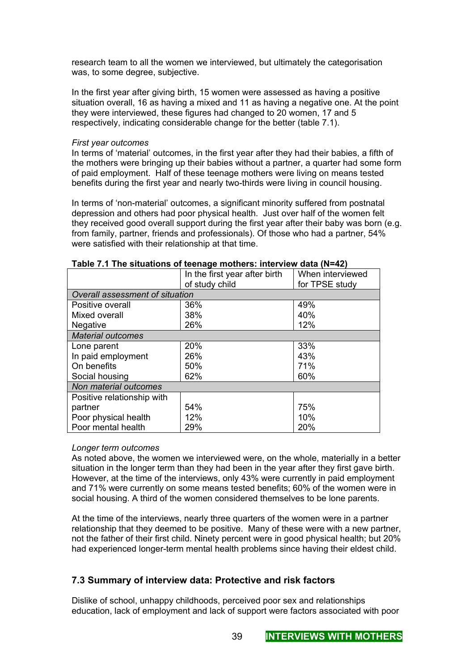research team to all the women we interviewed, but ultimately the categorisation was, to some degree, subjective.

In the first year after giving birth, 15 women were assessed as having a positive situation overall, 16 as having a mixed and 11 as having a negative one. At the point they were interviewed, these figures had changed to 20 women, 17 and 5 respectively, indicating considerable change for the better (table 7.1).

#### *First year outcomes*

In terms of 'material' outcomes, in the first year after they had their babies, a fifth of the mothers were bringing up their babies without a partner, a quarter had some form of paid employment. Half of these teenage mothers were living on means tested benefits during the first year and nearly two-thirds were living in council housing.

In terms of 'non-material' outcomes, a significant minority suffered from postnatal depression and others had poor physical health. Just over half of the women felt they received good overall support during the first year after their baby was born (e.g. from family, partner, friends and professionals). Of those who had a partner, 54% were satisfied with their relationship at that time.

|                                 | In the first year after birth<br>of study child | When interviewed<br>for TPSE study |  |  |
|---------------------------------|-------------------------------------------------|------------------------------------|--|--|
| Overall assessment of situation |                                                 |                                    |  |  |
| Positive overall                | 36%                                             | 49%                                |  |  |
| Mixed overall                   | 38%                                             | 40%                                |  |  |
| Negative                        | 26%                                             | 12%                                |  |  |
| <b>Material outcomes</b>        |                                                 |                                    |  |  |
| Lone parent                     | 20%                                             | 33%                                |  |  |
| In paid employment              | 26%                                             | 43%                                |  |  |
| On benefits                     | 50%                                             | 71%                                |  |  |
| Social housing                  | 62%                                             | 60%                                |  |  |
| Non material outcomes           |                                                 |                                    |  |  |
| Positive relationship with      |                                                 |                                    |  |  |
| partner                         | 54%                                             | 75%                                |  |  |
| Poor physical health            | 12%                                             | 10%                                |  |  |
| Poor mental health              | 29%                                             | 20%                                |  |  |

#### **Table 7.1 The situations of teenage mothers: interview data (N=42)**

#### *Longer term outcomes*

As noted above, the women we interviewed were, on the whole, materially in a better situation in the longer term than they had been in the year after they first gave birth. However, at the time of the interviews, only 43% were currently in paid employment and 71% were currently on some means tested benefits; 60% of the women were in social housing. A third of the women considered themselves to be lone parents.

At the time of the interviews, nearly three quarters of the women were in a partner relationship that they deemed to be positive. Many of these were with a new partner, not the father of their first child. Ninety percent were in good physical health; but 20% had experienced longer-term mental health problems since having their eldest child.

### **7.3 Summary of interview data: Protective and risk factors**

Dislike of school, unhappy childhoods, perceived poor sex and relationships education, lack of employment and lack of support were factors associated with poor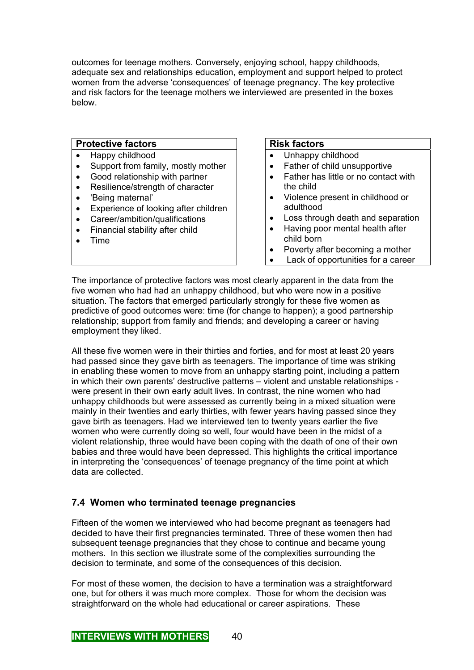outcomes for teenage mothers. Conversely, enjoying school, happy childhoods, adequate sex and relationships education, employment and support helped to protect women from the adverse 'consequences' of teenage pregnancy. The key protective and risk factors for the teenage mothers we interviewed are presented in the boxes below.

### **Protective factors Risk factors**

- Happy childhood
- Support from family, mostly mother
- Good relationship with partner
- Resilience/strength of character
- 'Being maternal'
- Experience of looking after children
- Career/ambition/qualifications
- Financial stability after child
- Time

- Unhappy childhood
- Father of child unsupportive
- Father has little or no contact with the child
- Violence present in childhood or adulthood
- Loss through death and separation
- Having poor mental health after child born
- Poverty after becoming a mother
- Lack of opportunities for a career

The importance of protective factors was most clearly apparent in the data from the five women who had had an unhappy childhood, but who were now in a positive situation. The factors that emerged particularly strongly for these five women as predictive of good outcomes were: time (for change to happen); a good partnership relationship; support from family and friends; and developing a career or having employment they liked.

All these five women were in their thirties and forties, and for most at least 20 years had passed since they gave birth as teenagers. The importance of time was striking in enabling these women to move from an unhappy starting point, including a pattern in which their own parents' destructive patterns – violent and unstable relationships were present in their own early adult lives. In contrast, the nine women who had unhappy childhoods but were assessed as currently being in a mixed situation were mainly in their twenties and early thirties, with fewer years having passed since they gave birth as teenagers. Had we interviewed ten to twenty years earlier the five women who were currently doing so well, four would have been in the midst of a violent relationship, three would have been coping with the death of one of their own babies and three would have been depressed. This highlights the critical importance in interpreting the 'consequences' of teenage pregnancy of the time point at which data are collected.

# **7.4 Women who terminated teenage pregnancies**

Fifteen of the women we interviewed who had become pregnant as teenagers had decided to have their first pregnancies terminated. Three of these women then had subsequent teenage pregnancies that they chose to continue and became young mothers. In this section we illustrate some of the complexities surrounding the decision to terminate, and some of the consequences of this decision.

For most of these women, the decision to have a termination was a straightforward one, but for others it was much more complex. Those for whom the decision was straightforward on the whole had educational or career aspirations. These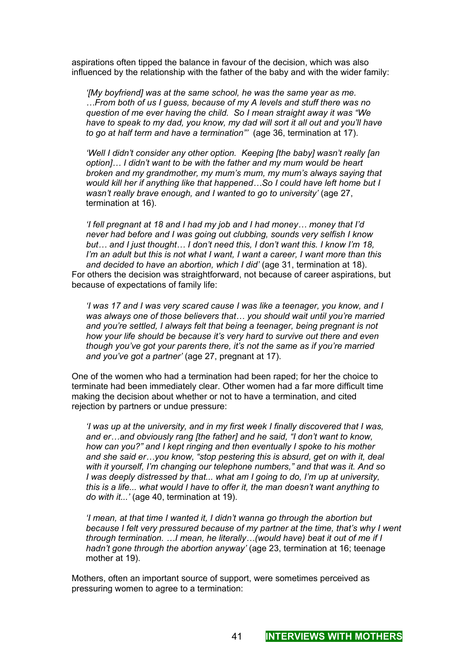aspirations often tipped the balance in favour of the decision, which was also influenced by the relationship with the father of the baby and with the wider family:

*'[My boyfriend] was at the same school, he was the same year as me. …From both of us I guess, because of my A levels and stuff there was no question of me ever having the child. So I mean straight away it was "We have to speak to my dad, you know, my dad will sort it all out and you'll have to go at half term and have a termination"'* (age 36, termination at 17).

*'Well I didn't consider any other option. Keeping [the baby] wasn't really [an option]… I didn't want to be with the father and my mum would be heart broken and my grandmother, my mum's mum, my mum's always saying that would kill her if anything like that happened…So I could have left home but I wasn't really brave enough, and I wanted to go to university'* (age 27, termination at 16).

*'I fell pregnant at 18 and I had my job and I had money… money that I'd never had before and I was going out clubbing, sounds very selfish I know but… and I just thought… I don't need this, I don't want this. I know I'm 18, I'm an adult but this is not what I want, I want a career, I want more than this and decided to have an abortion, which I did'* (age 31, termination at 18). For others the decision was straightforward, not because of career aspirations, but because of expectations of family life:

*'I was 17 and I was very scared cause I was like a teenager, you know, and I was always one of those believers that… you should wait until you're married and you're settled, I always felt that being a teenager, being pregnant is not how your life should be because it's very hard to survive out there and even though you've got your parents there, it's not the same as if you're married and you've got a partner'* (age 27, pregnant at 17).

One of the women who had a termination had been raped; for her the choice to terminate had been immediately clear. Other women had a far more difficult time making the decision about whether or not to have a termination, and cited rejection by partners or undue pressure:

*'I was up at the university, and in my first week I finally discovered that I was, and er…and obviously rang [the father] and he said, "I don't want to know, how can you?" and I kept ringing and then eventually I spoke to his mother and she said er…you know, "stop pestering this is absurd, get on with it, deal with it yourself, I'm changing our telephone numbers," and that was it. And so I was deeply distressed by that... what am I going to do, I'm up at university, this is a life... what would I have to offer it, the man doesn't want anything to do with it...'* (age 40, termination at 19).

*'I mean, at that time I wanted it, I didn't wanna go through the abortion but because I felt very pressured because of my partner at the time, that's why I went through termination. …I mean, he literally…(would have) beat it out of me if I hadn't gone through the abortion anyway'* (age 23, termination at 16; teenage mother at 19).

Mothers, often an important source of support, were sometimes perceived as pressuring women to agree to a termination: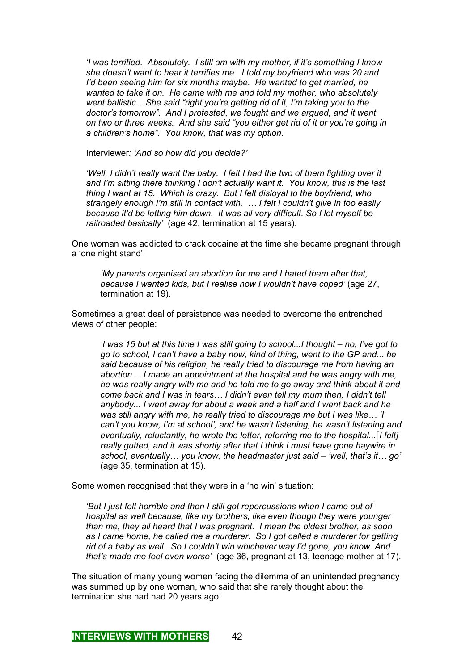*'I was terrified. Absolutely. I still am with my mother, if it's something I know she doesn't want to hear it terrifies me. I told my boyfriend who was 20 and I'd been seeing him for six months maybe. He wanted to get married, he wanted to take it on. He came with me and told my mother, who absolutely went ballistic... She said "right you're getting rid of it, I'm taking you to the doctor's tomorrow". And I protested, we fought and we argued, and it went on two or three weeks. And she said "you either get rid of it or you're going in a children's home". You know, that was my option.* 

Interviewer*: 'And so how did you decide?'* 

*'Well, I didn't really want the baby. I felt I had the two of them fighting over it and I'm sitting there thinking I don't actually want it. You know, this is the last thing I want at 15. Which is crazy. But I felt disloyal to the boyfriend, who strangely enough I'm still in contact with. … I felt I couldn't give in too easily because it'd be letting him down. It was all very difficult. So I let myself be railroaded basically'* (age 42, termination at 15 years).

One woman was addicted to crack cocaine at the time she became pregnant through a 'one night stand':

*'My parents organised an abortion for me and I hated them after that, because I wanted kids, but I realise now I wouldn't have coped'* (age 27, termination at 19).

Sometimes a great deal of persistence was needed to overcome the entrenched views of other people:

*'I was 15 but at this time I was still going to school...I thought – no, I've got to go to school, I can't have a baby now, kind of thing, went to the GP and... he said because of his religion, he really tried to discourage me from having an abortion… I made an appointment at the hospital and he was angry with me, he was really angry with me and he told me to go away and think about it and come back and I was in tears… I didn't even tell my mum then, I didn't tell anybody... I went away for about a week and a half and I went back and he was still angry with me, he really tried to discourage me but I was like… 'I can't you know, I'm at school', and he wasn't listening, he wasn't listening and eventually, reluctantly, he wrote the letter, referring me to the hospital...*[*I felt] really gutted, and it was shortly after that I think I must have gone haywire in school, eventually… you know, the headmaster just said – 'well, that's it… go'*  (age 35, termination at 15).

Some women recognised that they were in a 'no win' situation:

*'But I just felt horrible and then I still got repercussions when I came out of hospital as well because, like my brothers, like even though they were younger than me, they all heard that I was pregnant. I mean the oldest brother, as soon as I came home, he called me a murderer. So I got called a murderer for getting rid of a baby as well. So I couldn't win whichever way I'd gone, you know. And that's made me feel even worse'* (age 36, pregnant at 13, teenage mother at 17).

The situation of many young women facing the dilemma of an unintended pregnancy was summed up by one woman, who said that she rarely thought about the termination she had had 20 years ago:

**INTERVIEWS WITH MOTHERS** 42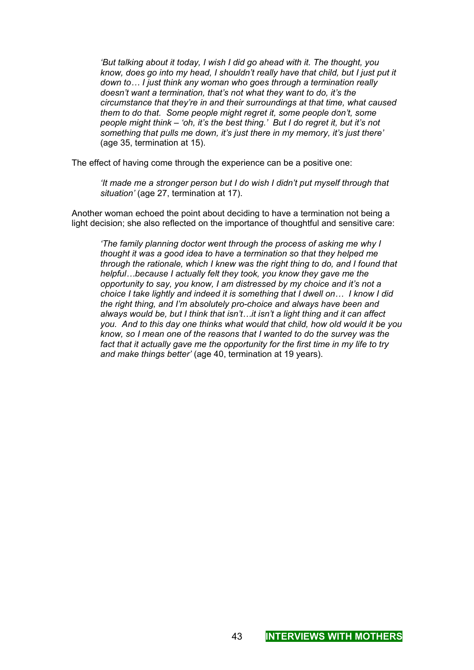*'But talking about it today, I wish I did go ahead with it. The thought, you know, does go into my head, I shouldn't really have that child, but I just put it down to… I just think any woman who goes through a termination really doesn't want a termination, that's not what they want to do, it's the circumstance that they're in and their surroundings at that time, what caused them to do that. Some people might regret it, some people don't, some people might think – 'oh, it's the best thing.' But I do regret it, but it's not something that pulls me down, it's just there in my memory, it's just there'* (age 35, termination at 15).

The effect of having come through the experience can be a positive one:

*'It made me a stronger person but I do wish I didn't put myself through that situation'* (age 27, termination at 17).

Another woman echoed the point about deciding to have a termination not being a light decision; she also reflected on the importance of thoughtful and sensitive care:

*'The family planning doctor went through the process of asking me why I thought it was a good idea to have a termination so that they helped me through the rationale, which I knew was the right thing to do, and I found that helpful…because I actually felt they took, you know they gave me the opportunity to say, you know, I am distressed by my choice and it's not a choice I take lightly and indeed it is something that I dwell on… I know I did the right thing, and I'm absolutely pro-choice and always have been and always would be, but I think that isn't…it isn't a light thing and it can affect you. And to this day one thinks what would that child, how old would it be you know, so I mean one of the reasons that I wanted to do the survey was the fact that it actually gave me the opportunity for the first time in my life to try and make things better'* (age 40, termination at 19 years).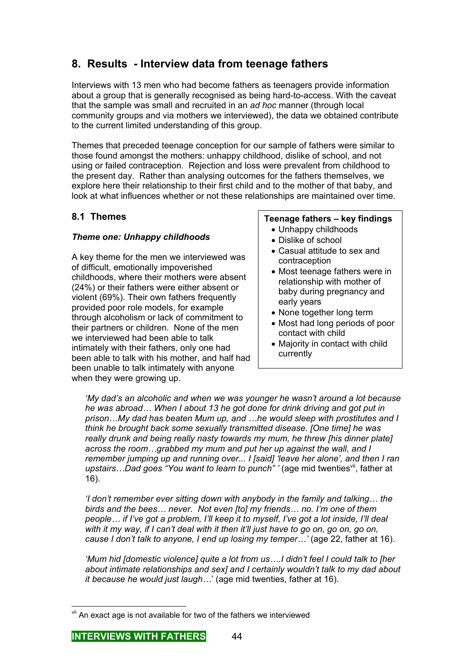# **8. Results - Interview data from teenage fathers**

Interviews with 13 men who had become fathers as teenagers provide information about a group that is generally recognised as being hard-to-access. With the caveat that the sample was small and recruited in an *ad hoc* manner (through local community groups and via mothers we interviewed), the data we obtained contribute to the current limited understanding of this group.

Themes that preceded teenage conception for our sample of fathers were similar to those found amongst the mothers: unhappy childhood, dislike of school, and not using or failed contraception. Rejection and loss were prevalent from childhood to the present day. Rather than analysing outcomes for the fathers themselves, we explore here their relationship to their first child and to the mother of that baby, and look at what influences whether or not these relationships are maintained over time.

# **8.1 Themes**

### *Theme one: Unhappy childhoods*

A key theme for the men we interviewed was of difficult, emotionally impoverished childhoods, where their mothers were absent (24%) or their fathers were either absent or violent (69%). Their own fathers frequently provided poor role models, for example through alcoholism or lack of commitment to their partners or children. None of the men we interviewed had been able to talk intimately with their fathers, only one had been able to talk with his mother, and half had been unable to talk intimately with anyone when they were growing up.

#### **Teenage fathers – key findings**

- Unhappy childhoods
- Dislike of school
- Casual attitude to sex and contraception
- Most teenage fathers were in relationship with mother of baby during pregnancy and early years
- None together long term
- Most had long periods of poor contact with child
- Majority in contact with child currently

*'My dad's an alcoholic and when we was younger he wasn't around a lot because he was abroad… When I about 13 he got done for drink driving and got put in prison…My dad has beaten Mum up, and …he would sleep with prostitutes and I think he brought back some sexually transmitted disease. [One time] he was really drunk and being really nasty towards my mum, he threw [his dinner plate] across the room…grabbed my mum and put her up against the wall, and I remember jumping up and running over... I [said] 'leave her alone', and then I ran*  upstairs...Dad goes "You want to learn to punch" ' (age mid twenties<sup>vii</sup>, father at 16).

*'I don't remember ever sitting down with anybody in the family and talking… the birds and the bees… never. Not even [to] my friends… no. I'm one of them people… if I've got a problem, I'll keep it to myself, I've got a lot inside, I'll deal with it my way, if I can't deal with it then it'll just have to go on, go on, go on, cause I don't talk to anyone, I end up losing my temper…'* (age 22, father at 16).

*'Mum hid [domestic violence] quite a lot from us….I didn't feel I could talk to [her about intimate relationships and sex] and I certainly wouldn't talk to my dad about it because he would just laugh…*' (age mid twenties, father at 16).

**INTERVIEWS WITH FATHERS** 44

 $\overline{a}$ An exact age is not available for two of the fathers we interviewed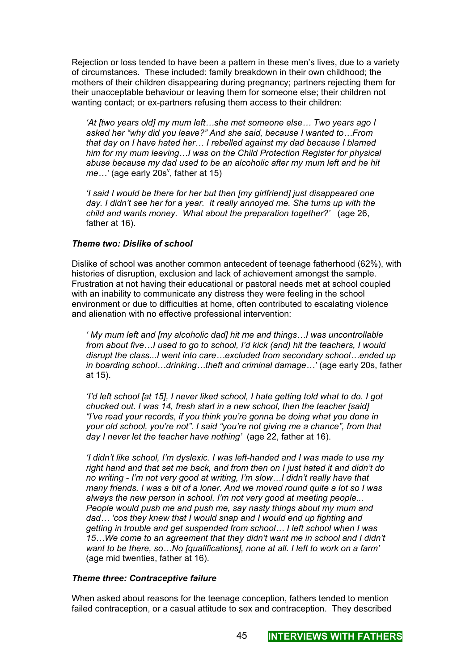Rejection or loss tended to have been a pattern in these men's lives, due to a variety of circumstances. These included: family breakdown in their own childhood; the mothers of their children disappearing during pregnancy; partners rejecting them for their unacceptable behaviour or leaving them for someone else; their children not wanting contact; or ex-partners refusing them access to their children:

*'At [two years old] my mum left…she met someone else… Two years ago I asked her "why did you leave?" And she said, because I wanted to…From that day on I have hated her… I rebelled against my dad because I blamed him for my mum leaving…I was on the Child Protection Register for physical abuse because my dad used to be an alcoholic after my mum left and he hit*  me...' (age early 20s<sup>v</sup>, father at 15)

*'I said I would be there for her but then [my girlfriend] just disappeared one day. I didn't see her for a year. It really annoyed me. She turns up with the child and wants money. What about the preparation together?'* (age 26, father at 16).

#### *Theme two: Dislike of school*

Dislike of school was another common antecedent of teenage fatherhood (62%), with histories of disruption, exclusion and lack of achievement amongst the sample. Frustration at not having their educational or pastoral needs met at school coupled with an inability to communicate any distress they were feeling in the school environment or due to difficulties at home, often contributed to escalating violence and alienation with no effective professional intervention:

*' My mum left and [my alcoholic dad] hit me and things…I was uncontrollable from about five…I used to go to school, I'd kick (and) hit the teachers, I would disrupt the class...I went into care…excluded from secondary school…ended up in boarding school…drinking…theft and criminal damage…'* (age early 20s, father at 15).

*'I'd left school [at 15], I never liked school, I hate getting told what to do. I got chucked out. I was 14, fresh start in a new school, then the teacher [said] "I've read your records, if you think you're gonna be doing what you done in your old school, you're not". I said "you're not giving me a chance", from that day I never let the teacher have nothing'* (age 22, father at 16).

*'I didn't like school, I'm dyslexic. I was left-handed and I was made to use my right hand and that set me back, and from then on I just hated it and didn't do no writing - I'm not very good at writing, I'm slow…I didn't really have that many friends. I was a bit of a loner. And we moved round quite a lot so I was always the new person in school. I'm not very good at meeting people... People would push me and push me, say nasty things about my mum and dad… 'cos they knew that I would snap and I would end up fighting and getting in trouble and get suspended from school… I left school when I was 15…We come to an agreement that they didn't want me in school and I didn't want to be there, so…No [qualifications], none at all. I left to work on a farm'*  (age mid twenties, father at 16).

#### *Theme three: Contraceptive failure*

When asked about reasons for the teenage conception, fathers tended to mention failed contraception, or a casual attitude to sex and contraception. They described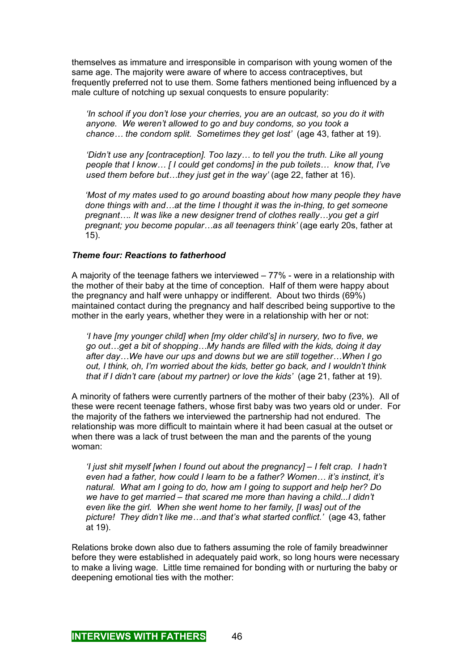themselves as immature and irresponsible in comparison with young women of the same age. The majority were aware of where to access contraceptives, but frequently preferred not to use them. Some fathers mentioned being influenced by a male culture of notching up sexual conquests to ensure popularity:

*'In school if you don't lose your cherries, you are an outcast, so you do it with anyone. We weren't allowed to go and buy condoms, so you took a chance… the condom split. Sometimes they get lost'* (age 43, father at 19).

*'Didn't use any [contraception]. Too lazy… to tell you the truth. Like all young people that I know… [ I could get condoms] in the pub toilets… know that, I've used them before but…they just get in the way'* (age 22, father at 16).

*'Most of my mates used to go around boasting about how many people they have done things with and…at the time I thought it was the in-thing, to get someone pregnant…. It was like a new designer trend of clothes really…you get a girl pregnant; you become popular…as all teenagers think'* (age early 20s, father at 15).

#### *Theme four: Reactions to fatherhood*

A majority of the teenage fathers we interviewed – 77% - were in a relationship with the mother of their baby at the time of conception. Half of them were happy about the pregnancy and half were unhappy or indifferent. About two thirds (69%) maintained contact during the pregnancy and half described being supportive to the mother in the early years, whether they were in a relationship with her or not:

*'I have [my younger child] when [my older child's] in nursery, two to five, we go out…get a bit of shopping…My hands are filled with the kids, doing it day after day…We have our ups and downs but we are still together…When I go out, I think, oh, I'm worried about the kids, better go back, and I wouldn't think that if I didn't care (about my partner) or love the kids'* (age 21, father at 19).

A minority of fathers were currently partners of the mother of their baby (23%). All of these were recent teenage fathers, whose first baby was two years old or under. For the majority of the fathers we interviewed the partnership had not endured. The relationship was more difficult to maintain where it had been casual at the outset or when there was a lack of trust between the man and the parents of the young woman:

*'I just shit myself [when I found out about the pregnancy] – I felt crap. I hadn't even had a father, how could I learn to be a father? Women… it's instinct, it's natural. What am I going to do, how am I going to support and help her? Do we have to get married – that scared me more than having a child...I didn't even like the girl. When she went home to her family, [I was] out of the picture! They didn't like me…and that's what started conflict.'* (age 43, father at 19).

Relations broke down also due to fathers assuming the role of family breadwinner before they were established in adequately paid work, so long hours were necessary to make a living wage. Little time remained for bonding with or nurturing the baby or deepening emotional ties with the mother: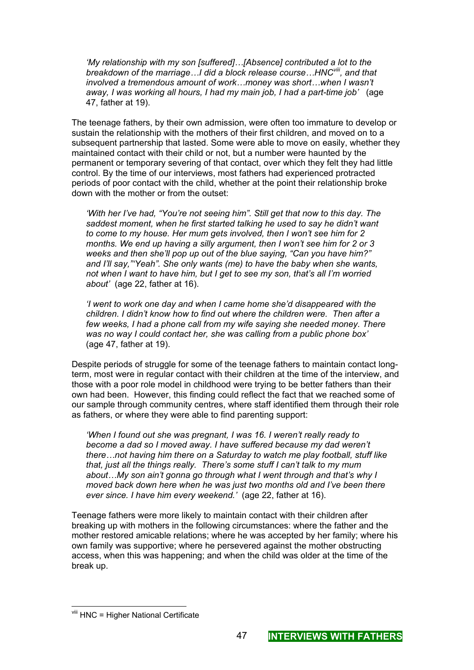*'My relationship with my son [suffered]…[Absence] contributed a lot to the breakdown of the marriage…I did a block release course…HNCviii, and that involved a tremendous amount of work…money was short…when I wasn't away, I was working all hours, I had my main job, I had a part-time job'* (age 47, father at 19).

The teenage fathers, by their own admission, were often too immature to develop or sustain the relationship with the mothers of their first children, and moved on to a subsequent partnership that lasted. Some were able to move on easily, whether they maintained contact with their child or not, but a number were haunted by the permanent or temporary severing of that contact, over which they felt they had little control. By the time of our interviews, most fathers had experienced protracted periods of poor contact with the child, whether at the point their relationship broke down with the mother or from the outset:

*'With her I've had, "You're not seeing him". Still get that now to this day. The saddest moment, when he first started talking he used to say he didn't want to come to my house. Her mum gets involved, then I won't see him for 2 months. We end up having a silly argument, then I won't see him for 2 or 3 weeks and then she'll pop up out of the blue saying, "Can you have him?" and I'll say,"'Yeah". She only wants (me) to have the baby when she wants, not when I want to have him, but I get to see my son, that's all I'm worried about'* (age 22, father at 16).

*'I went to work one day and when I came home she'd disappeared with the children. I didn't know how to find out where the children were. Then after a few weeks, I had a phone call from my wife saying she needed money. There was no way I could contact her, she was calling from a public phone box'*  (age 47, father at 19).

Despite periods of struggle for some of the teenage fathers to maintain contact longterm, most were in regular contact with their children at the time of the interview, and those with a poor role model in childhood were trying to be better fathers than their own had been. However, this finding could reflect the fact that we reached some of our sample through community centres, where staff identified them through their role as fathers, or where they were able to find parenting support:

*'When I found out she was pregnant, I was 16. I weren't really ready to become a dad so I moved away. I have suffered because my dad weren't there…not having him there on a Saturday to watch me play football, stuff like that, just all the things really. There's some stuff I can't talk to my mum about…My son ain't gonna go through what I went through and that's why I moved back down here when he was just two months old and I've been there ever since. I have him every weekend.'* (age 22, father at 16).

Teenage fathers were more likely to maintain contact with their children after breaking up with mothers in the following circumstances: where the father and the mother restored amicable relations; where he was accepted by her family; where his own family was supportive; where he persevered against the mother obstructing access, when this was happening; and when the child was older at the time of the break up.

 $\overline{a}$ 

viii HNC = Higher National Certificate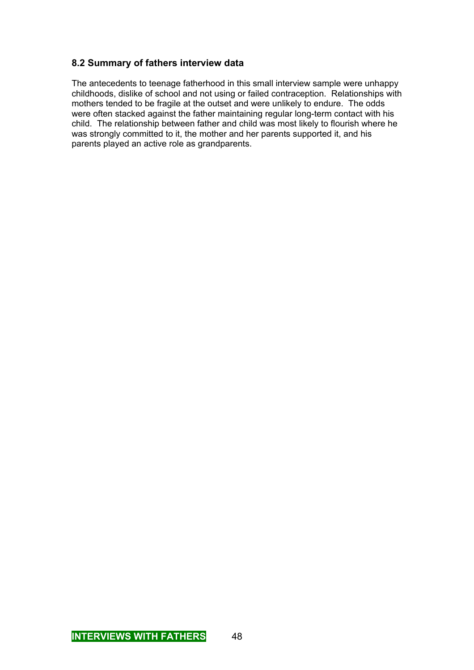# **8.2 Summary of fathers interview data**

The antecedents to teenage fatherhood in this small interview sample were unhappy childhoods, dislike of school and not using or failed contraception. Relationships with mothers tended to be fragile at the outset and were unlikely to endure. The odds were often stacked against the father maintaining regular long-term contact with his child. The relationship between father and child was most likely to flourish where he was strongly committed to it, the mother and her parents supported it, and his parents played an active role as grandparents.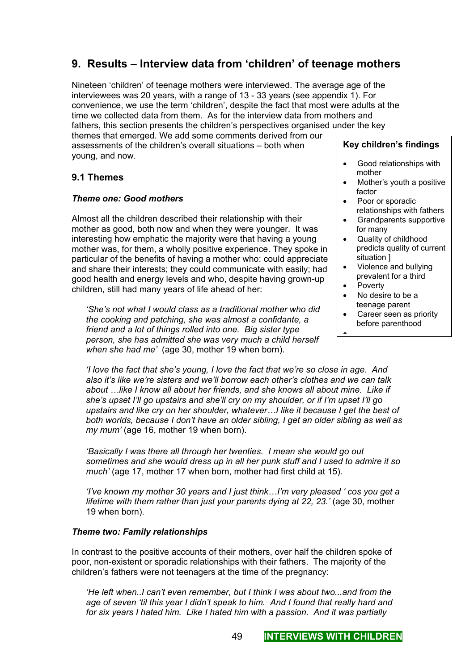# **9. Results – Interview data from 'children' of teenage mothers**

Nineteen 'children' of teenage mothers were interviewed. The average age of the interviewees was 20 years, with a range of 13 - 33 years (see appendix 1). For convenience, we use the term 'children', despite the fact that most were adults at the time we collected data from them. As for the interview data from mothers and fathers, this section presents the children's perspectives organised under the key themes that emerged. We add some comments derived from our assessments of the children's overall situations – both when young, and now.

# **9.1 Themes**

#### *Theme one: Good mothers*

Almost all the children described their relationship with their mother as good, both now and when they were younger. It was interesting how emphatic the majority were that having a young mother was, for them, a wholly positive experience. They spoke in particular of the benefits of having a mother who: could appreciate and share their interests; they could communicate with easily; had good health and energy levels and who, despite having grown-up children, still had many years of life ahead of her:

*'She's not what I would class as a traditional mother who did the cooking and patching, she was almost a confidante, a friend and a lot of things rolled into one. Big sister type person, she has admitted she was very much a child herself when she had me'* (age 30, mother 19 when born).

#### **Key children's findings**

- Good relationships with mother
- Mother's youth a positive factor
- Poor or sporadic relationships with fathers
- Grandparents supportive for many
- Quality of childhood predicts quality of current situation ]
- Violence and bullying prevalent for a third
- **Poverty**

•

- No desire to be a teenage parent
- Career seen as priority before parenthood

*'I love the fact that she's young, I love the fact that we're so close in age. And also it's like we're sisters and we'll borrow each other's clothes and we can talk about …like I know all about her friends, and she knows all about mine. Like if she's upset I'll go upstairs and she'll cry on my shoulder, or if I'm upset I'll go upstairs and like cry on her shoulder, whatever…I like it because I get the best of both worlds, because I don't have an older sibling, I get an older sibling as well as my mum'* (age 16, mother 19 when born).

*'Basically I was there all through her twenties. I mean she would go out sometimes and she would dress up in all her punk stuff and I used to admire it so much'* (age 17, mother 17 when born, mother had first child at 15).

*'I've known my mother 30 years and I just think…I'm very pleased ' cos you get a lifetime with them rather than just your parents dying at 22, 23.'* (age 30, mother 19 when born).

### *Theme two: Family relationships*

In contrast to the positive accounts of their mothers, over half the children spoke of poor, non-existent or sporadic relationships with their fathers. The majority of the children's fathers were not teenagers at the time of the pregnancy:

*'He left when..I can't even remember, but I think I was about two...and from the age of seven 'til this year I didn't speak to him. And I found that really hard and for six years I hated him. Like I hated him with a passion. And it was partially*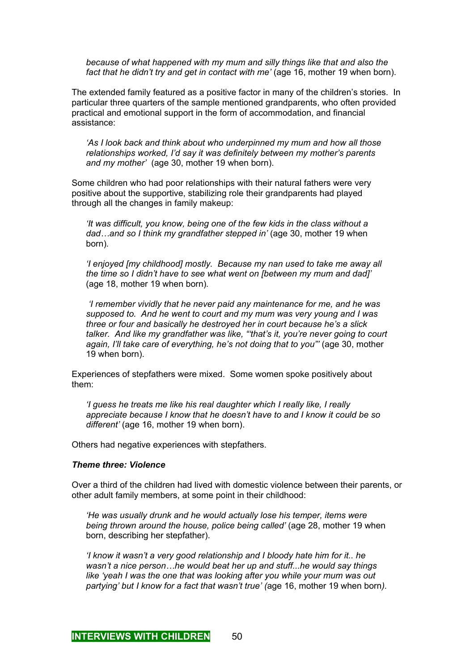*because of what happened with my mum and silly things like that and also the fact that he didn't try and get in contact with me'* (age 16, mother 19 when born).

The extended family featured as a positive factor in many of the children's stories. In particular three quarters of the sample mentioned grandparents, who often provided practical and emotional support in the form of accommodation, and financial assistance:

*'As I look back and think about who underpinned my mum and how all those relationships worked, I'd say it was definitely between my mother's parents and my mother'* (age 30, mother 19 when born).

Some children who had poor relationships with their natural fathers were very positive about the supportive, stabilizing role their grandparents had played through all the changes in family makeup:

*'It was difficult, you know, being one of the few kids in the class without a dad…and so I think my grandfather stepped in'* (age 30, mother 19 when born)*.* 

*'I enjoyed [my childhood] mostly. Because my nan used to take me away all the time so I didn't have to see what went on [between my mum and dad]'*  (age 18, mother 19 when born)*.* 

 *'I remember vividly that he never paid any maintenance for me, and he was supposed to. And he went to court and my mum was very young and I was three or four and basically he destroyed her in court because he's a slick talker. And like my grandfather was like, "'that's it, you're never going to court again, I'll take care of everything, he's not doing that to you"'* (age 30, mother 19 when born).

Experiences of stepfathers were mixed. Some women spoke positively about them:

*'I guess he treats me like his real daughter which I really like, I really appreciate because I know that he doesn't have to and I know it could be so different'* (age 16, mother 19 when born).

Others had negative experiences with stepfathers.

#### *Theme three: Violence*

Over a third of the children had lived with domestic violence between their parents, or other adult family members, at some point in their childhood:

*'He was usually drunk and he would actually lose his temper, items were being thrown around the house, police being called'* (age 28, mother 19 when born, describing her stepfather).

*'I know it wasn't a very good relationship and I bloody hate him for it.. he wasn't a nice person…he would beat her up and stuff...he would say things like 'yeah I was the one that was looking after you while your mum was out partying' but I know for a fact that wasn't true' (*age 16, mother 19 when born*).*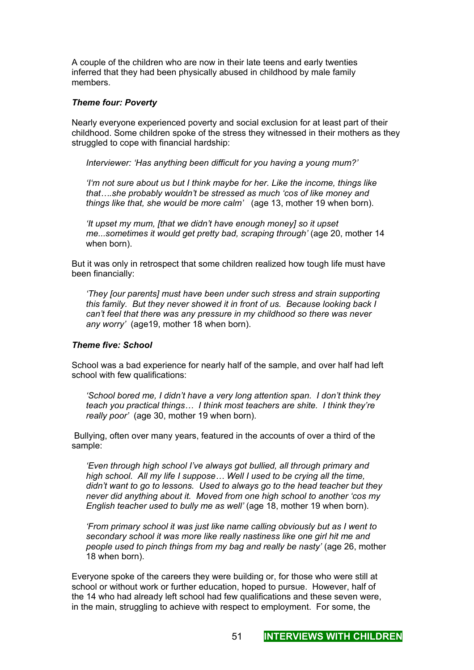A couple of the children who are now in their late teens and early twenties inferred that they had been physically abused in childhood by male family members.

#### *Theme four: Poverty*

Nearly everyone experienced poverty and social exclusion for at least part of their childhood. Some children spoke of the stress they witnessed in their mothers as they struggled to cope with financial hardship:

*Interviewer: 'Has anything been difficult for you having a young mum?'* 

*'I'm not sure about us but I think maybe for her. Like the income, things like that….she probably wouldn't be stressed as much 'cos of like money and things like that, she would be more calm'* (age 13, mother 19 when born).

*'It upset my mum, [that we didn't have enough money] so it upset me...sometimes it would get pretty bad, scraping through'* (age 20, mother 14 when born).

But it was only in retrospect that some children realized how tough life must have been financially:

*'They [our parents] must have been under such stress and strain supporting this family. But they never showed it in front of us. Because looking back I can't feel that there was any pressure in my childhood so there was never any worry'* (age19, mother 18 when born).

#### *Theme five: School*

School was a bad experience for nearly half of the sample, and over half had left school with few qualifications:

*'School bored me, I didn't have a very long attention span. I don't think they teach you practical things… I think most teachers are shite. I think they're really poor'* (age 30, mother 19 when born).

 Bullying, often over many years, featured in the accounts of over a third of the sample:

*'Even through high school I've always got bullied, all through primary and high school. All my life I suppose… Well I used to be crying all the time, didn't want to go to lessons. Used to always go to the head teacher but they never did anything about it. Moved from one high school to another 'cos my English teacher used to bully me as well'* (age 18, mother 19 when born).

*'From primary school it was just like name calling obviously but as I went to secondary school it was more like really nastiness like one girl hit me and people used to pinch things from my bag and really be nasty'* (age 26, mother 18 when born).

Everyone spoke of the careers they were building or, for those who were still at school or without work or further education, hoped to pursue. However, half of the 14 who had already left school had few qualifications and these seven were, in the main, struggling to achieve with respect to employment. For some, the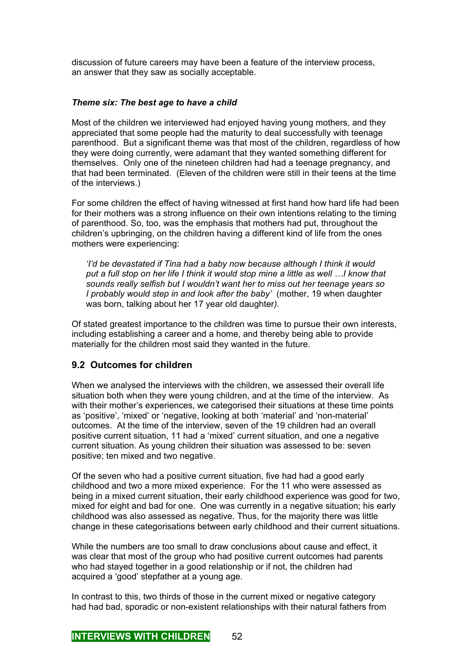discussion of future careers may have been a feature of the interview process, an answer that they saw as socially acceptable.

#### *Theme six: The best age to have a child*

Most of the children we interviewed had enjoyed having young mothers, and they appreciated that some people had the maturity to deal successfully with teenage parenthood. But a significant theme was that most of the children, regardless of how they were doing currently, were adamant that they wanted something different for themselves. Only one of the nineteen children had had a teenage pregnancy, and that had been terminated. (Eleven of the children were still in their teens at the time of the interviews.)

For some children the effect of having witnessed at first hand how hard life had been for their mothers was a strong influence on their own intentions relating to the timing of parenthood. So, too, was the emphasis that mothers had put, throughout the children's upbringing, on the children having a different kind of life from the ones mothers were experiencing:

*'I'd be devastated if Tina had a baby now because although I think it would put a full stop on her life I think it would stop mine a little as well …I know that sounds really selfish but I wouldn't want her to miss out her teenage years so I probably would step in and look after the baby'* (mother, 19 when daughter was born, talking about her 17 year old daughter*).* 

Of stated greatest importance to the children was time to pursue their own interests, including establishing a career and a home, and thereby being able to provide materially for the children most said they wanted in the future.

# **9.2 Outcomes for children**

When we analysed the interviews with the children, we assessed their overall life situation both when they were young children, and at the time of the interview. As with their mother's experiences, we categorised their situations at these time points as 'positive', 'mixed' or 'negative, looking at both 'material' and 'non-material' outcomes. At the time of the interview, seven of the 19 children had an overall positive current situation, 11 had a 'mixed' current situation, and one a negative current situation. As young children their situation was assessed to be: seven positive; ten mixed and two negative.

Of the seven who had a positive current situation, five had had a good early childhood and two a more mixed experience. For the 11 who were assessed as being in a mixed current situation, their early childhood experience was good for two, mixed for eight and bad for one. One was currently in a negative situation; his early childhood was also assessed as negative. Thus, for the majority there was little change in these categorisations between early childhood and their current situations.

While the numbers are too small to draw conclusions about cause and effect, it was clear that most of the group who had positive current outcomes had parents who had stayed together in a good relationship or if not, the children had acquired a 'good' stepfather at a young age.

In contrast to this, two thirds of those in the current mixed or negative category had had bad, sporadic or non-existent relationships with their natural fathers from

# **INTERVIEWS WITH CHILDREN** 52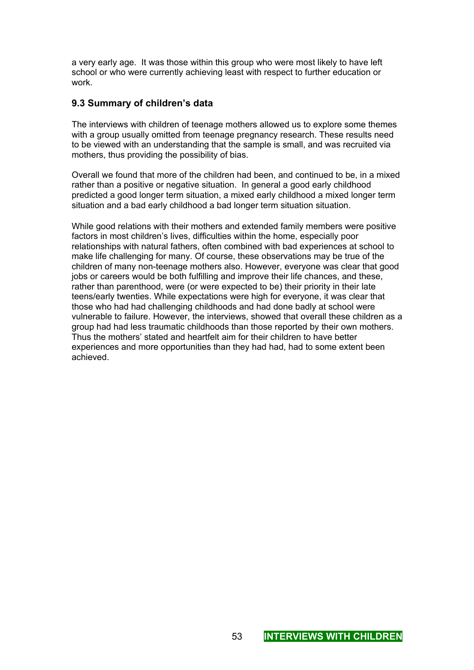a very early age. It was those within this group who were most likely to have left school or who were currently achieving least with respect to further education or work.

### **9.3 Summary of children's data**

The interviews with children of teenage mothers allowed us to explore some themes with a group usually omitted from teenage pregnancy research. These results need to be viewed with an understanding that the sample is small, and was recruited via mothers, thus providing the possibility of bias.

Overall we found that more of the children had been, and continued to be, in a mixed rather than a positive or negative situation. In general a good early childhood predicted a good longer term situation, a mixed early childhood a mixed longer term situation and a bad early childhood a bad longer term situation situation.

While good relations with their mothers and extended family members were positive factors in most children's lives, difficulties within the home, especially poor relationships with natural fathers, often combined with bad experiences at school to make life challenging for many. Of course, these observations may be true of the children of many non-teenage mothers also. However, everyone was clear that good jobs or careers would be both fulfilling and improve their life chances, and these, rather than parenthood, were (or were expected to be) their priority in their late teens/early twenties. While expectations were high for everyone, it was clear that those who had had challenging childhoods and had done badly at school were vulnerable to failure. However, the interviews, showed that overall these children as a group had had less traumatic childhoods than those reported by their own mothers. Thus the mothers' stated and heartfelt aim for their children to have better experiences and more opportunities than they had had, had to some extent been achieved.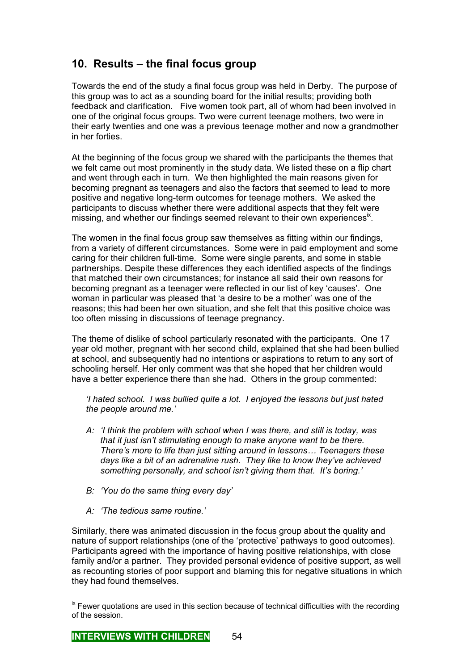# **10. Results – the final focus group**

Towards the end of the study a final focus group was held in Derby. The purpose of this group was to act as a sounding board for the initial results; providing both feedback and clarification. Five women took part, all of whom had been involved in one of the original focus groups. Two were current teenage mothers, two were in their early twenties and one was a previous teenage mother and now a grandmother in her forties.

At the beginning of the focus group we shared with the participants the themes that we felt came out most prominently in the study data. We listed these on a flip chart and went through each in turn. We then highlighted the main reasons given for becoming pregnant as teenagers and also the factors that seemed to lead to more positive and negative long-term outcomes for teenage mothers. We asked the participants to discuss whether there were additional aspects that they felt were missing, and whether our findings seemed relevant to their own experiences<sup>ix</sup>.

The women in the final focus group saw themselves as fitting within our findings, from a variety of different circumstances. Some were in paid employment and some caring for their children full-time. Some were single parents, and some in stable partnerships. Despite these differences they each identified aspects of the findings that matched their own circumstances; for instance all said their own reasons for becoming pregnant as a teenager were reflected in our list of key 'causes'. One woman in particular was pleased that 'a desire to be a mother' was one of the reasons; this had been her own situation, and she felt that this positive choice was too often missing in discussions of teenage pregnancy.

The theme of dislike of school particularly resonated with the participants. One 17 year old mother, pregnant with her second child, explained that she had been bullied at school, and subsequently had no intentions or aspirations to return to any sort of schooling herself. Her only comment was that she hoped that her children would have a better experience there than she had. Others in the group commented:

*'I hated school. I was bullied quite a lot. I enjoyed the lessons but just hated the people around me.'* 

- *A: 'I think the problem with school when I was there, and still is today, was that it just isn't stimulating enough to make anyone want to be there. There's more to life than just sitting around in lessons… Teenagers these days like a bit of an adrenaline rush. They like to know they've achieved something personally, and school isn't giving them that. It's boring.'*
- *B: 'You do the same thing every day'*
- *A: 'The tedious same routine.'*

Similarly, there was animated discussion in the focus group about the quality and nature of support relationships (one of the 'protective' pathways to good outcomes). Participants agreed with the importance of having positive relationships, with close family and/or a partner. They provided personal evidence of positive support, as well as recounting stories of poor support and blaming this for negative situations in which they had found themselves.

**INTERVIEWS WITH CHILDREN** 54

 $\overline{a}$ 

 $\frac{1}{x}$  Fewer quotations are used in this section because of technical difficulties with the recording of the session.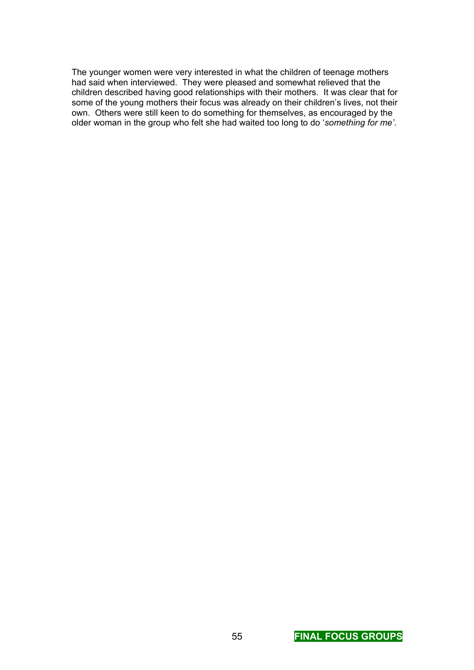The younger women were very interested in what the children of teenage mothers had said when interviewed. They were pleased and somewhat relieved that the children described having good relationships with their mothers. It was clear that for some of the young mothers their focus was already on their children's lives, not their own. Others were still keen to do something for themselves, as encouraged by the older woman in the group who felt she had waited too long to do '*something for me'*.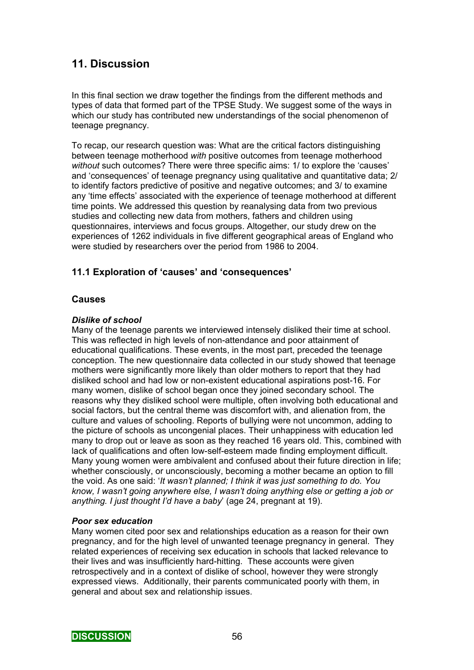# **11. Discussion**

In this final section we draw together the findings from the different methods and types of data that formed part of the TPSE Study. We suggest some of the ways in which our study has contributed new understandings of the social phenomenon of teenage pregnancy.

To recap, our research question was: What are the critical factors distinguishing between teenage motherhood *with* positive outcomes from teenage motherhood *without* such outcomes? There were three specific aims: 1/ to explore the 'causes' and 'consequences' of teenage pregnancy using qualitative and quantitative data; 2/ to identify factors predictive of positive and negative outcomes; and 3/ to examine any 'time effects' associated with the experience of teenage motherhood at different time points. We addressed this question by reanalysing data from two previous studies and collecting new data from mothers, fathers and children using questionnaires, interviews and focus groups. Altogether, our study drew on the experiences of 1262 individuals in five different geographical areas of England who were studied by researchers over the period from 1986 to 2004.

# **11.1 Exploration of 'causes' and 'consequences'**

### **Causes**

### *Dislike of school*

Many of the teenage parents we interviewed intensely disliked their time at school. This was reflected in high levels of non-attendance and poor attainment of educational qualifications. These events, in the most part, preceded the teenage conception. The new questionnaire data collected in our study showed that teenage mothers were significantly more likely than older mothers to report that they had disliked school and had low or non-existent educational aspirations post-16. For many women, dislike of school began once they joined secondary school. The reasons why they disliked school were multiple, often involving both educational and social factors, but the central theme was discomfort with, and alienation from, the culture and values of schooling. Reports of bullying were not uncommon, adding to the picture of schools as uncongenial places. Their unhappiness with education led many to drop out or leave as soon as they reached 16 years old. This, combined with lack of qualifications and often low-self-esteem made finding employment difficult. Many young women were ambivalent and confused about their future direction in life; whether consciously, or unconsciously, becoming a mother became an option to fill the void. As one said: '*It wasn't planned; I think it was just something to do. You know, I wasn't going anywhere else, I wasn't doing anything else or getting a job or anything. I just thought I'd have a baby*' (age 24, pregnant at 19).

### *Poor sex education*

Many women cited poor sex and relationships education as a reason for their own pregnancy, and for the high level of unwanted teenage pregnancy in general. They related experiences of receiving sex education in schools that lacked relevance to their lives and was insufficiently hard-hitting. These accounts were given retrospectively and in a context of dislike of school, however they were strongly expressed views. Additionally, their parents communicated poorly with them, in general and about sex and relationship issues.

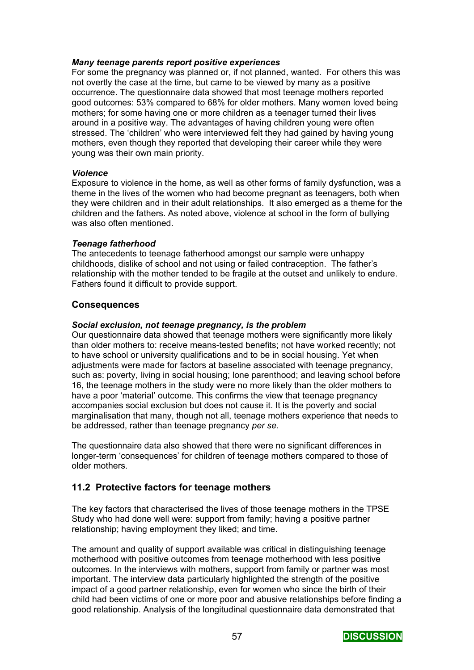#### *Many teenage parents report positive experiences*

For some the pregnancy was planned or, if not planned, wanted. For others this was not overtly the case at the time, but came to be viewed by many as a positive occurrence. The questionnaire data showed that most teenage mothers reported good outcomes: 53% compared to 68% for older mothers. Many women loved being mothers; for some having one or more children as a teenager turned their lives around in a positive way. The advantages of having children young were often stressed. The 'children' who were interviewed felt they had gained by having young mothers, even though they reported that developing their career while they were young was their own main priority.

#### *Violence*

Exposure to violence in the home, as well as other forms of family dysfunction, was a theme in the lives of the women who had become pregnant as teenagers, both when they were children and in their adult relationships. It also emerged as a theme for the children and the fathers. As noted above, violence at school in the form of bullying was also often mentioned.

#### *Teenage fatherhood*

The antecedents to teenage fatherhood amongst our sample were unhappy childhoods, dislike of school and not using or failed contraception. The father's relationship with the mother tended to be fragile at the outset and unlikely to endure. Fathers found it difficult to provide support.

### **Consequences**

#### *Social exclusion, not teenage pregnancy, is the problem*

Our questionnaire data showed that teenage mothers were significantly more likely than older mothers to: receive means-tested benefits; not have worked recently; not to have school or university qualifications and to be in social housing. Yet when adjustments were made for factors at baseline associated with teenage pregnancy, such as: poverty, living in social housing; lone parenthood; and leaving school before 16, the teenage mothers in the study were no more likely than the older mothers to have a poor 'material' outcome. This confirms the view that teenage pregnancy accompanies social exclusion but does not cause it. It is the poverty and social marginalisation that many, though not all, teenage mothers experience that needs to be addressed, rather than teenage pregnancy *per se*.

The questionnaire data also showed that there were no significant differences in longer-term 'consequences' for children of teenage mothers compared to those of older mothers.

# **11.2 Protective factors for teenage mothers**

The key factors that characterised the lives of those teenage mothers in the TPSE Study who had done well were: support from family; having a positive partner relationship; having employment they liked; and time.

The amount and quality of support available was critical in distinguishing teenage motherhood with positive outcomes from teenage motherhood with less positive outcomes. In the interviews with mothers, support from family or partner was most important. The interview data particularly highlighted the strength of the positive impact of a good partner relationship, even for women who since the birth of their child had been victims of one or more poor and abusive relationships before finding a good relationship. Analysis of the longitudinal questionnaire data demonstrated that

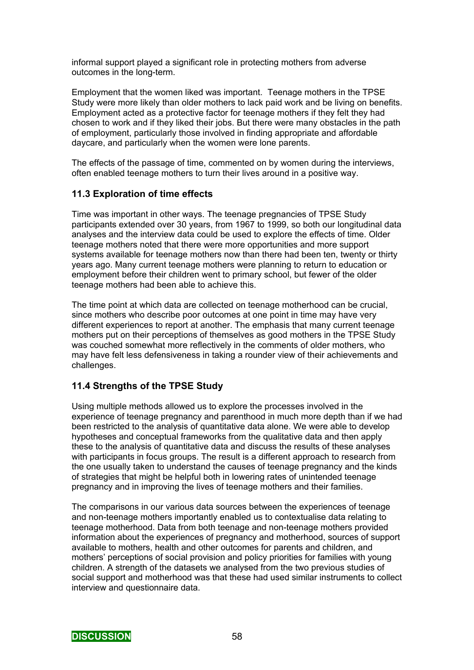informal support played a significant role in protecting mothers from adverse outcomes in the long-term.

Employment that the women liked was important. Teenage mothers in the TPSE Study were more likely than older mothers to lack paid work and be living on benefits. Employment acted as a protective factor for teenage mothers if they felt they had chosen to work and if they liked their jobs. But there were many obstacles in the path of employment, particularly those involved in finding appropriate and affordable daycare, and particularly when the women were lone parents.

The effects of the passage of time, commented on by women during the interviews, often enabled teenage mothers to turn their lives around in a positive way.

# **11.3 Exploration of time effects**

Time was important in other ways. The teenage pregnancies of TPSE Study participants extended over 30 years, from 1967 to 1999, so both our longitudinal data analyses and the interview data could be used to explore the effects of time. Older teenage mothers noted that there were more opportunities and more support systems available for teenage mothers now than there had been ten, twenty or thirty years ago. Many current teenage mothers were planning to return to education or employment before their children went to primary school, but fewer of the older teenage mothers had been able to achieve this.

The time point at which data are collected on teenage motherhood can be crucial, since mothers who describe poor outcomes at one point in time may have very different experiences to report at another. The emphasis that many current teenage mothers put on their perceptions of themselves as good mothers in the TPSE Study was couched somewhat more reflectively in the comments of older mothers, who may have felt less defensiveness in taking a rounder view of their achievements and challenges.

# **11.4 Strengths of the TPSE Study**

Using multiple methods allowed us to explore the processes involved in the experience of teenage pregnancy and parenthood in much more depth than if we had been restricted to the analysis of quantitative data alone. We were able to develop hypotheses and conceptual frameworks from the qualitative data and then apply these to the analysis of quantitative data and discuss the results of these analyses with participants in focus groups. The result is a different approach to research from the one usually taken to understand the causes of teenage pregnancy and the kinds of strategies that might be helpful both in lowering rates of unintended teenage pregnancy and in improving the lives of teenage mothers and their families.

The comparisons in our various data sources between the experiences of teenage and non-teenage mothers importantly enabled us to contextualise data relating to teenage motherhood. Data from both teenage and non-teenage mothers provided information about the experiences of pregnancy and motherhood, sources of support available to mothers, health and other outcomes for parents and children, and mothers' perceptions of social provision and policy priorities for families with young children. A strength of the datasets we analysed from the two previous studies of social support and motherhood was that these had used similar instruments to collect interview and questionnaire data.

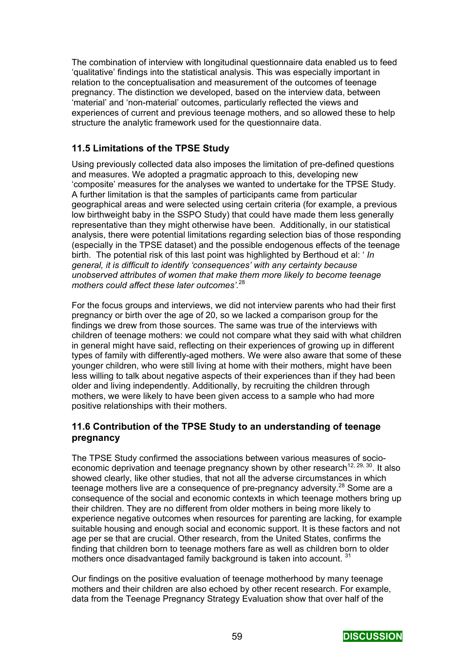The combination of interview with longitudinal questionnaire data enabled us to feed 'qualitative' findings into the statistical analysis. This was especially important in relation to the conceptualisation and measurement of the outcomes of teenage pregnancy. The distinction we developed, based on the interview data, between 'material' and 'non-material' outcomes, particularly reflected the views and experiences of current and previous teenage mothers, and so allowed these to help structure the analytic framework used for the questionnaire data.

# **11.5 Limitations of the TPSE Study**

Using previously collected data also imposes the limitation of pre-defined questions and measures. We adopted a pragmatic approach to this, developing new 'composite' measures for the analyses we wanted to undertake for the TPSE Study. A further limitation is that the samples of participants came from particular geographical areas and were selected using certain criteria (for example, a previous low birthweight baby in the SSPO Study) that could have made them less generally representative than they might otherwise have been. Additionally, in our statistical analysis, there were potential limitations regarding selection bias of those responding (especially in the TPSE dataset) and the possible endogenous effects of the teenage birth. The potential risk of this last point was highlighted by Berthoud et al: ' *In general, it is difficult to identify 'consequences' with any certainty because unobserved attributes of women that make them more likely to become teenage mothers could affect these later outcomes'.*28

For the focus groups and interviews, we did not interview parents who had their first pregnancy or birth over the age of 20, so we lacked a comparison group for the findings we drew from those sources. The same was true of the interviews with children of teenage mothers: we could not compare what they said with what children in general might have said, reflecting on their experiences of growing up in different types of family with differently-aged mothers. We were also aware that some of these younger children, who were still living at home with their mothers, might have been less willing to talk about negative aspects of their experiences than if they had been older and living independently. Additionally, by recruiting the children through mothers, we were likely to have been given access to a sample who had more positive relationships with their mothers.

# **11.6 Contribution of the TPSE Study to an understanding of teenage pregnancy**

The TPSE Study confirmed the associations between various measures of socioeconomic deprivation and teenage pregnancy shown by other research<sup>12, 29, 30</sup>. It also showed clearly, like other studies, that not all the adverse circumstances in which teenage mothers live are a consequence of pre-pregnancy adversity.<sup>28</sup> Some are a consequence of the social and economic contexts in which teenage mothers bring up their children. They are no different from older mothers in being more likely to experience negative outcomes when resources for parenting are lacking, for example suitable housing and enough social and economic support. It is these factors and not age per se that are crucial. Other research, from the United States, confirms the finding that children born to teenage mothers fare as well as children born to older mothers once disadvantaged family background is taken into account.<sup>31</sup>

Our findings on the positive evaluation of teenage motherhood by many teenage mothers and their children are also echoed by other recent research. For example, data from the Teenage Pregnancy Strategy Evaluation show that over half of the

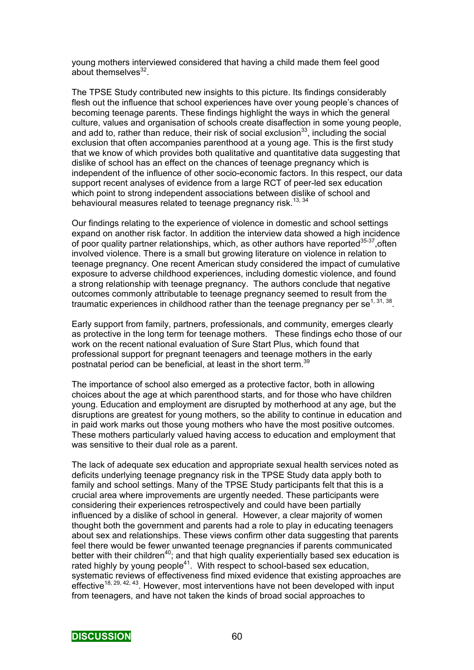young mothers interviewed considered that having a child made them feel good about themselves $32$ .

The TPSE Study contributed new insights to this picture. Its findings considerably flesh out the influence that school experiences have over young people's chances of becoming teenage parents. These findings highlight the ways in which the general culture, values and organisation of schools create disaffection in some young people, and add to, rather than reduce, their risk of social exclusion $^{33}$ , including the social exclusion that often accompanies parenthood at a young age. This is the first study that we know of which provides both qualitative and quantitative data suggesting that dislike of school has an effect on the chances of teenage pregnancy which is independent of the influence of other socio-economic factors. In this respect, our data support recent analyses of evidence from a large RCT of peer-led sex education which point to strong independent associations between dislike of school and behavioural measures related to teenage pregnancy risk.<sup>13, 34</sup>

Our findings relating to the experience of violence in domestic and school settings expand on another risk factor. In addition the interview data showed a high incidence of poor quality partner relationships, which, as other authors have reported  $35-37$ , often involved violence. There is a small but growing literature on violence in relation to teenage pregnancy. One recent American study considered the impact of cumulative exposure to adverse childhood experiences, including domestic violence, and found a strong relationship with teenage pregnancy. The authors conclude that negative outcomes commonly attributable to teenage pregnancy seemed to result from the traumatic experiences in childhood rather than the teenage pregnancy per se<sup>1, 31, 38</sup>.

Early support from family, partners, professionals, and community, emerges clearly as protective in the long term for teenage mothers. These findings echo those of our work on the recent national evaluation of Sure Start Plus, which found that professional support for pregnant teenagers and teenage mothers in the early postnatal period can be beneficial, at least in the short term.<sup>39</sup>

The importance of school also emerged as a protective factor, both in allowing choices about the age at which parenthood starts, and for those who have children young. Education and employment are disrupted by motherhood at any age, but the disruptions are greatest for young mothers, so the ability to continue in education and in paid work marks out those young mothers who have the most positive outcomes. These mothers particularly valued having access to education and employment that was sensitive to their dual role as a parent.

The lack of adequate sex education and appropriate sexual health services noted as deficits underlying teenage pregnancy risk in the TPSE Study data apply both to family and school settings. Many of the TPSE Study participants felt that this is a crucial area where improvements are urgently needed. These participants were considering their experiences retrospectively and could have been partially influenced by a dislike of school in general. However, a clear majority of women thought both the government and parents had a role to play in educating teenagers about sex and relationships. These views confirm other data suggesting that parents feel there would be fewer unwanted teenage pregnancies if parents communicated better with their children<sup>40</sup>; and that high quality experientially based sex education is rated highly by young people<sup>41</sup>. With respect to school-based sex education, systematic reviews of effectiveness find mixed evidence that existing approaches are effective<sup>18, 29, 42, 43</sup>. However, most interventions have not been developed with input from teenagers, and have not taken the kinds of broad social approaches to

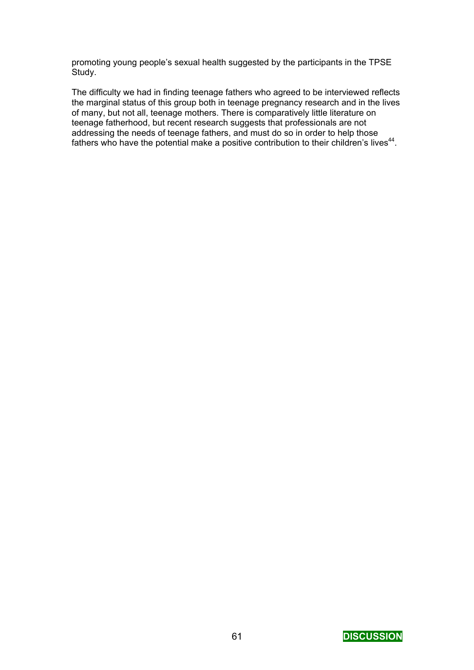promoting young people's sexual health suggested by the participants in the TPSE Study.

The difficulty we had in finding teenage fathers who agreed to be interviewed reflects the marginal status of this group both in teenage pregnancy research and in the lives of many, but not all, teenage mothers. There is comparatively little literature on teenage fatherhood, but recent research suggests that professionals are not addressing the needs of teenage fathers, and must do so in order to help those fathers who have the potential make a positive contribution to their children's lives<sup>44</sup>.

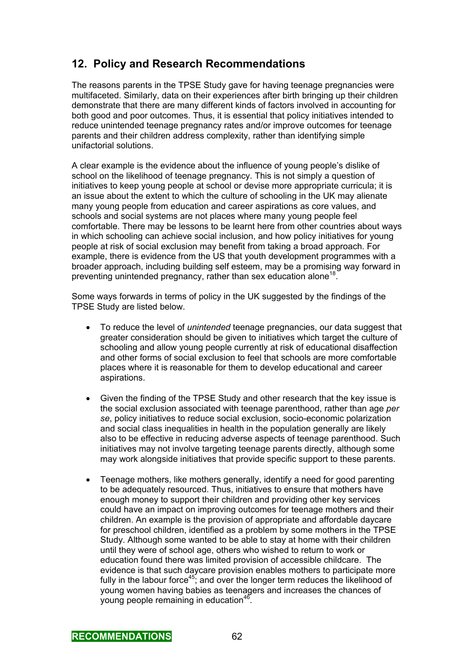# **12. Policy and Research Recommendations**

The reasons parents in the TPSE Study gave for having teenage pregnancies were multifaceted. Similarly, data on their experiences after birth bringing up their children demonstrate that there are many different kinds of factors involved in accounting for both good and poor outcomes. Thus, it is essential that policy initiatives intended to reduce unintended teenage pregnancy rates and/or improve outcomes for teenage parents and their children address complexity, rather than identifying simple unifactorial solutions.

A clear example is the evidence about the influence of young people's dislike of school on the likelihood of teenage pregnancy. This is not simply a question of initiatives to keep young people at school or devise more appropriate curricula; it is an issue about the extent to which the culture of schooling in the UK may alienate many young people from education and career aspirations as core values, and schools and social systems are not places where many young people feel comfortable. There may be lessons to be learnt here from other countries about ways in which schooling can achieve social inclusion, and how policy initiatives for young people at risk of social exclusion may benefit from taking a broad approach. For example, there is evidence from the US that youth development programmes with a broader approach, including building self esteem, may be a promising way forward in preventing unintended pregnancy, rather than sex education alone<sup>18</sup>.

Some ways forwards in terms of policy in the UK suggested by the findings of the TPSE Study are listed below.

- To reduce the level of *unintended* teenage pregnancies, our data suggest that greater consideration should be given to initiatives which target the culture of schooling and allow young people currently at risk of educational disaffection and other forms of social exclusion to feel that schools are more comfortable places where it is reasonable for them to develop educational and career aspirations.
- Given the finding of the TPSE Study and other research that the key issue is the social exclusion associated with teenage parenthood, rather than age *per se*, policy initiatives to reduce social exclusion, socio-economic polarization and social class inequalities in health in the population generally are likely also to be effective in reducing adverse aspects of teenage parenthood. Such initiatives may not involve targeting teenage parents directly, although some may work alongside initiatives that provide specific support to these parents.
- Teenage mothers, like mothers generally, identify a need for good parenting to be adequately resourced. Thus, initiatives to ensure that mothers have enough money to support their children and providing other key services could have an impact on improving outcomes for teenage mothers and their children. An example is the provision of appropriate and affordable daycare for preschool children, identified as a problem by some mothers in the TPSE Study. Although some wanted to be able to stay at home with their children until they were of school age, others who wished to return to work or education found there was limited provision of accessible childcare. The evidence is that such daycare provision enables mothers to participate more fully in the labour force<sup>45</sup>; and over the longer term reduces the likelihood of young women having babies as teenagers and increases the chances of young people remaining in education<sup>46</sup>.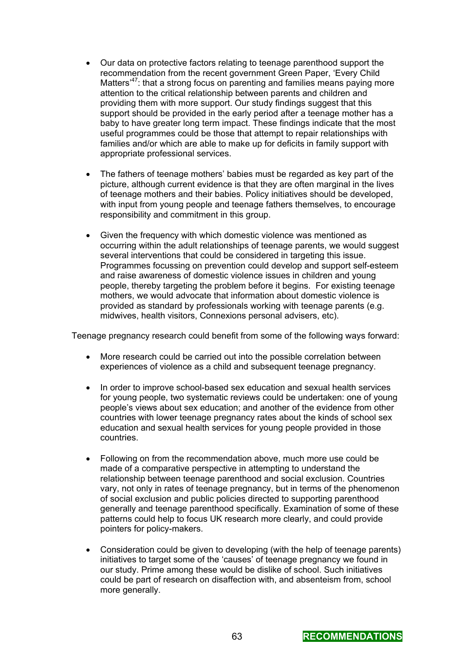- Our data on protective factors relating to teenage parenthood support the recommendation from the recent government Green Paper, 'Every Child Matters<sup>47</sup>: that a strong focus on parenting and families means paying more attention to the critical relationship between parents and children and providing them with more support. Our study findings suggest that this support should be provided in the early period after a teenage mother has a baby to have greater long term impact. These findings indicate that the most useful programmes could be those that attempt to repair relationships with families and/or which are able to make up for deficits in family support with appropriate professional services.
- The fathers of teenage mothers' babies must be regarded as key part of the picture, although current evidence is that they are often marginal in the lives of teenage mothers and their babies. Policy initiatives should be developed, with input from young people and teenage fathers themselves, to encourage responsibility and commitment in this group.
- Given the frequency with which domestic violence was mentioned as occurring within the adult relationships of teenage parents, we would suggest several interventions that could be considered in targeting this issue. Programmes focussing on prevention could develop and support self-esteem and raise awareness of domestic violence issues in children and young people, thereby targeting the problem before it begins. For existing teenage mothers, we would advocate that information about domestic violence is provided as standard by professionals working with teenage parents (e.g. midwives, health visitors, Connexions personal advisers, etc).

Teenage pregnancy research could benefit from some of the following ways forward:

- More research could be carried out into the possible correlation between experiences of violence as a child and subsequent teenage pregnancy.
- In order to improve school-based sex education and sexual health services for young people, two systematic reviews could be undertaken: one of young people's views about sex education; and another of the evidence from other countries with lower teenage pregnancy rates about the kinds of school sex education and sexual health services for young people provided in those countries.
- Following on from the recommendation above, much more use could be made of a comparative perspective in attempting to understand the relationship between teenage parenthood and social exclusion. Countries vary, not only in rates of teenage pregnancy, but in terms of the phenomenon of social exclusion and public policies directed to supporting parenthood generally and teenage parenthood specifically. Examination of some of these patterns could help to focus UK research more clearly, and could provide pointers for policy-makers.
- Consideration could be given to developing (with the help of teenage parents) initiatives to target some of the 'causes' of teenage pregnancy we found in our study. Prime among these would be dislike of school. Such initiatives could be part of research on disaffection with, and absenteism from, school more generally.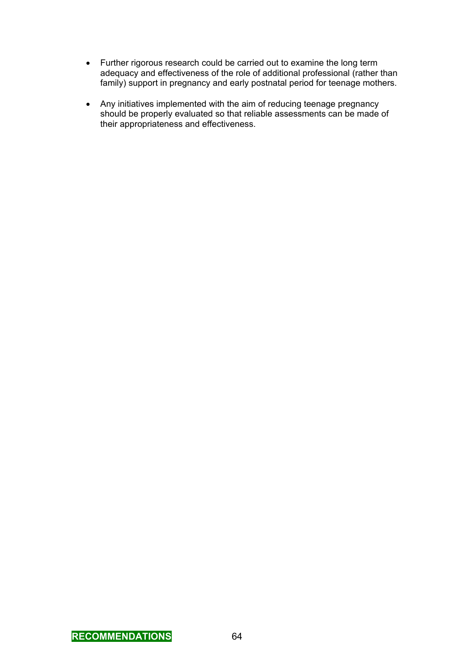- Further rigorous research could be carried out to examine the long term adequacy and effectiveness of the role of additional professional (rather than family) support in pregnancy and early postnatal period for teenage mothers.
- Any initiatives implemented with the aim of reducing teenage pregnancy should be properly evaluated so that reliable assessments can be made of their appropriateness and effectiveness.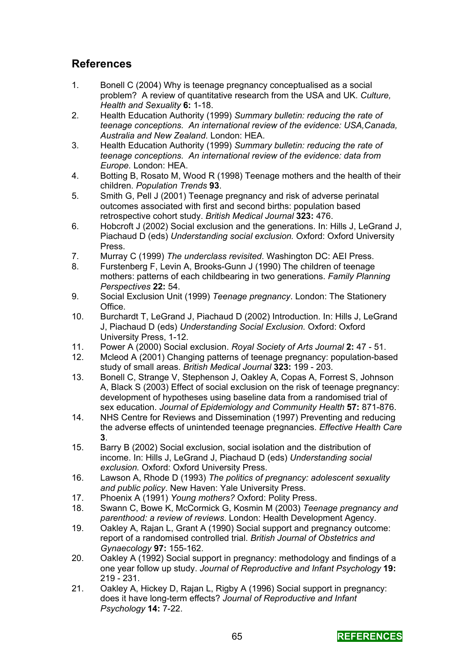# **References**

- 1. Bonell C (2004) Why is teenage pregnancy conceptualised as a social problem? A review of quantitative research from the USA and UK. *Culture, Health and Sexuality* **6:** 1-18.
- 2. Health Education Authority (1999) *Summary bulletin: reducing the rate of teenage conceptions. An international review of the evidence: USA,Canada, Australia and New Zealand*. London: HEA.
- 3. Health Education Authority (1999) *Summary bulletin: reducing the rate of teenage conceptions. An international review of the evidence: data from Europe.* London: HEA.
- 4. Botting B, Rosato M, Wood R (1998) Teenage mothers and the health of their children. *Population Trends* **93**.
- 5. Smith G, Pell J (2001) Teenage pregnancy and risk of adverse perinatal outcomes associated with first and second births: population based retrospective cohort study. *British Medical Journal* **323:** 476.
- 6. Hobcroft J (2002) Social exclusion and the generations. In: Hills J, LeGrand J, Piachaud D (eds) *Understanding social exclusion.* Oxford: Oxford University Press.
- 7. Murray C (1999) *The underclass revisited*. Washington DC: AEI Press.
- 8. Furstenberg F, Levin A, Brooks-Gunn J (1990) The children of teenage mothers: patterns of each childbearing in two generations. *Family Planning Perspectives* **22:** 54.
- 9. Social Exclusion Unit (1999) *Teenage pregnancy*. London: The Stationery Office.
- 10. Burchardt T, LeGrand J, Piachaud D (2002) Introduction. In: Hills J, LeGrand J, Piachaud D (eds) *Understanding Social Exclusion.* Oxford: Oxford University Press, 1-12.
- 11. Power A (2000) Social exclusion. *Royal Society of Arts Journal* **2:** 47 51.
- 12. Mcleod A (2001) Changing patterns of teenage pregnancy: population-based study of small areas. *British Medical Journal* **323:** 199 - 203.
- 13. Bonell C, Strange V, Stephenson J, Oakley A, Copas A, Forrest S, Johnson A, Black S (2003) Effect of social exclusion on the risk of teenage pregnancy: development of hypotheses using baseline data from a randomised trial of sex education. *Journal of Epidemiology and Community Health* **57:** 871-876.
- 14. NHS Centre for Reviews and Dissemination (1997) Preventing and reducing the adverse effects of unintended teenage pregnancies. *Effective Health Care* **3**.
- 15. Barry B (2002) Social exclusion, social isolation and the distribution of income. In: Hills J, LeGrand J, Piachaud D (eds) *Understanding social exclusion.* Oxford: Oxford University Press.
- 16. Lawson A, Rhode D (1993) *The politics of pregnancy: adolescent sexuality and public policy*. New Haven: Yale University Press.
- 17. Phoenix A (1991) *Young mothers?* Oxford: Polity Press.
- 18. Swann C, Bowe K, McCormick G, Kosmin M (2003) *Teenage pregnancy and parenthood: a review of reviews*. London: Health Development Agency.
- 19. Oakley A, Rajan L, Grant A (1990) Social support and pregnancy outcome: report of a randomised controlled trial. *British Journal of Obstetrics and Gynaecology* **97:** 155-162.
- 20. Oakley A (1992) Social support in pregnancy: methodology and findings of a one year follow up study. *Journal of Reproductive and Infant Psychology* **19:**  219 - 231.
- 21. Oakley A, Hickey D, Rajan L, Rigby A (1996) Social support in pregnancy: does it have long-term effects? *Journal of Reproductive and Infant Psychology* **14:** 7-22.

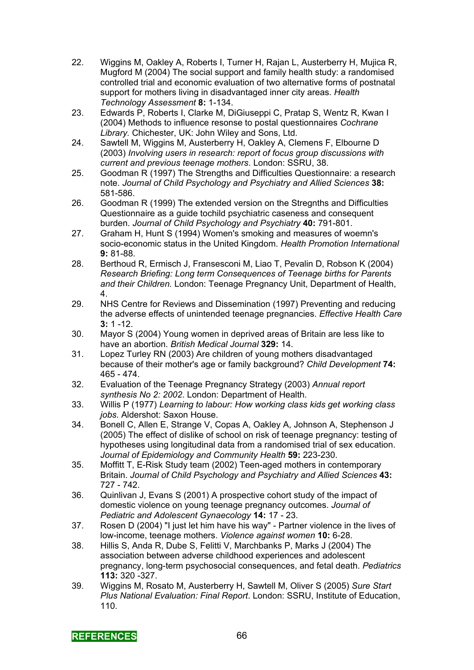- 22. Wiggins M, Oakley A, Roberts I, Turner H, Rajan L, Austerberry H, Mujica R, Mugford M (2004) The social support and family health study: a randomised controlled trial and economic evaluation of two alternative forms of postnatal support for mothers living in disadvantaged inner city areas. *Health Technology Assessment* **8:** 1-134.
- 23. Edwards P, Roberts I, Clarke M, DiGiuseppi C, Pratap S, Wentz R, Kwan I (2004) Methods to influence resonse to postal questionnaires *Cochrane Library.* Chichester, UK: John Wiley and Sons, Ltd.
- 24. Sawtell M, Wiggins M, Austerberry H, Oakley A, Clemens F, Elbourne D (2003) *Involving users in research: report of focus group discussions with current and previous teenage mothers*. London: SSRU, 38.
- 25. Goodman R (1997) The Strengths and Difficulties Questionnaire: a research note. *Journal of Child Psychology and Psychiatry and Allied Sciences* **38:**  581-586.
- 26. Goodman R (1999) The extended version on the Stregnths and Difficulties Questionnaire as a guide tochild psychiatric caseness and consequent burden. *Journal of Child Psychology and Psychiatry* **40:** 791-801.
- 27. Graham H, Hunt S (1994) Women's smoking and measures of woemn's socio-economic status in the United Kingdom. *Health Promotion International* **9:** 81-88.
- 28. Berthoud R, Ermisch J, Fransesconi M, Liao T, Pevalin D, Robson K (2004) *Research Briefing: Long term Consequences of Teenage births for Parents and their Children.* London: Teenage Pregnancy Unit, Department of Health, 4.
- 29. NHS Centre for Reviews and Dissemination (1997) Preventing and reducing the adverse effects of unintended teenage pregnancies. *Effective Health Care* **3:** 1 -12.
- 30. Mayor S (2004) Young women in deprived areas of Britain are less like to have an abortion. *British Medical Journal* **329:** 14.
- 31. Lopez Turley RN (2003) Are children of young mothers disadvantaged because of their mother's age or family background? *Child Development* **74:**  465 - 474.
- 32. Evaluation of the Teenage Pregnancy Strategy (2003) *Annual report synthesis No 2: 2002*. London: Department of Health.
- 33. Willis P (1977) *Learning to labour: How working class kids get working class jobs*. Aldershot: Saxon House.
- 34. Bonell C, Allen E, Strange V, Copas A, Oakley A, Johnson A, Stephenson J (2005) The effect of dislike of school on risk of teenage pregnancy: testing of hypotheses using longitudinal data from a randomised trial of sex education. *Journal of Epidemiology and Community Health* **59:** 223-230.
- 35. Moffitt T, E-Risk Study team (2002) Teen-aged mothers in contemporary Britain. *Journal of Child Psychology and Psychiatry and Allied Sciences* **43:**  727 - 742.
- 36. Quinlivan J, Evans S (2001) A prospective cohort study of the impact of domestic violence on young teenage pregnancy outcomes. *Journal of Pediatric and Adolescent Gynaecology* **14:** 17 - 23.
- 37. Rosen D (2004) "I just let him have his way" Partner violence in the lives of low-income, teenage mothers. *Violence against women* **10:** 6-28.
- 38. Hillis S, Anda R, Dube S, Felitti V, Marchbanks P, Marks J (2004) The association between adverse childhood experiences and adolescent pregnancy, long-term psychosocial consequences, and fetal death. *Pediatrics* **113:** 320 -327.
- 39. Wiggins M, Rosato M, Austerberry H, Sawtell M, Oliver S (2005) *Sure Start Plus National Evaluation: Final Report*. London: SSRU, Institute of Education, 110.

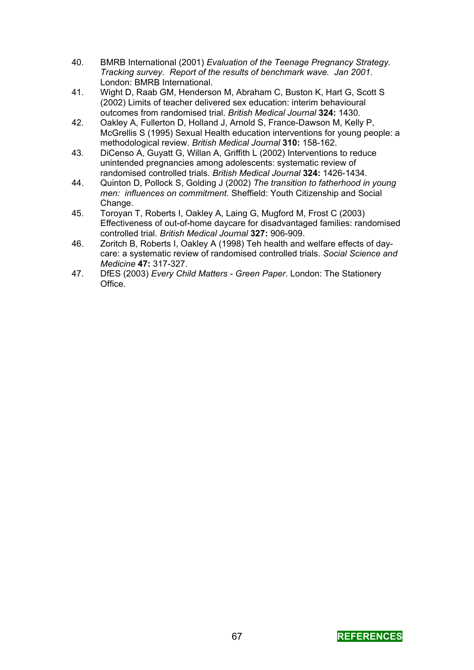- 40. BMRB International (2001) *Evaluation of the Teenage Pregnancy Strategy. Tracking survey. Report of the results of benchmark wave. Jan 2001*. London: BMRB International.
- 41. Wight D, Raab GM, Henderson M, Abraham C, Buston K, Hart G, Scott S (2002) Limits of teacher delivered sex education: interim behavioural outcomes from randomised trial. *British Medical Journal* **324:** 1430.
- 42. Oakley A, Fullerton D, Holland J, Arnold S, France-Dawson M, Kelly P, McGrellis S (1995) Sexual Health education interventions for young people: a methodological review. *British Medical Journal* **310:** 158-162.
- 43. DiCenso A, Guyatt G, Willan A, Griffith L (2002) Interventions to reduce unintended pregnancies among adolescents: systematic review of randomised controlled trials. *British Medical Journal* **324:** 1426-1434.
- 44. Quinton D, Pollock S, Golding J (2002) *The transition to fatherhood in young men: influences on commitment.* Sheffield: Youth Citizenship and Social Change.
- 45. Toroyan T, Roberts I, Oakley A, Laing G, Mugford M, Frost C (2003) Effectiveness of out-of-home daycare for disadvantaged families: randomised controlled trial. *British Medical Journal* **327:** 906-909.
- 46. Zoritch B, Roberts I, Oakley A (1998) Teh health and welfare effects of daycare: a systematic review of randomised controlled trials. *Social Science and Medicine* **47:** 317-327.
- 47. DfES (2003) *Every Child Matters Green Paper*. London: The Stationery Office.

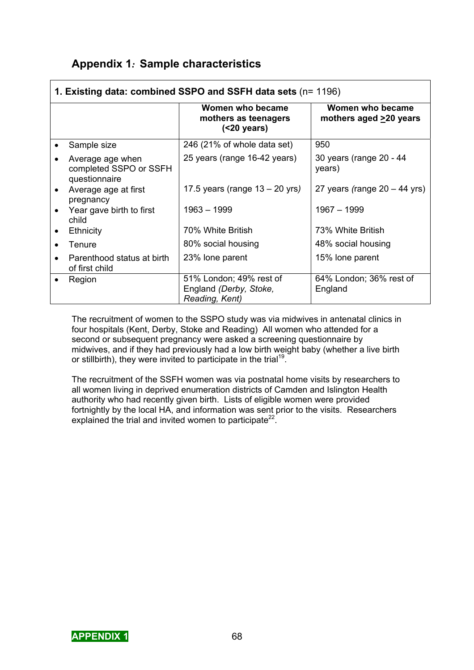# **Appendix 1***:* **Sample characteristics**

 $\mathsf{r}$ 

| 1. Existing data: combined SSPO and SSFH data sets (n= 1196) |                                                             |                                                                     |                                            |
|--------------------------------------------------------------|-------------------------------------------------------------|---------------------------------------------------------------------|--------------------------------------------|
|                                                              |                                                             | Women who became<br>mothers as teenagers<br>$(20 \text{ years})$    | Women who became<br>mothers aged >20 years |
|                                                              | Sample size                                                 | 246 (21% of whole data set)                                         | 950                                        |
|                                                              | Average age when<br>completed SSPO or SSFH<br>questionnaire | 25 years (range 16-42 years)                                        | 30 years (range 20 - 44<br>years)          |
|                                                              | Average age at first<br>pregnancy                           | 17.5 years (range $13 - 20$ yrs)                                    | 27 years (range $20 - 44$ yrs)             |
| $\bullet$                                                    | Year gave birth to first<br>child                           | $1963 - 1999$                                                       | $1967 - 1999$                              |
|                                                              | Ethnicity                                                   | 70% White British                                                   | 73% White British                          |
| $\bullet$                                                    | Tenure                                                      | 80% social housing                                                  | 48% social housing                         |
|                                                              | Parenthood status at birth<br>of first child                | 23% lone parent                                                     | 15% lone parent                            |
|                                                              | Region                                                      | 51% London; 49% rest of<br>England (Derby, Stoke,<br>Reading, Kent) | 64% London; 36% rest of<br>England         |

The recruitment of women to the SSPO study was via midwives in antenatal clinics in four hospitals (Kent, Derby, Stoke and Reading) All women who attended for a second or subsequent pregnancy were asked a screening questionnaire by midwives, and if they had previously had a low birth weight baby (whether a live birth or stillbirth), they were invited to participate in the trial<sup>19</sup>.

The recruitment of the SSFH women was via postnatal home visits by researchers to all women living in deprived enumeration districts of Camden and Islington Health authority who had recently given birth. Lists of eligible women were provided fortnightly by the local HA, and information was sent prior to the visits. Researchers explained the trial and invited women to participate<sup>22</sup>.

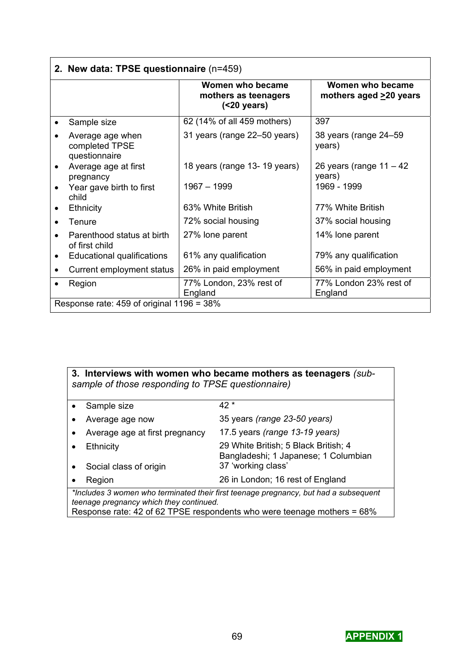|                                           | 2. New data: TPSE questionnaire (n=459)             |                                                                  |                                                  |  |  |  |  |
|-------------------------------------------|-----------------------------------------------------|------------------------------------------------------------------|--------------------------------------------------|--|--|--|--|
|                                           |                                                     | Women who became<br>mothers as teenagers<br>$(20 \text{ years})$ | Women who became<br>mothers aged $\geq 20$ years |  |  |  |  |
|                                           | Sample size                                         | 62 (14% of all 459 mothers)                                      | 397                                              |  |  |  |  |
|                                           | Average age when<br>completed TPSE<br>questionnaire | 31 years (range 22-50 years)                                     | 38 years (range 24-59<br>years)                  |  |  |  |  |
| $\bullet$                                 | Average age at first<br>pregnancy                   | 18 years (range 13-19 years)                                     | 26 years (range $11 - 42$<br>years)              |  |  |  |  |
|                                           | Year gave birth to first<br>child                   | $1967 - 1999$                                                    | 1969 - 1999                                      |  |  |  |  |
|                                           | Ethnicity                                           | 63% White British                                                | 77% White British                                |  |  |  |  |
| $\bullet$                                 | Tenure                                              | 72% social housing                                               | 37% social housing                               |  |  |  |  |
| $\bullet$                                 | Parenthood status at birth<br>of first child        | 27% lone parent                                                  | 14% lone parent                                  |  |  |  |  |
|                                           | Educational qualifications                          | 61% any qualification                                            | 79% any qualification                            |  |  |  |  |
|                                           | Current employment status                           | 26% in paid employment                                           | 56% in paid employment                           |  |  |  |  |
|                                           | Region                                              | 77% London, 23% rest of<br>England                               | 77% London 23% rest of<br>England                |  |  |  |  |
| Response rate: 459 of original 1196 = 38% |                                                     |                                                                  |                                                  |  |  |  |  |

| 3. Interviews with women who became mothers as teenagers (sub-<br>sample of those responding to TPSE questionnaire)                                                                                        |                                  |  |  |  |  |
|------------------------------------------------------------------------------------------------------------------------------------------------------------------------------------------------------------|----------------------------------|--|--|--|--|
| Sample size<br>$\bullet$                                                                                                                                                                                   | $42*$                            |  |  |  |  |
| Average age now                                                                                                                                                                                            | 35 years (range 23-50 years)     |  |  |  |  |
| Average age at first pregnancy<br>$\bullet$                                                                                                                                                                | 17.5 years (range 13-19 years)   |  |  |  |  |
| 29 White British; 5 Black British; 4<br>Ethnicity<br>Bangladeshi; 1 Japanese; 1 Columbian                                                                                                                  |                                  |  |  |  |  |
| Social class of origin<br>$\bullet$                                                                                                                                                                        | 37 'working class'               |  |  |  |  |
| Region                                                                                                                                                                                                     | 26 in London; 16 rest of England |  |  |  |  |
| *Includes 3 women who terminated their first teenage pregnancy, but had a subsequent<br>teenage pregnancy which they continued.<br>Response rate: 42 of 62 TPSE respondents who were teenage mothers = 68% |                                  |  |  |  |  |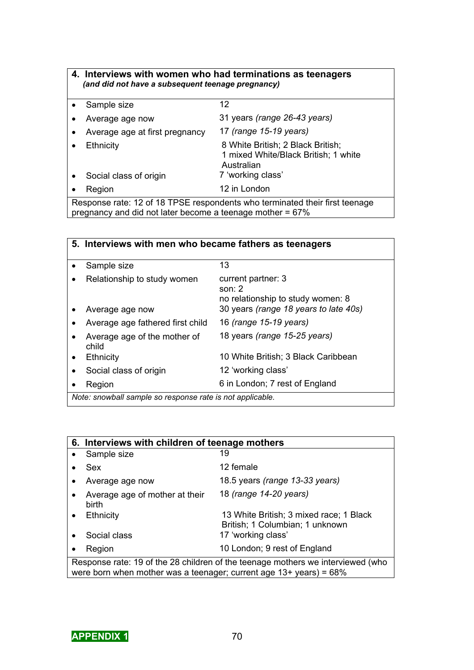## **4. Interviews with women who had terminations as teenagers** *(and did not have a subsequent teenage pregnancy)*

|                                                                             | Sample size                    | 12                                                                                      |  |  |  |
|-----------------------------------------------------------------------------|--------------------------------|-----------------------------------------------------------------------------------------|--|--|--|
|                                                                             | Average age now                | 31 years (range 26-43 years)                                                            |  |  |  |
|                                                                             | Average age at first pregnancy | 17 (range 15-19 years)                                                                  |  |  |  |
|                                                                             | <b>Ethnicity</b>               | 8 White British; 2 Black British;<br>1 mixed White/Black British; 1 white<br>Australian |  |  |  |
|                                                                             | Social class of origin         | 7 'working class'                                                                       |  |  |  |
|                                                                             | Region                         | 12 in London                                                                            |  |  |  |
| Response rate: 12 of 18 TPSE respondents who terminated their first teenage |                                |                                                                                         |  |  |  |
| pregnancy and did not later become a teenage mother = 67%                   |                                |                                                                                         |  |  |  |

| 5. Interviews with men who became fathers as teenagers    |                                                                                                              |  |  |  |  |
|-----------------------------------------------------------|--------------------------------------------------------------------------------------------------------------|--|--|--|--|
| Sample size                                               | 13                                                                                                           |  |  |  |  |
| Relationship to study women<br>Average age now            | current partner: 3<br>son: $2$<br>no relationship to study women: 8<br>30 years (range 18 years to late 40s) |  |  |  |  |
| Average age fathered first child                          | 16 (range 15-19 years)                                                                                       |  |  |  |  |
| Average age of the mother of<br>child                     | 18 years (range 15-25 years)                                                                                 |  |  |  |  |
| Ethnicity                                                 | 10 White British; 3 Black Caribbean                                                                          |  |  |  |  |
| Social class of origin                                    | 12 'working class'                                                                                           |  |  |  |  |
| Region                                                    | 6 in London; 7 rest of England                                                                               |  |  |  |  |
| Note: snowball sample so response rate is not applicable. |                                                                                                              |  |  |  |  |

|           | 6. Interviews with children of teenage mothers                                                                                                             |                                                                            |  |  |  |  |
|-----------|------------------------------------------------------------------------------------------------------------------------------------------------------------|----------------------------------------------------------------------------|--|--|--|--|
|           | Sample size                                                                                                                                                | 19                                                                         |  |  |  |  |
|           | Sex                                                                                                                                                        | 12 female                                                                  |  |  |  |  |
|           | Average age now                                                                                                                                            | 18.5 years (range 13-33 years)                                             |  |  |  |  |
| $\bullet$ | Average age of mother at their<br>birth                                                                                                                    | 18 (range 14-20 years)                                                     |  |  |  |  |
| $\bullet$ | <b>Ethnicity</b>                                                                                                                                           | 13 White British; 3 mixed race; 1 Black<br>British; 1 Columbian; 1 unknown |  |  |  |  |
|           | Social class                                                                                                                                               | 17 'working class'                                                         |  |  |  |  |
|           | Region                                                                                                                                                     | 10 London; 9 rest of England                                               |  |  |  |  |
|           | Response rate: 19 of the 28 children of the teenage mothers we interviewed (who<br>were born when mother was a teenager; current age $13+$ years) = $68\%$ |                                                                            |  |  |  |  |

**APPENDIX 1** 70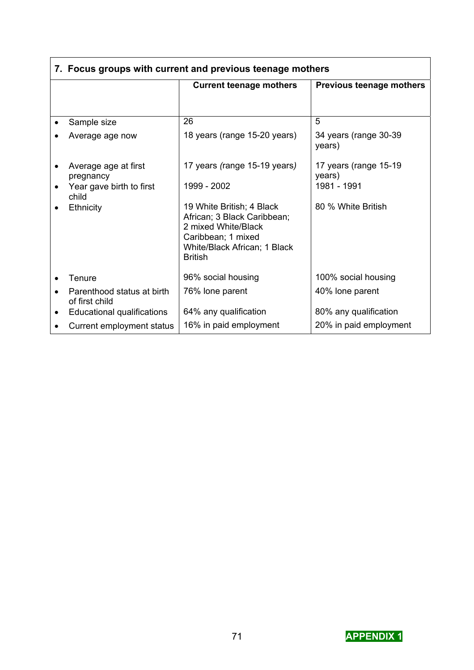|   | 7. Focus groups with current and previous teenage mothers |                                                                                                                                                         |                                 |  |  |  |  |  |
|---|-----------------------------------------------------------|---------------------------------------------------------------------------------------------------------------------------------------------------------|---------------------------------|--|--|--|--|--|
|   |                                                           | <b>Current teenage mothers</b>                                                                                                                          | <b>Previous teenage mothers</b> |  |  |  |  |  |
|   |                                                           |                                                                                                                                                         |                                 |  |  |  |  |  |
|   | Sample size                                               | 26                                                                                                                                                      | 5                               |  |  |  |  |  |
|   | Average age now                                           | 18 years (range 15-20 years)                                                                                                                            | 34 years (range 30-39<br>years) |  |  |  |  |  |
|   | Average age at first<br>pregnancy                         | 17 years (range 15-19 years)                                                                                                                            | 17 years (range 15-19<br>years) |  |  |  |  |  |
|   | Year gave birth to first<br>child                         | 1999 - 2002                                                                                                                                             | 1981 - 1991                     |  |  |  |  |  |
|   | Ethnicity                                                 | 19 White British; 4 Black<br>African; 3 Black Caribbean;<br>2 mixed White/Black<br>Caribbean; 1 mixed<br>White/Black African; 1 Black<br><b>British</b> | 80 % White British              |  |  |  |  |  |
|   | Tenure                                                    | 96% social housing                                                                                                                                      | 100% social housing             |  |  |  |  |  |
|   | Parenthood status at birth<br>of first child              | 76% lone parent                                                                                                                                         | 40% lone parent                 |  |  |  |  |  |
| ٠ | Educational qualifications                                | 64% any qualification                                                                                                                                   | 80% any qualification           |  |  |  |  |  |
|   | Current employment status                                 | 16% in paid employment                                                                                                                                  | 20% in paid employment          |  |  |  |  |  |

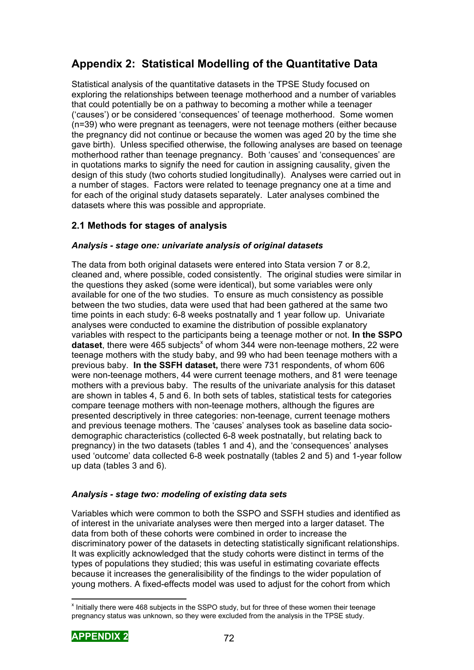# **Appendix 2: Statistical Modelling of the Quantitative Data**

Statistical analysis of the quantitative datasets in the TPSE Study focused on exploring the relationships between teenage motherhood and a number of variables that could potentially be on a pathway to becoming a mother while a teenager ('causes') or be considered 'consequences' of teenage motherhood. Some women (n=39) who were pregnant as teenagers, were not teenage mothers (either because the pregnancy did not continue or because the women was aged 20 by the time she gave birth). Unless specified otherwise, the following analyses are based on teenage motherhood rather than teenage pregnancy. Both 'causes' and 'consequences' are in quotations marks to signify the need for caution in assigning causality, given the design of this study (two cohorts studied longitudinally). Analyses were carried out in a number of stages. Factors were related to teenage pregnancy one at a time and for each of the original study datasets separately. Later analyses combined the datasets where this was possible and appropriate.

## **2.1 Methods for stages of analysis**

## *Analysis - stage one: univariate analysis of original datasets*

The data from both original datasets were entered into Stata version 7 or 8.2, cleaned and, where possible, coded consistently. The original studies were similar in the questions they asked (some were identical), but some variables were only available for one of the two studies. To ensure as much consistency as possible between the two studies, data were used that had been gathered at the same two time points in each study: 6-8 weeks postnatally and 1 year follow up. Univariate analyses were conducted to examine the distribution of possible explanatory variables with respect to the participants being a teenage mother or not. **In the SSPO**  dataset, there were 465 subjects<sup>x</sup> of whom 344 were non-teenage mothers, 22 were teenage mothers with the study baby, and 99 who had been teenage mothers with a previous baby. **In the SSFH dataset,** there were 731 respondents, of whom 606 were non-teenage mothers, 44 were current teenage mothers, and 81 were teenage mothers with a previous baby. The results of the univariate analysis for this dataset are shown in tables 4, 5 and 6. In both sets of tables, statistical tests for categories compare teenage mothers with non-teenage mothers, although the figures are presented descriptively in three categories: non-teenage, current teenage mothers and previous teenage mothers. The 'causes' analyses took as baseline data sociodemographic characteristics (collected 6-8 week postnatally, but relating back to pregnancy) in the two datasets (tables 1 and 4), and the 'consequences' analyses used 'outcome' data collected 6-8 week postnatally (tables 2 and 5) and 1-year follow up data (tables 3 and 6).

## *Analysis - stage two: modeling of existing data sets*

Variables which were common to both the SSPO and SSFH studies and identified as of interest in the univariate analyses were then merged into a larger dataset. The data from both of these cohorts were combined in order to increase the discriminatory power of the datasets in detecting statistically significant relationships. It was explicitly acknowledged that the study cohorts were distinct in terms of the types of populations they studied; this was useful in estimating covariate effects because it increases the generalisibility of the findings to the wider population of young mothers. A fixed-effects model was used to adjust for the cohort from which

 x Initially there were 468 subjects in the SSPO study, but for three of these women their teenage pregnancy status was unknown, so they were excluded from the analysis in the TPSE study.

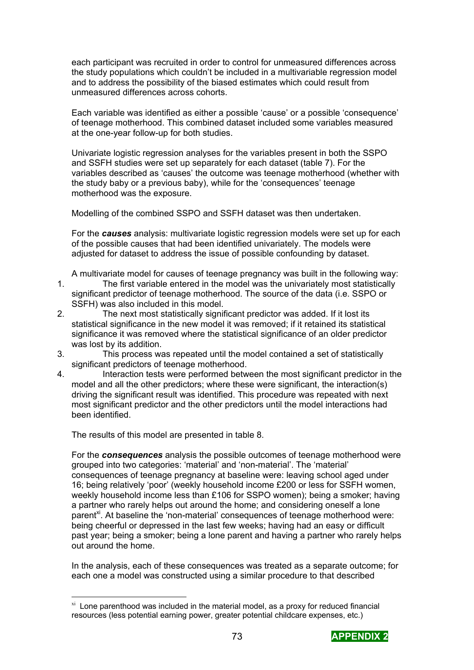each participant was recruited in order to control for unmeasured differences across the study populations which couldn't be included in a multivariable regression model and to address the possibility of the biased estimates which could result from unmeasured differences across cohorts.

Each variable was identified as either a possible 'cause' or a possible 'consequence' of teenage motherhood. This combined dataset included some variables measured at the one-year follow-up for both studies.

Univariate logistic regression analyses for the variables present in both the SSPO and SSFH studies were set up separately for each dataset (table 7). For the variables described as 'causes' the outcome was teenage motherhood (whether with the study baby or a previous baby), while for the 'consequences' teenage motherhood was the exposure.

Modelling of the combined SSPO and SSFH dataset was then undertaken.

For the *causes* analysis: multivariate logistic regression models were set up for each of the possible causes that had been identified univariately. The models were adjusted for dataset to address the issue of possible confounding by dataset.

A multivariate model for causes of teenage pregnancy was built in the following way:

- 1. The first variable entered in the model was the univariately most statistically significant predictor of teenage motherhood. The source of the data (i.e. SSPO or SSFH) was also included in this model.
- 2. The next most statistically significant predictor was added. If it lost its statistical significance in the new model it was removed; if it retained its statistical significance it was removed where the statistical significance of an older predictor was lost by its addition.
- 3. This process was repeated until the model contained a set of statistically significant predictors of teenage motherhood.
- 4. Interaction tests were performed between the most significant predictor in the model and all the other predictors; where these were significant, the interaction(s) driving the significant result was identified. This procedure was repeated with next most significant predictor and the other predictors until the model interactions had been identified.

The results of this model are presented in table 8.

 $\overline{a}$ 

For the *consequences* analysis the possible outcomes of teenage motherhood were grouped into two categories: 'material' and 'non-material'. The 'material' consequences of teenage pregnancy at baseline were: leaving school aged under 16; being relatively 'poor' (weekly household income £200 or less for SSFH women, weekly household income less than £106 for SSPO women); being a smoker; having a partner who rarely helps out around the home; and considering oneself a lone parent<sup>xi</sup>. At baseline the 'non-material' consequences of teenage motherhood were: being cheerful or depressed in the last few weeks; having had an easy or difficult past year; being a smoker; being a lone parent and having a partner who rarely helps out around the home.

In the analysis, each of these consequences was treated as a separate outcome; for each one a model was constructed using a similar procedure to that described

 $x<sup>i</sup>$  Lone parenthood was included in the material model, as a proxy for reduced financial resources (less potential earning power, greater potential childcare expenses, etc.)

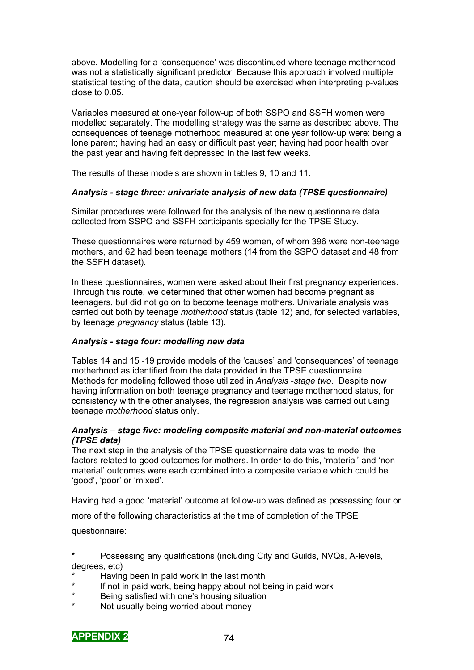above. Modelling for a 'consequence' was discontinued where teenage motherhood was not a statistically significant predictor. Because this approach involved multiple statistical testing of the data, caution should be exercised when interpreting p-values close to 0.05.

Variables measured at one-year follow-up of both SSPO and SSFH women were modelled separately. The modelling strategy was the same as described above. The consequences of teenage motherhood measured at one year follow-up were: being a lone parent; having had an easy or difficult past year; having had poor health over the past year and having felt depressed in the last few weeks.

The results of these models are shown in tables 9, 10 and 11.

## *Analysis - stage three: univariate analysis of new data (TPSE questionnaire)*

Similar procedures were followed for the analysis of the new questionnaire data collected from SSPO and SSFH participants specially for the TPSE Study.

These questionnaires were returned by 459 women, of whom 396 were non-teenage mothers, and 62 had been teenage mothers (14 from the SSPO dataset and 48 from the SSFH dataset).

In these questionnaires, women were asked about their first pregnancy experiences. Through this route, we determined that other women had become pregnant as teenagers, but did not go on to become teenage mothers. Univariate analysis was carried out both by teenage *motherhood* status (table 12) and, for selected variables, by teenage *pregnancy* status (table 13).

#### *Analysis - stage four: modelling new data*

Tables 14 and 15 -19 provide models of the 'causes' and 'consequences' of teenage motherhood as identified from the data provided in the TPSE questionnaire. Methods for modeling followed those utilized in *Analysis -stage two*. Despite now having information on both teenage pregnancy and teenage motherhood status, for consistency with the other analyses, the regression analysis was carried out using teenage *motherhood* status only.

### *Analysis – stage five: modeling composite material and non-material outcomes (TPSE data)*

The next step in the analysis of the TPSE questionnaire data was to model the factors related to good outcomes for mothers. In order to do this, 'material' and 'nonmaterial' outcomes were each combined into a composite variable which could be 'good', 'poor' or 'mixed'.

Having had a good 'material' outcome at follow-up was defined as possessing four or

more of the following characteristics at the time of completion of the TPSE

questionnaire:

Possessing any qualifications (including City and Guilds, NVQs, A-levels, degrees, etc)

- Having been in paid work in the last month
- \* If not in paid work, being happy about not being in paid work<br>
Reing estistied with enals beyoing eituation
- Being satisfied with one's housing situation
- Not usually being worried about money

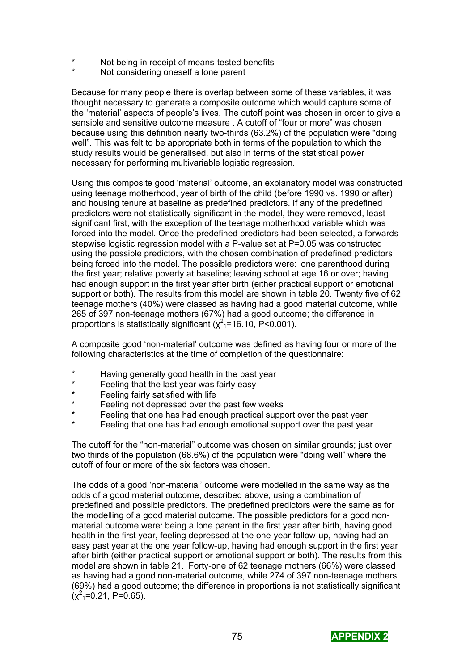- Not being in receipt of means-tested benefits
- Not considering oneself a lone parent

Because for many people there is overlap between some of these variables, it was thought necessary to generate a composite outcome which would capture some of the 'material' aspects of people's lives. The cutoff point was chosen in order to give a sensible and sensitive outcome measure . A cutoff of "four or more" was chosen because using this definition nearly two-thirds (63.2%) of the population were "doing well". This was felt to be appropriate both in terms of the population to which the study results would be generalised, but also in terms of the statistical power necessary for performing multivariable logistic regression.

Using this composite good 'material' outcome, an explanatory model was constructed using teenage motherhood, year of birth of the child (before 1990 vs. 1990 or after) and housing tenure at baseline as predefined predictors. If any of the predefined predictors were not statistically significant in the model, they were removed, least significant first, with the exception of the teenage motherhood variable which was forced into the model. Once the predefined predictors had been selected, a forwards stepwise logistic regression model with a P-value set at P=0.05 was constructed using the possible predictors, with the chosen combination of predefined predictors being forced into the model. The possible predictors were: lone parenthood during the first year; relative poverty at baseline; leaving school at age 16 or over; having had enough support in the first year after birth (either practical support or emotional support or both). The results from this model are shown in table 20. Twenty five of 62 teenage mothers (40%) were classed as having had a good material outcome, while 265 of 397 non-teenage mothers (67%) had a good outcome; the difference in proportions is statistically significant ( $\chi^2$ <sub>1</sub>=16.10, P<0.001).

A composite good 'non-material' outcome was defined as having four or more of the following characteristics at the time of completion of the questionnaire:

- \* Having generally good health in the past year<br>\* Fealing that the lost year was fairly again.
- \* Feeling that the last year was fairly easy
- Feeling fairly satisfied with life
- Feeling not depressed over the past few weeks
- Feeling that one has had enough practical support over the past year
- Feeling that one has had enough emotional support over the past year

The cutoff for the "non-material" outcome was chosen on similar grounds; just over two thirds of the population (68.6%) of the population were "doing well" where the cutoff of four or more of the six factors was chosen.

The odds of a good 'non-material' outcome were modelled in the same way as the odds of a good material outcome, described above, using a combination of predefined and possible predictors. The predefined predictors were the same as for the modelling of a good material outcome. The possible predictors for a good nonmaterial outcome were: being a lone parent in the first year after birth, having good health in the first year, feeling depressed at the one-year follow-up, having had an easy past year at the one year follow-up, having had enough support in the first year after birth (either practical support or emotional support or both). The results from this model are shown in table 21. Forty-one of 62 teenage mothers (66%) were classed as having had a good non-material outcome, while 274 of 397 non-teenage mothers (69%) had a good outcome; the difference in proportions is not statistically significant  $(\chi^2_{1} = 0.21, P = 0.65)$ .

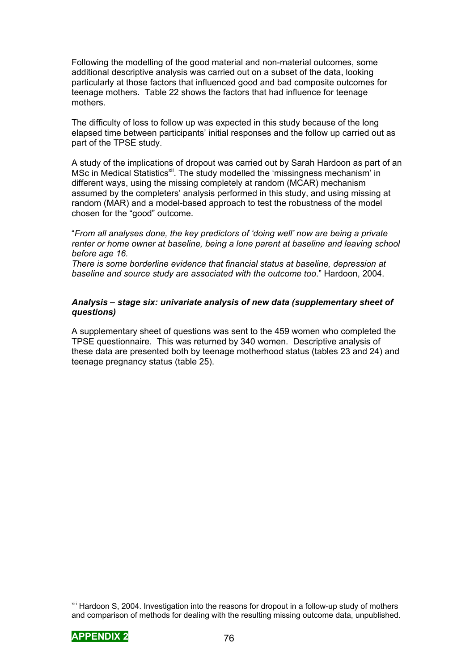Following the modelling of the good material and non-material outcomes, some additional descriptive analysis was carried out on a subset of the data, looking particularly at those factors that influenced good and bad composite outcomes for teenage mothers. Table 22 shows the factors that had influence for teenage mothers.

The difficulty of loss to follow up was expected in this study because of the long elapsed time between participants' initial responses and the follow up carried out as part of the TPSE study.

A study of the implications of dropout was carried out by Sarah Hardoon as part of an MSc in Medical Statistics<sup>xii</sup>. The study modelled the 'missingness mechanism' in different ways, using the missing completely at random (MCAR) mechanism assumed by the completers' analysis performed in this study, and using missing at random (MAR) and a model-based approach to test the robustness of the model chosen for the "good" outcome.

"*From all analyses done, the key predictors of 'doing well' now are being a private renter or home owner at baseline, being a lone parent at baseline and leaving school before age 16.* 

*There is some borderline evidence that financial status at baseline, depression at baseline and source study are associated with the outcome too*." Hardoon, 2004.

### *Analysis – stage six: univariate analysis of new data (supplementary sheet of questions)*

A supplementary sheet of questions was sent to the 459 women who completed the TPSE questionnaire. This was returned by 340 women. Descriptive analysis of these data are presented both by teenage motherhood status (tables 23 and 24) and teenage pregnancy status (table 25).

 $xii$  Hardoon S, 2004. Investigation into the reasons for dropout in a follow-up study of mothers and comparison of methods for dealing with the resulting missing outcome data, unpublished.



 $\overline{a}$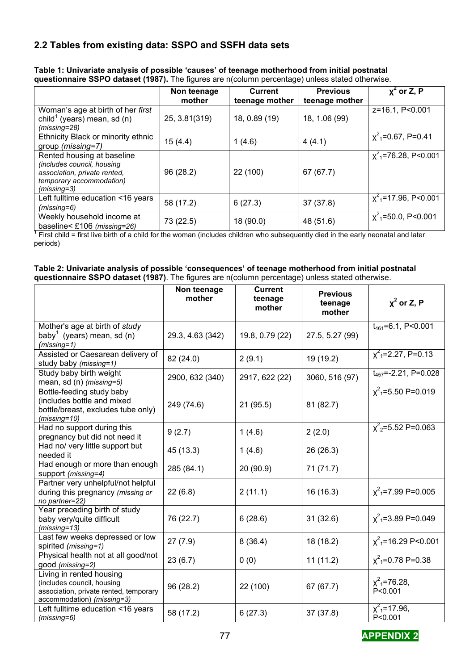## **2.2 Tables from existing data: SSPO and SSFH data sets**

| <b>guvuunimui v ool o uutuvut (Tool).</b> Tho nguroo dio njoolumn poroontago) umooo atatou omor moo.                                  |               |                |                 |                                       |
|---------------------------------------------------------------------------------------------------------------------------------------|---------------|----------------|-----------------|---------------------------------------|
|                                                                                                                                       | Non teenage   | Current        | <b>Previous</b> | $\chi^2$ or Z, P                      |
|                                                                                                                                       | mother        | teenage mother | teenage mother  |                                       |
| Woman's age at birth of her first<br>child <sup>1</sup> (years) mean, sd (n)<br>$(missing=28)$                                        | 25, 3.81(319) | 18, 0.89 (19)  | 18, 1.06 (99)   | z=16.1, P<0.001                       |
| Ethnicity Black or minority ethnic<br>group (missing=7)                                                                               | 15(4.4)       | 1(4.6)         | 4(4.1)          | $\chi^2$ <sub>1</sub> =0.67, P=0.41   |
| Rented housing at baseline<br>(includes council, housing<br>association, private rented,<br>temporary accommodation)<br>$(missing=3)$ | 96 (28.2)     | 22 (100)       | 67 (67.7)       | $\chi^2$ <sub>1</sub> =76.28, P<0.001 |
| Left fulltime education <16 years<br>$(missing=6)$                                                                                    | 58 (17.2)     | 6(27.3)        | 37 (37.8)       | $\chi^2$ <sub>1</sub> =17.96, P<0.001 |
| Weekly household income at<br>baseline< £106 (missing=26)                                                                             | 73 (22.5)     | 18 (90.0)      | 48 (51.6)       | $\chi^2$ <sub>1</sub> =50.0, P<0.001  |

#### **Table 1: Univariate analysis of possible 'causes' of teenage motherhood from initial postnatal questionnaire SSPO dataset (1987).** The figures are n(column percentage) unless stated otherwise.

<sup>1</sup> First child = first live birth of a child for the woman (includes children who subsequently died in the early neonatal and later periods)

### **Table 2: Univariate analysis of possible 'consequences' of teenage motherhood from initial postnatal questionnaire SSPO dataset (1987)**. The figures are n(column percentage) unless stated otherwise.

|                                                                                                                                | Non teenage<br>mother | <b>Current</b><br>teenage<br>mother | <b>Previous</b><br>teenage<br>mother | $\chi^2$ or Z, P                           |
|--------------------------------------------------------------------------------------------------------------------------------|-----------------------|-------------------------------------|--------------------------------------|--------------------------------------------|
| Mother's age at birth of study<br>baby <sup>1</sup> (years) mean, sd (n)<br>$(missing=1)$                                      | 29.3, 4.63 (342)      | 19.8, 0.79 (22)                     | 27.5, 5.27 (99)                      | $t_{461} = 6.1, P < 0.001$                 |
| Assisted or Caesarean delivery of<br>study baby (missing=1)                                                                    | 82 (24.0)             | 2(9.1)                              | 19 (19.2)                            | $\chi^2$ <sub>1</sub> =2.27, P=0.13        |
| Study baby birth weight<br>mean, sd (n) (missing=5)                                                                            | 2900, 632 (340)       | 2917, 622 (22)                      | 3060, 516 (97)                       | $t_{457}$ =-2.21, P=0.028                  |
| Bottle-feeding study baby<br>(includes bottle and mixed<br>bottle/breast, excludes tube only)<br>$(missing=10)$                | 249 (74.6)            | 21(95.5)                            | 81 (82.7)                            | $\chi^2$ <sub>1</sub> =5.50 P=0.019        |
| Had no support during this<br>pregnancy but did not need it                                                                    | 9(2.7)                | 1(4.6)                              | 2(2.0)                               | $\chi^2$ <sub>2</sub> =5.52 P=0.063        |
| Had no/ very little support but<br>needed it                                                                                   | 45 (13.3)             | 1(4.6)                              | 26 (26.3)                            |                                            |
| Had enough or more than enough<br>support (missing=4)                                                                          | 285 (84.1)            | 20 (90.9)                           | 71(71.7)                             |                                            |
| Partner very unhelpful/not helpful<br>during this pregnancy (missing or<br>no partner=22)                                      | 22(6.8)               | 2(11.1)                             | 16 (16.3)                            | $\chi^2$ <sub>1</sub> =7.99 P=0.005        |
| Year preceding birth of study<br>baby very/quite difficult<br>$(missing=13)$                                                   | 76 (22.7)             | 6(28.6)                             | 31(32.6)                             | $x^2$ <sub>1</sub> =3.89 P=0.049           |
| Last few weeks depressed or low<br>spirited (missing=1)                                                                        | 27(7.9)               | 8(36.4)                             | 18 (18.2)                            | $\chi^2$ <sub>1</sub> =16.29 P<0.001       |
| Physical health not at all good/not<br>good (missing=2)                                                                        | 23(6.7)               | 0(0)                                | 11(11.2)                             | $\chi^2$ <sub>1</sub> =0.78 P=0.38         |
| Living in rented housing<br>(includes council, housing<br>association, private rented, temporary<br>accommodation) (missing=3) | 96 (28.2)             | 22 (100)                            | 67 (67.7)                            | $\chi^2$ <sub>1</sub> =76.28,<br>P < 0.001 |
| Left fulltime education <16 years<br>(missing=6)                                                                               | 58 (17.2)             | 6(27.3)                             | 37 (37.8)                            | $x^2$ <sub>1</sub> =17.96,<br>P<0.001      |

77 **APPENDIX 2**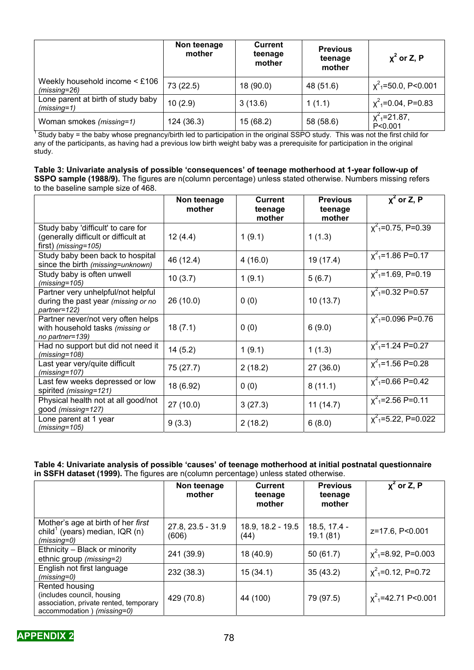|                                                     | Non teenage<br>mother | <b>Current</b><br>teenage<br>mother | <b>Previous</b><br>teenage<br>mother | $x^2$ or Z, P                           |
|-----------------------------------------------------|-----------------------|-------------------------------------|--------------------------------------|-----------------------------------------|
| Weekly household income < £106<br>$(missing = 26)$  | 73 (22.5)             | 18(90.0)                            | 48 (51.6)                            | $\chi^2$ <sub>1</sub> =50.0, P<0.001    |
| Lone parent at birth of study baby<br>$(missing=1)$ | 10(2.9)               | 3(13.6)                             | 1(1.1)                               | $\chi^2$ <sub>1</sub> =0.04, P=0.83     |
| Woman smokes (missing=1)                            | 124 (36.3)            | 15(68.2)                            | 58 (58.6)                            | $x^2$ <sub>1</sub> =21.87,<br>P < 0.001 |

<sup>1</sup>Study baby = the baby whose pregnancy/birth led to participation in the original SSPO study. This was not the first child for any of the participants, as having had a previous low birth weight baby was a prerequisite for participation in the original study.

**Table 3: Univariate analysis of possible 'consequences' of teenage motherhood at 1-year follow-up of SSPO sample (1988/9).** The figures are n(column percentage) unless stated otherwise. Numbers missing refers to the baseline sample size of 468.

|                                                                                                    | Non teenage<br>mother | Current<br>teenage<br>mother | <b>Previous</b><br>teenage<br>mother | $\chi^2$ or Z, P                     |
|----------------------------------------------------------------------------------------------------|-----------------------|------------------------------|--------------------------------------|--------------------------------------|
| Study baby 'difficult' to care for<br>(generally difficult or difficult at<br>first) (missing=105) | 12(4.4)               | 1(9.1)                       | 1(1.3)                               | $\chi^2$ <sub>1</sub> =0.75, P=0.39  |
| Study baby been back to hospital<br>since the birth (missing=unknown)                              | 46 (12.4)             | 4(16.0)                      | 19 (17.4)                            | $\chi^2$ <sub>1</sub> =1.86 P=0.17   |
| Study baby is often unwell<br>$(missing = 105)$                                                    | 10(3.7)               | 1(9.1)                       | 5(6.7)                               | $\chi^2$ <sub>1</sub> =1.69, P=0.19  |
| Partner very unhelpful/not helpful<br>during the past year (missing or no<br>partner=122)          | 26(10.0)              | 0(0)                         | 10(13.7)                             | $\chi^2$ <sub>1</sub> =0.32 P=0.57   |
| Partner never/not very often helps<br>with household tasks (missing or<br>no partner=139)          | 18(7.1)               | 0(0)                         | 6(9.0)                               | $\chi^2$ <sub>1</sub> =0.096 P=0.76  |
| Had no support but did not need it<br>(missing=108)                                                | 14(5.2)               | 1(9.1)                       | 1(1.3)                               | $\chi^2$ <sub>1</sub> =1.24 P=0.27   |
| Last year very/quite difficult<br>$(missing = 107)$                                                | 75 (27.7)             | 2(18.2)                      | 27 (36.0)                            | $\chi^2$ <sub>1</sub> =1.56 P=0.28   |
| Last few weeks depressed or low<br>spirited (missing=121)                                          | 18 (6.92)             | 0(0)                         | 8(11.1)                              | $\chi^2$ <sub>1</sub> =0.66 P=0.42   |
| Physical health not at all good/not<br>good (missing=127)                                          | 27(10.0)              | 3(27.3)                      | 11(14.7)                             | $\chi^2$ <sub>1</sub> =2.56 P=0.11   |
| Lone parent at 1 year<br>$(missing = 105)$                                                         | 9(3.3)                | 2(18.2)                      | 6(8.0)                               | $\chi^2$ <sub>1</sub> =5.22, P=0.022 |

#### **Table 4: Univariate analysis of possible 'causes' of teenage motherhood at initial postnatal questionnaire in SSFH dataset (1999).** The figures are n(column percentage) unless stated otherwise.

|                                                                                                                       | Non teenage<br>mother        | <b>Current</b><br>teenage<br>mother | <b>Previous</b><br>teenage<br>mother | $\chi^2$ or Z, P                     |
|-----------------------------------------------------------------------------------------------------------------------|------------------------------|-------------------------------------|--------------------------------------|--------------------------------------|
| Mother's age at birth of her first<br>child <sup>1</sup> (years) median, IQR (n)<br>$(missing=0)$                     | $27.8, 23.5 - 31.9$<br>(606) | 18.9, 18.2 - 19.5<br>(44)           | $18.5, 17.4 -$<br>19.1 (81)          | z=17.6, P<0.001                      |
| Ethnicity - Black or minority<br>ethnic group (missing=2)                                                             | 241 (39.9)                   | 18 (40.9)                           | 50(61.7)                             | $\chi^2$ <sub>1</sub> =8.92, P=0.003 |
| English not first language<br>$(missing=0)$                                                                           | 232 (38.3)                   | 15(34.1)                            | 35(43.2)                             | $\chi^2$ <sub>1</sub> =0.12, P=0.72  |
| Rented housing<br>(includes council, housing<br>association, private rented, temporary<br>accommodation ) (missing=0) | 429 (70.8)                   | 44 (100)                            | 79 (97.5)                            | $\chi^2$ <sub>1</sub> =42.71 P<0.001 |

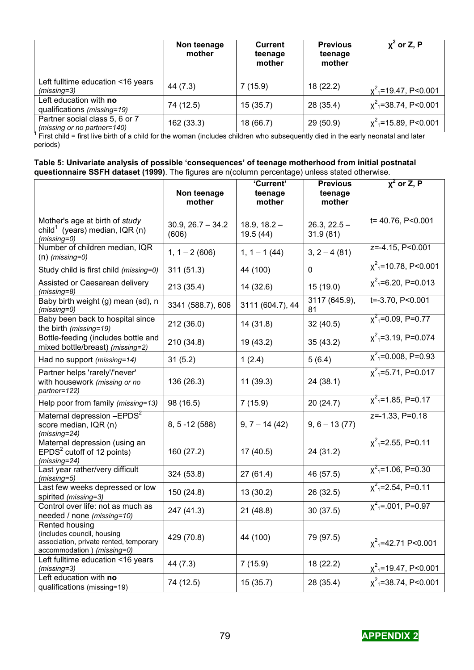|                                                                                                                                  | Non teenage<br>mother | <b>Current</b><br>teenage<br>mother | <b>Previous</b><br>teenage<br>mother | $\chi^2$ or Z, P                      |  |
|----------------------------------------------------------------------------------------------------------------------------------|-----------------------|-------------------------------------|--------------------------------------|---------------------------------------|--|
| Left fulltime education <16 years<br>$(missing=3)$                                                                               | 44(7.3)               | 7(15.9)                             | 18 (22.2)                            | $x^2$ <sub>1</sub> =19.47, P<0.001    |  |
| Left education with no<br>qualifications (missing=19)                                                                            | 74 (12.5)             | 15(35.7)                            | 28 (35.4)                            | $\chi^2$ <sub>1</sub> =38.74, P<0.001 |  |
| Partner social class 5, 6 or 7<br>(missing or no partner=140)                                                                    | 162 (33.3)            | 18(66.7)                            | 29 (50.9)                            | $\chi^2$ <sub>1</sub> =15.89, P<0.001 |  |
| First child = first live birth of a child for the woman (includes children who subsequently died in the early neonatal and later |                       |                                     |                                      |                                       |  |

periods)

#### **Table 5: Univariate analysis of possible 'consequences' of teenage motherhood from initial postnatal questionnaire SSFH dataset (1999)**. The figures are n(column percentage) unless stated otherwise.

|                                                                                                                       | Non teenage<br>mother        | 'Current'<br>teenage<br>mother | <b>Previous</b><br>teenage<br>mother | $\chi^2$ or Z, P                      |
|-----------------------------------------------------------------------------------------------------------------------|------------------------------|--------------------------------|--------------------------------------|---------------------------------------|
| Mother's age at birth of study<br>child <sup>1</sup> (years) median, IQR $(n)$<br>$(missing=0)$                       | $30.9, 26.7 - 34.2$<br>(606) | $18.9, 18.2 -$<br>19.5(44)     | $26.3, 22.5 -$<br>31.9(81)           | t=40.76, P<0.001                      |
| Number of children median, IQR<br>$(n)$ (missing=0)                                                                   | $1, 1 - 2 (606)$             | $1, 1 - 1 (44)$                | $3, 2 - 4 (81)$                      | z=-4.15, P<0.001                      |
| Study child is first child (missing=0)                                                                                | 311(51.3)                    | 44 (100)                       | 0                                    | $\chi^2$ <sub>1</sub> =10.78, P<0.001 |
| Assisted or Caesarean delivery<br>$(missing=8)$                                                                       | 213 (35.4)                   | 14 (32.6)                      | 15 (19.0)                            | $\chi^2$ <sub>1</sub> =6.20, P=0.013  |
| Baby birth weight (g) mean (sd), n<br>(missing=0)                                                                     | 3341 (588.7), 606            | 3111 (604.7), 44               | $\overline{3117}$ (645.9),<br>81     | $t = -3.70, P < 0.001$                |
| Baby been back to hospital since<br>the birth (missing=19)                                                            | 212 (36.0)                   | 14(31.8)                       | 32(40.5)                             | $\chi^2$ <sub>1</sub> =0.09, P=0.77   |
| Bottle-feeding (includes bottle and<br>mixed bottle/breast) (missing=2)                                               | 210 (34.8)                   | 19 (43.2)                      | 35(43.2)                             | $\chi^2$ <sub>1</sub> =3.19, P=0.074  |
| Had no support (missing=14)                                                                                           | 31(5.2)                      | 1(2.4)                         | 5(6.4)                               | $\chi^2$ <sub>1</sub> =0.008, P=0.93  |
| Partner helps 'rarely'/'never'<br>with housework (missing or no<br>partner=122)                                       | 136 (26.3)                   | 11 (39.3)                      | 24 (38.1)                            | $\chi^2$ <sub>1</sub> =5.71, P=0.017  |
| Help poor from family (missing=13)                                                                                    | 98 (16.5)                    | 7(15.9)                        | 20 (24.7)                            | $\chi^2$ <sub>1</sub> =1.85, P=0.17   |
| Maternal depression -EPDS <sup>2</sup><br>score median, IQR (n)<br>$(missing = 24)$                                   | 8, 5 - 12 (588)              | $9, 7 - 14 (42)$               | $9, 6 - 13(77)$                      | $\overline{z}$ =-1.33, P=0.18         |
| Maternal depression (using an<br>$EPDS2$ cutoff of 12 points)<br>$(missing=24)$                                       | 160 (27.2)                   | 17(40.5)                       | 24 (31.2)                            | $\chi^2$ <sub>1</sub> =2.55, P=0.11   |
| Last year rather/very difficult<br>$(missing=5)$                                                                      | 324 (53.8)                   | 27(61.4)                       | 46 (57.5)                            | $\chi^2$ <sub>1</sub> =1.06, P=0.30   |
| Last few weeks depressed or low<br>spirited (missing=3)                                                               | 150 (24.8)                   | 13(30.2)                       | 26 (32.5)                            | $x^2$ <sub>1</sub> =2.54, P=0.11      |
| Control over life: not as much as<br>needed / none (missing=10)                                                       | 247 (41.3)                   | 21(48.8)                       | 30(37.5)                             | $\chi^2$ <sub>1</sub> =.001, P=0.97   |
| Rented housing<br>(includes council, housing<br>association, private rented, temporary<br>accommodation ) (missing=0) | 429 (70.8)                   | 44 (100)                       | 79 (97.5)                            | $\chi^2$ <sub>1</sub> =42.71 P<0.001  |
| Left fulltime education <16 years<br>$(missing=3)$                                                                    | 44 (7.3)                     | 7(15.9)                        | 18 (22.2)                            | $\chi^2$ <sub>1</sub> =19.47, P<0.001 |
| Left education with no<br>qualifications (missing=19)                                                                 | 74 (12.5)                    | 15(35.7)                       | 28 (35.4)                            | $\chi^2$ <sub>1</sub> =38.74, P<0.001 |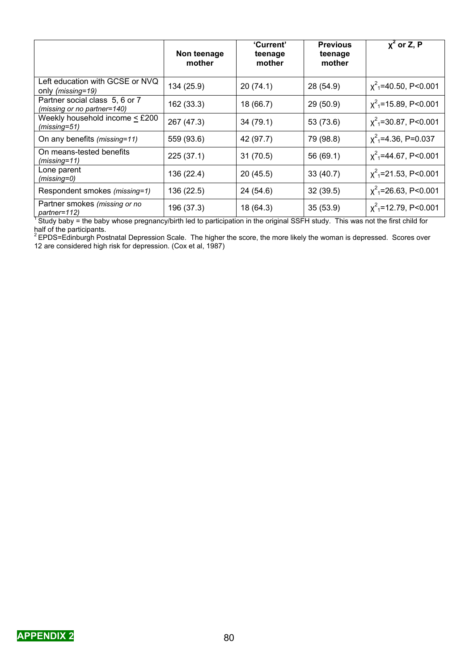|                                                               | Non teenage<br>mother | 'Current'<br>teenage<br>mother | <b>Previous</b><br>teenage<br>mother | $\chi^2$ or Z, P                      |
|---------------------------------------------------------------|-----------------------|--------------------------------|--------------------------------------|---------------------------------------|
| Left education with GCSE or NVQ<br>only (missing=19)          | 134 (25.9)            | 20(74.1)                       | 28 (54.9)                            | $\chi^2$ <sub>1</sub> =40.50, P<0.001 |
| Partner social class 5, 6 or 7<br>(missing or no partner=140) | 162 (33.3)            | 18 (66.7)                      | 29(50.9)                             | $\chi^2$ <sub>1</sub> =15.89, P<0.001 |
| Weekly household income < £200<br>(missing=51)                | 267 (47.3)            | 34(79.1)                       | 53 (73.6)                            | $\chi^2$ <sub>1</sub> =30.87, P<0.001 |
| On any benefits (missing=11)                                  | 559 (93.6)            | 42 (97.7)                      | 79 (98.8)                            | $\chi^2$ <sub>1</sub> =4.36, P=0.037  |
| On means-tested benefits<br>$(missing=11)$                    | 225(37.1)             | 31(70.5)                       | 56 (69.1)                            | $\chi^2$ <sub>1</sub> =44.67, P<0.001 |
| Lone parent<br>(missing=0)                                    | 136 (22.4)            | 20(45.5)                       | 33(40.7)                             | $\chi^2$ <sub>1</sub> =21.53, P<0.001 |
| Respondent smokes (missing=1)                                 | 136 (22.5)            | 24 (54.6)                      | 32(39.5)                             | $\chi^2$ <sub>1</sub> =26.63, P<0.001 |
| Partner smokes (missing or no<br>partner=112)                 | 196 (37.3)            | 18 (64.3)                      | 35(53.9)                             | $\chi^2$ <sub>1</sub> =12.79, P<0.001 |

<sup>1</sup> Study baby = the baby whose pregnancy/birth led to participation in the original SSFH study. This was not the first child for half of the participants.

 $2$  EPDS=Edinburgh Postnatal Depression Scale. The higher the score, the more likely the woman is depressed. Scores over 12 are considered high risk for depression. (Cox et al, 1987)

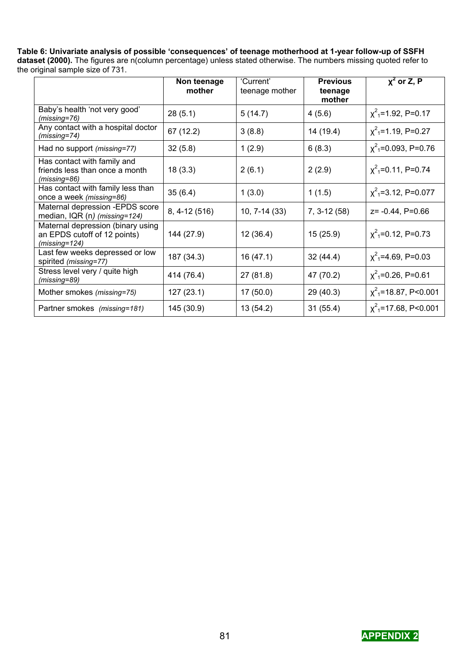**Table 6: Univariate analysis of possible 'consequences' of teenage motherhood at 1-year follow-up of SSFH dataset (2000).** The figures are n(column percentage) unless stated otherwise. The numbers missing quoted refer to the original sample size of 731.

|                                                                                    | Non teenage<br>mother | 'Current'<br>teenage mother | <b>Previous</b><br>teenage<br>mother | $\chi^2$ or Z, P                      |
|------------------------------------------------------------------------------------|-----------------------|-----------------------------|--------------------------------------|---------------------------------------|
| Baby's health 'not very good'<br>(missing=76)                                      | 28(5.1)               | 5(14.7)                     | 4(5.6)                               | $x^2$ <sub>1</sub> =1.92, P=0.17      |
| Any contact with a hospital doctor<br>(missing=74)                                 | 67 (12.2)             | 3(8.8)                      | 14 (19.4)                            | $\chi^2$ <sub>1</sub> =1.19, P=0.27   |
| Had no support (missing=77)                                                        | 32(5.8)               | 1(2.9)                      | 6(8.3)                               | $\chi^2$ <sub>1</sub> =0.093, P=0.76  |
| Has contact with family and<br>friends less than once a month<br>(missing=86)      | 18(3.3)               | 2(6.1)                      | 2(2.9)                               | $x^2$ <sub>1</sub> =0.11, P=0.74      |
| Has contact with family less than<br>once a week (missing=86)                      | 35(6.4)               | 1(3.0)                      | 1(1.5)                               | $\chi^2$ <sub>1</sub> =3.12, P=0.077  |
| Maternal depression -EPDS score<br>median, IQR (n) (missing=124)                   | 8, 4-12 (516)         | 10, 7-14 (33)               | 7, 3-12 (58)                         | $z = -0.44$ , $P = 0.66$              |
| Maternal depression (binary using<br>an EPDS cutoff of 12 points)<br>(missing=124) | 144 (27.9)            | 12(36.4)                    | 15(25.9)                             | $x^2$ <sub>1</sub> =0.12, P=0.73      |
| Last few weeks depressed or low<br>spirited (missing=77)                           | 187 (34.3)            | 16(47.1)                    | 32(44.4)                             | $\chi^2$ <sub>1</sub> =4.69, P=0.03   |
| Stress level very / quite high<br>(missing=89)                                     | 414 (76.4)            | 27(81.8)                    | 47 (70.2)                            | $\chi^2$ <sub>1</sub> =0.26, P=0.61   |
| Mother smokes (missing=75)                                                         | 127 (23.1)            | 17(50.0)                    | 29 (40.3)                            | $\chi^2$ <sub>1</sub> =18.87, P<0.001 |
| Partner smokes (missing=181)                                                       | 145 (30.9)            | 13 (54.2)                   | 31(55.4)                             | $\chi^2$ <sub>1</sub> =17.68, P<0.001 |

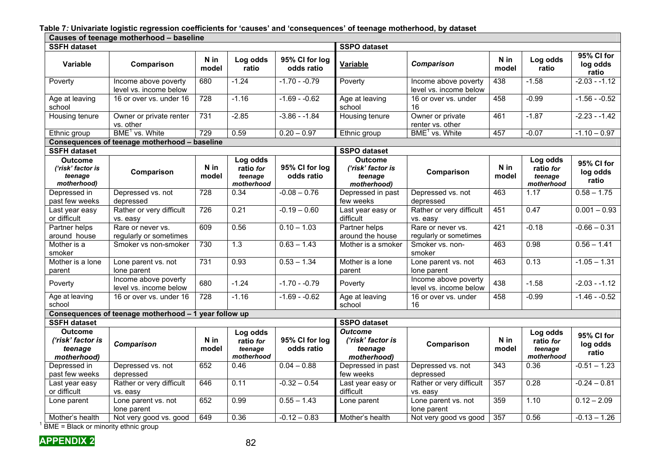## **Table 7***:* **Univariate logistic regression coefficients for 'causes' and 'consequences' of teenage motherhood, by dataset**

|                                                               | Causes of teenage motherhood - baseline               |                  |                                                |                              |                                                                      |                                                |               |                                                |                                 |
|---------------------------------------------------------------|-------------------------------------------------------|------------------|------------------------------------------------|------------------------------|----------------------------------------------------------------------|------------------------------------------------|---------------|------------------------------------------------|---------------------------------|
| <b>SSFH dataset</b>                                           |                                                       |                  |                                                |                              | <b>SSPO</b> dataset                                                  |                                                |               |                                                |                                 |
| Variable                                                      | Comparison                                            | N in<br>model    | Log odds<br>ratio                              | 95% CI for log<br>odds ratio | Variable                                                             | Comparison                                     | N in<br>model | Log odds<br>ratio                              | 95% CI for<br>log odds<br>ratio |
| Poverty                                                       | Income above poverty<br>level vs. income below        | 680              | $-1.24$                                        | $-1.70 - -0.79$              | Poverty                                                              | Income above poverty<br>level vs. income below | 438           | $-1.58$                                        | $-2.03 - -1.12$                 |
| Age at leaving<br>school                                      | 16 or over vs. under 16                               | 728              | $-1.16$                                        | $-1.69 - -0.62$              | Age at leaving<br>school                                             | 16 or over vs. under<br>16                     | 458           | $-0.99$                                        | $-1.56 - 0.52$                  |
| Housing tenure                                                | Owner or private renter<br>vs. other                  | 731              | $-2.85$                                        | $-3.86 - -1.84$              | Housing tenure                                                       | Owner or private<br>renter vs. other           | 461           | $-1.87$                                        | $-2.23 - -1.42$                 |
| Ethnic group                                                  | $BME1$ vs. White                                      | 729              | 0.59                                           | $0.20 - 0.97$                | Ethnic group                                                         | $BME1$ vs. White                               | 457           | $-0.07$                                        | $-1.10 - 0.97$                  |
|                                                               | Consequences of teenage motherhood - baseline         |                  |                                                |                              |                                                                      |                                                |               |                                                |                                 |
| <b>SSFH dataset</b>                                           |                                                       |                  |                                                |                              | <b>SSPO</b> dataset                                                  |                                                |               |                                                |                                 |
| <b>Outcome</b><br>('risk' factor is<br>teenage<br>motherhood) | Comparison                                            | N in<br>model    | Log odds<br>ratio for<br>teenage<br>motherhood | 95% CI for log<br>odds ratio | <b>Outcome</b><br><i>('risk' factor is</i><br>teenage<br>motherhood) | Comparison                                     | N in<br>model | Log odds<br>ratio for<br>teenage<br>motherhood | 95% CI for<br>log odds<br>ratio |
| Depressed in<br>past few weeks                                | Depressed vs. not<br>depressed                        | $\overline{728}$ | 0.34                                           | $-0.08 - 0.76$               | Depressed in past<br>few weeks                                       | Depressed vs. not<br>depressed                 | 463           | 1.17                                           | $0.58 - 1.75$                   |
| Last year easy<br>or difficult                                | Rather or very difficult<br>vs. easy                  | 726              | 0.21                                           | $-0.19 - 0.60$               | Last year easy or<br>difficult                                       | Rather or very difficult<br>vs. easy           | 451           | 0.47                                           | $0.001 - 0.93$                  |
| Partner helps<br>around house                                 | Rare or never vs.<br>regularly or sometimes           | 609              | 0.56                                           | $0.10 - 1.03$                | Partner helps<br>around the house                                    | Rare or never vs.<br>regularly or sometimes    | 421           | $-0.18$                                        | $-0.66 - 0.31$                  |
| Mother is a<br>smoker                                         | Smoker vs non-smoker                                  | 730              | 1.3                                            | $0.63 - 1.43$                | Mother is a smoker                                                   | Smoker vs. non-<br>smoker                      | 463           | 0.98                                           | $0.56 - 1.41$                   |
| Mother is a lone<br>parent                                    | Lone parent vs. not<br>lone parent                    | 731              | 0.93                                           | $0.53 - 1.34$                | Mother is a lone<br>parent                                           | Lone parent vs. not<br>lone parent             | 463           | 0.13                                           | $-1.05 - 1.31$                  |
| Poverty                                                       | Income above poverty<br>level vs. income below        | 680              | $-1.24$                                        | $-1.70 - -0.79$              | Poverty                                                              | Income above poverty<br>level vs. income below | 438           | $-1.58$                                        | $-2.03 - 1.12$                  |
| Age at leaving<br>school                                      | 16 or over vs. under 16                               | 728              | $-1.16$                                        | $-1.69 - 0.62$               | Age at leaving<br>school                                             | 16 or over vs. under<br>16                     | 458           | $-0.99$                                        | $-1.46 - 0.52$                  |
|                                                               | Consequences of teenage motherhood - 1 year follow up |                  |                                                |                              |                                                                      |                                                |               |                                                |                                 |
| <b>SSFH dataset</b>                                           |                                                       |                  |                                                |                              | <b>SSPO</b> dataset                                                  |                                                |               |                                                |                                 |
| <b>Outcome</b><br>('risk' factor is<br>teenage<br>motherhood) | Comparison                                            | N in<br>model    | Log odds<br>ratio for<br>teenage<br>motherhood | 95% CI for log<br>odds ratio | <b>Outcome</b><br>('risk' factor is<br>teenage<br>motherhood)        | Comparison                                     | N in<br>model | Log odds<br>ratio for<br>teenage<br>motherhood | 95% CI for<br>log odds<br>ratio |
| Depressed in<br>past few weeks                                | Depressed vs. not<br>depressed                        | 652              | 0.46                                           | $0.04 - 0.88$                | Depressed in past<br>few weeks                                       | Depressed vs. not<br>depressed                 | 343           | 0.36                                           | $-0.51 - 1.23$                  |
| Last vear easv<br>or difficult                                | Rather or very difficult<br>vs. easy                  | 646              | 0.11                                           | $-0.32 - 0.54$               | Last year easy or<br>difficult                                       | Rather or very difficult<br>vs. easy           | 357           | 0.28                                           | $-0.24 - 0.81$                  |
| Lone parent                                                   | Lone parent vs. not<br>lone parent                    | 652              | 0.99                                           | $0.55 - 1.43$                | Lone parent                                                          | Lone parent vs. not<br>lone parent             | 359           | 1.10                                           | $0.12 - 2.09$                   |
| Mother's health                                               | Not very good vs. good                                | 649              | 0.36                                           | $-0.12 - 0.83$               | Mother's health                                                      | Not very good vs good                          | 357           | 0.56                                           | $-0.13 - 1.26$                  |

<sup>1</sup> BME = Black or minority ethnic group

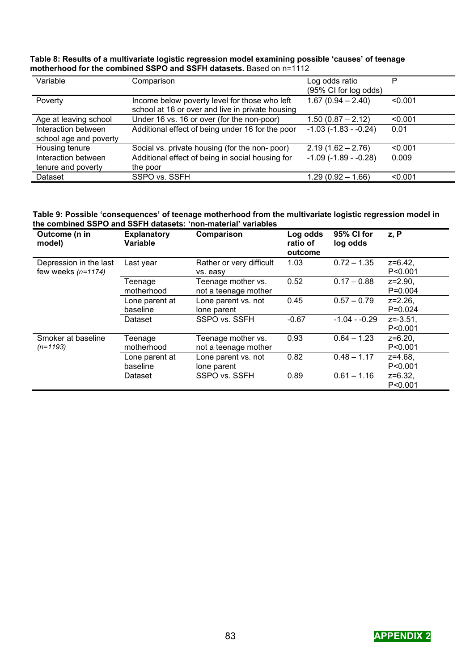| Table 8: Results of a multivariate logistic regression model examining possible 'causes' of teenage |
|-----------------------------------------------------------------------------------------------------|
| motherhood for the combined SSPO and SSFH datasets. Based on $n=1112$                               |

| Variable                                      | Comparison                                                                                        | Log odds ratio<br>(95% CI for log odds) | P       |
|-----------------------------------------------|---------------------------------------------------------------------------------------------------|-----------------------------------------|---------|
| Poverty                                       | Income below poverty level for those who left<br>school at 16 or over and live in private housing | $1.67(0.94 - 2.40)$                     | < 0.001 |
| Age at leaving school                         | Under 16 vs. 16 or over (for the non-poor)                                                        | $1.50(0.87 - 2.12)$                     | < 0.001 |
| Interaction between<br>school age and poverty | Additional effect of being under 16 for the poor                                                  | $-1.03$ ( $-1.83$ - $-0.24$ )           | 0.01    |
| Housing tenure                                | Social vs. private housing (for the non-poor)                                                     | $2.19(1.62 - 2.76)$                     | < 0.001 |
| Interaction between<br>tenure and poverty     | Additional effect of being in social housing for<br>the poor                                      | $-1.09$ ( $-1.89$ - $-0.28$ )           | 0.009   |
| Dataset                                       | SSPO vs. SSFH                                                                                     | $1.29(0.92 - 1.66)$                     | < 0.001 |

#### **Table 9: Possible 'consequences' of teenage motherhood from the multivariate logistic regression model in the combined SSPO and SSFH datasets: 'non-material' variables**

| Outcome (n in<br>model)                        | <b>Explanatory</b><br>Variable | Comparison                                 | Log odds<br>ratio of<br>outcome | 95% CI for<br>log odds | z, P                       |
|------------------------------------------------|--------------------------------|--------------------------------------------|---------------------------------|------------------------|----------------------------|
| Depression in the last<br>few weeks $(n=1174)$ | Last year                      | Rather or very difficult<br>vs. easy       | 1.03                            | $0.72 - 1.35$          | $z=6.42$ ,<br>P < 0.001    |
|                                                | Teenage<br>motherhood          | Teenage mother vs.<br>not a teenage mother | 0.52                            | $0.17 - 0.88$          | $z = 2.90$ ,<br>$P=0.004$  |
|                                                | Lone parent at<br>baseline     | Lone parent vs. not<br>lone parent         | 0.45                            | $0.57 - 0.79$          | $z = 2.26$ ,<br>$P=0.024$  |
|                                                | Dataset                        | SSPO vs. SSFH                              | $-0.67$                         | $-1.04 - 0.29$         | $z = -3.51$ .<br>P < 0.001 |
| Smoker at baseline<br>$(n=1193)$               | Teenage<br>motherhood          | Teenage mother vs.<br>not a teenage mother | 0.93                            | $0.64 - 1.23$          | $z=6.20$ .<br>P < 0.001    |
|                                                | Lone parent at<br>baseline     | Lone parent vs. not<br>lone parent         | 0.82                            | $0.48 - 1.17$          | $z = 4.68$ ,<br>P < 0.001  |
|                                                | Dataset                        | SSPO vs. SSFH                              | 0.89                            | $0.61 - 1.16$          | $z = 6.32$ ,<br>P < 0.001  |

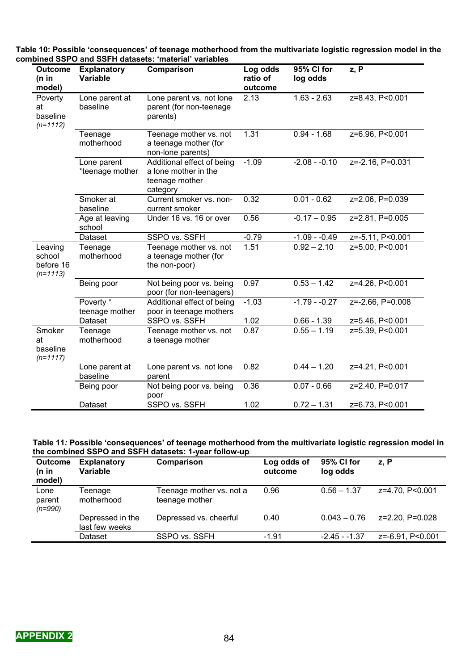| Table 10: Possible 'consequences' of teenage motherhood from the multivariate logistic regression model in the |  |
|----------------------------------------------------------------------------------------------------------------|--|
| combined SSPO and SSFH datasets: 'material' variables                                                          |  |

| <b>Outcome</b><br>(n in<br>model)            | <b>Explanatory</b><br><b>Variable</b> | Comparison                                                                       | Log odds<br>ratio of<br>outcome | 95% CI for<br>log odds | z, P             |
|----------------------------------------------|---------------------------------------|----------------------------------------------------------------------------------|---------------------------------|------------------------|------------------|
| Poverty<br>at<br>baseline<br>$(n=1112)$      | Lone parent at<br>baseline            | Lone parent vs. not lone<br>parent (for non-teenage<br>parents)                  | 2.13                            | $1.63 - 2.63$          | z=8.43, P<0.001  |
|                                              | Teenage<br>motherhood                 | Teenage mother vs. not<br>a teenage mother (for<br>non-lone parents)             | 1.31                            | $0.94 - 1.68$          | z=6.96, P<0.001  |
|                                              | Lone parent<br>*teenage mother        | Additional effect of being<br>a lone mother in the<br>teenage mother<br>category | $-1.09$                         | $-2.08 - 0.10$         | z=-2.16, P=0.031 |
|                                              | Smoker at<br>baseline                 | Current smoker vs. non-<br>current smoker                                        | 0.32                            | $0.01 - 0.62$          | z=2.06, P=0.039  |
|                                              | Age at leaving<br>school              | Under 16 vs. 16 or over                                                          | 0.56                            | $-0.17 - 0.95$         | z=2.81, P=0.005  |
|                                              | Dataset                               | SSPO vs. SSFH                                                                    | $-0.79$                         | $-1.09 - 0.49$         | z=-5.11, P<0.001 |
| Leaving<br>school<br>before 16<br>$(n=1113)$ | Teenage<br>motherhood                 | Teenage mother vs. not<br>a teenage mother (for<br>the non-poor)                 | 1.51                            | $0.92 - 2.10$          | z=5.00, P<0.001  |
|                                              | Being poor                            | Not being poor vs. being<br>poor (for non-teenagers)                             | 0.97                            | $0.53 - 1.42$          | z=4.26, P<0.001  |
|                                              | Poverty *<br>teenage mother           | Additional effect of being<br>poor in teenage mothers                            | $-1.03$                         | $-1.79 - 0.27$         | z=-2.66, P=0.008 |
|                                              | Dataset                               | SSPO vs. SSFH                                                                    | 1.02                            | $0.66 - 1.39$          | z=5.46, P<0.001  |
| Smoker<br>at<br>baseline<br>$(n=1117)$       | Teenage<br>motherhood                 | Teenage mother vs. not<br>a teenage mother                                       | 0.87                            | $0.55 - 1.19$          | z=5.39, P<0.001  |
|                                              | Lone parent at<br>baseline            | Lone parent vs. not lone<br>parent                                               | 0.82                            | $0.44 - 1.20$          | z=4.21, P<0.001  |
|                                              | Being poor                            | Not being poor vs. being<br>poor                                                 | 0.36                            | $0.07 - 0.66$          | z=2.40, P=0.017  |
|                                              | <b>Dataset</b>                        | SSPO vs. SSFH                                                                    | 1.02                            | $0.72 - 1.31$          | z=6.73, P<0.001  |

#### **Table 11***:* **Possible 'consequences' of teenage motherhood from the multivariate logistic regression model in the combined SSPO and SSFH datasets: 1-year follow-up**

| <b>Outcome</b><br>(n in<br>model) | <b>Explanatory</b><br>Variable     | Comparison                                 | Log odds of<br>outcome | 95% CI for<br>log odds | z, P             |
|-----------------------------------|------------------------------------|--------------------------------------------|------------------------|------------------------|------------------|
| Lone<br>parent<br>$(n=990)$       | Teenage<br>motherhood              | Teenage mother vs. not a<br>teenage mother | 0.96                   | $0.56 - 1.37$          | z=4.70, P<0.001  |
|                                   | Depressed in the<br>last few weeks | Depressed vs. cheerful                     | 0.40                   | $0.043 - 0.76$         | z=2.20, P=0.028  |
|                                   | Dataset                            | SSPO vs. SSFH                              | $-1.91$                | $-2.45 - 1.37$         | z=-6.91, P<0.001 |

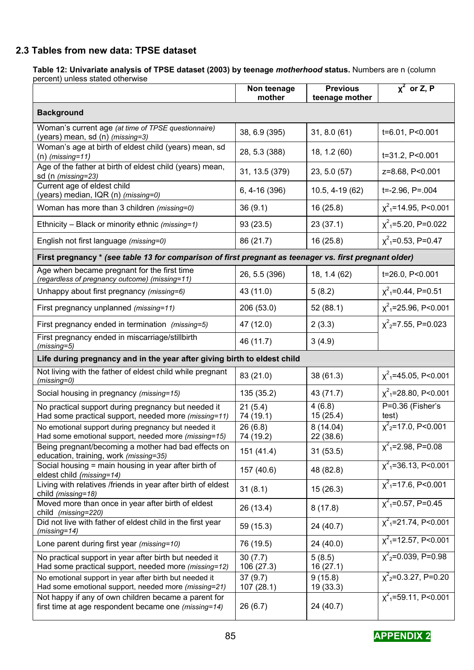## **2.3 Tables from new data: TPSE dataset**

#### **Table 12: Univariate analysis of TPSE dataset (2003) by teenage** *motherhood* **status.** Numbers are n (column percent) unless stated otherwise

|                                                                                                                | Non teenage<br>mother | <b>Previous</b><br>teenage mother | $\chi^2$ or Z, P                      |
|----------------------------------------------------------------------------------------------------------------|-----------------------|-----------------------------------|---------------------------------------|
| <b>Background</b>                                                                                              |                       |                                   |                                       |
| Woman's current age (at time of TPSE questionnaire)<br>(years) mean, sd (n) (missing=3)                        | 38, 6.9 (395)         | 31, 8.0(61)                       | t=6.01, P<0.001                       |
| Woman's age at birth of eldest child (years) mean, sd<br>$(n)$ (missing=11)                                    | 28, 5.3 (388)         | 18, 1.2 (60)                      | t=31.2, P<0.001                       |
| Age of the father at birth of eldest child (years) mean,<br>sd (n (missing=23)                                 | 31, 13.5 (379)        | 23, 5.0 (57)                      | z=8.68, P<0.001                       |
| Current age of eldest child<br>(years) median, IQR (n) (missing=0)                                             | 6, 4-16 (396)         | 10.5, 4-19 (62)                   | $t = -2.96$ , $P = .004$              |
| Woman has more than 3 children (missing=0)                                                                     | 36(9.1)               | 16(25.8)                          | $\chi^2$ <sub>1</sub> =14.95, P<0.001 |
| Ethnicity - Black or minority ethnic (missing=1)                                                               | 93(23.5)              | 23(37.1)                          | $\chi^2$ <sub>1</sub> =5.20, P=0.022  |
| English not first language (missing=0)                                                                         | 86 (21.7)             | 16(25.8)                          | $\chi^2$ <sub>1</sub> =0.53, P=0.47   |
| First pregnancy * (see table 13 for comparison of first pregnant as teenager vs. first pregnant older)         |                       |                                   |                                       |
| Age when became pregnant for the first time<br>(regardless of pregnancy outcome) (missing=11)                  | 26, 5.5 (396)         | 18, 1.4 (62)                      | t=26.0, P<0.001                       |
| Unhappy about first pregnancy (missing=6)                                                                      | 43 (11.0)             | 5(8.2)                            | $\chi^2$ <sub>1</sub> =0.44, P=0.51   |
| First pregnancy unplanned (missing=11)                                                                         | 206 (53.0)            | 52(88.1)                          | $\chi^2$ <sub>1</sub> =25.96, P<0.001 |
| First pregnancy ended in termination (missing=5)                                                               | 47 (12.0)             | 2(3.3)                            | $\chi^2$ <sub>2</sub> =7.55, P=0.023  |
| First pregnancy ended in miscarriage/stillbirth<br>(missing=5)                                                 | 46 (11.7)             | 3(4.9)                            |                                       |
| Life during pregnancy and in the year after giving birth to eldest child                                       |                       |                                   |                                       |
| Not living with the father of eldest child while pregnant<br>(missing=0)                                       | 83 (21.0)             | 38(61.3)                          | $\chi^2$ <sub>1</sub> =45.05, P<0.001 |
| Social housing in pregnancy (missing=15)                                                                       | 135 (35.2)            | 43 (71.7)                         | $\chi^2$ <sub>1</sub> =28.80, P<0.001 |
| No practical support during pregnancy but needed it<br>Had some practical support, needed more (missing=11)    | 21(5.4)<br>74 (19.1)  | 4(6.8)<br>15(25.4)                | P=0.36 (Fisher's<br>test)             |
| No emotional support during pregnancy but needed it<br>Had some emotional support, needed more (missing=15)    | 26 (6.8)<br>74 (19.2) | 8(14.04)<br>22(38.6)              | $\chi^2$ <sub>2</sub> =17.0, P<0.001  |
| Being pregnant/becoming a mother had bad effects on<br>education, training, work (missing=35)                  | 151(41.4)             | 31(53.5)                          | $\chi^2$ <sub>1</sub> =2.98, P=0.08   |
| Social housing = main housing in year after birth of<br>eldest child (missing=14)                              | 157 (40.6)            | 48 (82.8)                         | $\chi^2$ <sub>1</sub> =36.13, P<0.001 |
| Living with relatives /friends in year after birth of eldest<br>child (missing=18)                             | 31(8.1)               | 15(26.3)                          | $\chi^2$ <sub>1</sub> =17.6, P<0.001  |
| Moved more than once in year after birth of eldest<br>child (missing=220)                                      | 26 (13.4)             | 8(17.8)                           | $\chi^2$ <sub>1</sub> =0.57, P=0.45   |
| Did not live with father of eldest child in the first year<br>(missing=14)                                     | 59 (15.3)             | 24 (40.7)                         | $\chi^2$ <sub>1</sub> =21.74, P<0.001 |
| Lone parent during first year (missing=10)                                                                     | 76 (19.5)             | 24 (40.0)                         | $\chi^2$ <sub>1</sub> =12.57, P<0.001 |
| No practical support in year after birth but needed it<br>Had some practical support, needed more (missing=12) | 30(7.7)<br>106 (27.3) | 5(8.5)<br>16(27.1)                | $\chi^2$ <sub>2</sub> =0.039, P=0.98  |
| No emotional support in year after birth but needed it<br>Had some emotional support, needed more (missing=21) | 37(9.7)<br>107 (28.1) | 9(15.8)<br>19 (33.3)              | $\chi^2$ <sub>2</sub> =0.3.27, P=0.20 |
| Not happy if any of own children became a parent for<br>first time at age respondent became one (missing=14)   | 26 (6.7)              | 24 (40.7)                         | $\chi^2$ <sub>1</sub> =59.11, P<0.001 |

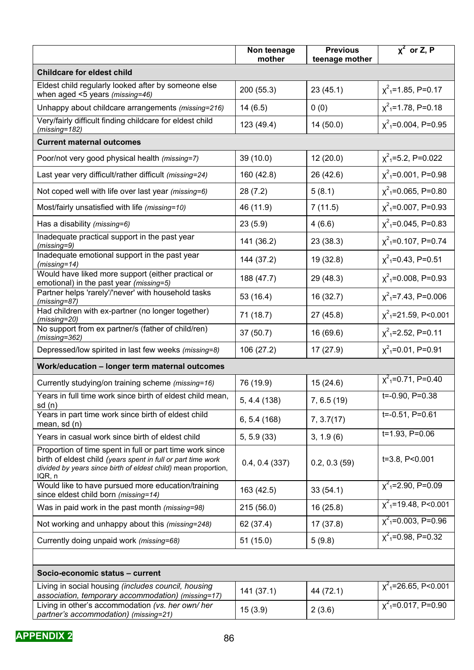|                                                                                                                                                                                                      | Non teenage<br>mother | <b>Previous</b><br>teenage mother | $x^2$ or Z, P                         |
|------------------------------------------------------------------------------------------------------------------------------------------------------------------------------------------------------|-----------------------|-----------------------------------|---------------------------------------|
| <b>Childcare for eldest child</b>                                                                                                                                                                    |                       |                                   |                                       |
| Eldest child regularly looked after by someone else<br>when aged <5 years (missing=46)                                                                                                               | 200 (55.3)            | 23(45.1)                          | $\chi^2$ <sub>1</sub> =1.85, P=0.17   |
| Unhappy about childcare arrangements (missing=216)                                                                                                                                                   | 14(6.5)               | 0(0)                              | $\chi^2$ <sub>1</sub> =1.78, P=0.18   |
| Very/fairly difficult finding childcare for eldest child<br>(missing=182)                                                                                                                            | 123 (49.4)            | 14(50.0)                          | $\chi^2$ <sub>1</sub> =0.004, P=0.95  |
| <b>Current maternal outcomes</b>                                                                                                                                                                     |                       |                                   |                                       |
| Poor/not very good physical health (missing=7)                                                                                                                                                       | 39 (10.0)             | 12(20.0)                          | $x^2$ <sub>1</sub> =5.2, P=0.022      |
| Last year very difficult/rather difficult (missing=24)                                                                                                                                               | 160 (42.8)            | 26 (42.6)                         | $\chi^2$ <sub>1</sub> =0.001, P=0.98  |
| Not coped well with life over last year (missing=6)                                                                                                                                                  | 28(7.2)               | 5(8.1)                            | $\chi^2$ <sub>1</sub> =0.065, P=0.80  |
| Most/fairly unsatisfied with life (missing=10)                                                                                                                                                       | 46 (11.9)             | 7(11.5)                           | $\chi^2$ <sub>1</sub> =0.007, P=0.93  |
| Has a disability (missing=6)                                                                                                                                                                         | 23(5.9)               | 4(6.6)                            | $\chi^2$ <sub>1</sub> =0.045, P=0.83  |
| Inadequate practical support in the past year<br>(missing=9)                                                                                                                                         | 141 (36.2)            | 23 (38.3)                         | $\chi^2$ <sub>1</sub> =0.107, P=0.74  |
| Inadequate emotional support in the past year<br>$(missing=14)$                                                                                                                                      | 144 (37.2)            | 19 (32.8)                         | $\chi^2$ <sub>1</sub> =0.43, P=0.51   |
| Would have liked more support (either practical or<br>emotional) in the past year (missing=5)                                                                                                        | 188 (47.7)            | 29 (48.3)                         | $\chi^2$ <sub>1</sub> =0.008, P=0.93  |
| Partner helps 'rarely'/'never' with household tasks<br>(missing=87)                                                                                                                                  | 53 (16.4)             | 16 (32.7)                         | $\chi^2$ <sub>1</sub> =7.43, P=0.006  |
| Had children with ex-partner (no longer together)<br>(missing=20)                                                                                                                                    | 71 (18.7)             | 27(45.8)                          | $\chi^2$ <sub>1</sub> =21.59, P<0.001 |
| No support from ex partner/s (father of child/ren)<br>$(missing = 362)$                                                                                                                              | 37 (50.7)             | 16 (69.6)                         | $\chi^2$ <sub>1</sub> =2.52, P=0.11   |
| Depressed/low spirited in last few weeks (missing=8)                                                                                                                                                 | 106 (27.2)            | 17 (27.9)                         | $\chi^2$ <sub>1</sub> =0.01, P=0.91   |
| Work/education - longer term maternal outcomes                                                                                                                                                       |                       |                                   |                                       |
| Currently studying/on training scheme (missing=16)                                                                                                                                                   | 76 (19.9)             | 15(24.6)                          | $\chi^2$ <sub>1</sub> =0.71, P=0.40   |
| Years in full time work since birth of eldest child mean,<br>sd(n)                                                                                                                                   | 5, 4.4 (138)          | 7, 6.5 (19)                       | t=-0.90, P=0.38                       |
| Years in part time work since birth of eldest child<br>mean, sd (n)                                                                                                                                  | 6, 5.4 (168)          | 7, 3.7(17)                        | $t = -0.51$ , P=0.61                  |
| Years in casual work since birth of eldest child                                                                                                                                                     | 5, 5.9(33)            | 3, 1.9(6)                         | $t=1.93, P=0.06$                      |
| Proportion of time spent in full or part time work since<br>birth of eldest child (years spent in full or part time work<br>divided by years since birth of eldest child) mean proportion,<br>IQR, n | $0.4, 0.4$ (337)      | 0.2, 0.3(59)                      | t=3.8, P<0.001                        |
| Would like to have pursued more education/training<br>since eldest child born (missing=14)                                                                                                           | 163 (42.5)            | 33(54.1)                          | $x^2$ <sub>1</sub> =2.90, P=0.09      |
| Was in paid work in the past month (missing=98)                                                                                                                                                      | 215(56.0)             | 16(25.8)                          | $\chi^2$ <sub>1</sub> =19.48, P<0.001 |
| Not working and unhappy about this (missing=248)                                                                                                                                                     | 62 (37.4)             | 17(37.8)                          | $\chi^2$ <sub>1</sub> =0.003, P=0.96  |
| Currently doing unpaid work (missing=68)                                                                                                                                                             | 51 (15.0)             | 5(9.8)                            | $x^2$ <sub>1</sub> =0.98, P=0.32      |
|                                                                                                                                                                                                      |                       |                                   |                                       |
| Socio-economic status - current                                                                                                                                                                      |                       |                                   |                                       |
| Living in social housing (includes council, housing<br>association, temporary accommodation) (missing=17)                                                                                            | 141 (37.1)            | 44 (72.1)                         | $\chi^2$ <sub>1</sub> =26.65, P<0.001 |
| Living in other's accommodation (vs. her own/her<br>partner's accommodation) (missing=21)                                                                                                            | 15(3.9)               | 2(3.6)                            | $\chi^2$ <sub>1</sub> =0.017, P=0.90  |

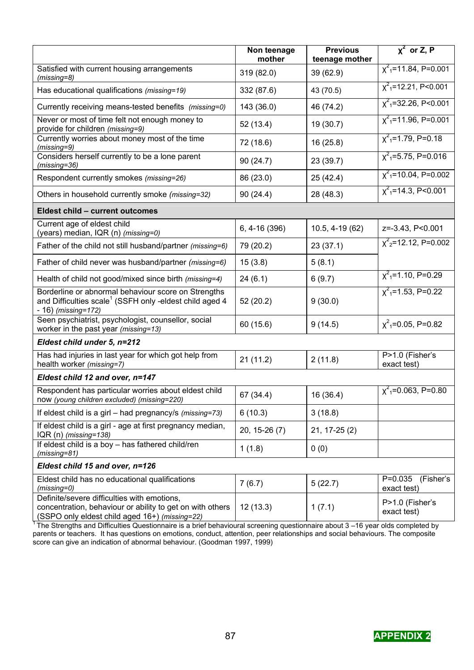|                                                                                                                                                            | Non teenage<br>mother | <b>Previous</b><br>teenage mother | $x^2$ or Z, P                           |
|------------------------------------------------------------------------------------------------------------------------------------------------------------|-----------------------|-----------------------------------|-----------------------------------------|
| Satisfied with current housing arrangements<br>(missing=8)                                                                                                 | 319 (82.0)            | 39 (62.9)                         | $\chi^2$ <sub>1</sub> =11.84, P=0.001   |
| Has educational qualifications (missing=19)                                                                                                                | 332 (87.6)            | 43 (70.5)                         | $\chi^{2}$ <sub>1</sub> =12.21, P<0.001 |
| Currently receiving means-tested benefits (missing=0)                                                                                                      | 143 (36.0)            | 46 (74.2)                         | $\chi^2$ <sub>1</sub> =32.26, P<0.001   |
| Never or most of time felt not enough money to<br>provide for children (missing=9)                                                                         | 52 (13.4)             | 19 (30.7)                         | $\chi^2$ <sub>1</sub> =11.96, P=0.001   |
| Currently worries about money most of the time<br>(missing=9)                                                                                              | 72 (18.6)             | 16 (25.8)                         | $\chi^2$ <sub>1</sub> =1.79, P=0.18     |
| Considers herself currently to be a lone parent<br>(missing=36)                                                                                            | 90(24.7)              | 23 (39.7)                         | $\chi^2$ <sub>1</sub> =5.75, P=0.016    |
| Respondent currently smokes (missing=26)                                                                                                                   | 86 (23.0)             | 25 (42.4)                         | $\chi^2$ <sub>1</sub> =10.04, P=0.002   |
| Others in household currently smoke (missing=32)                                                                                                           | 90(24.4)              | 28 (48.3)                         | $\chi^2$ <sub>1</sub> =14.3, P<0.001    |
| Eldest child - current outcomes                                                                                                                            |                       |                                   |                                         |
| Current age of eldest child<br>(years) median, IQR (n) (missing=0)                                                                                         | 6, 4-16 (396)         | 10.5, 4-19 (62)                   | z=-3.43, P<0.001                        |
| Father of the child not still husband/partner (missing=6)                                                                                                  | 79 (20.2)             | 23(37.1)                          | $x^2$ <sub>2</sub> =12.12, P=0.002      |
| Father of child never was husband/partner (missing=6)                                                                                                      | 15(3.8)               | 5(8.1)                            |                                         |
| Health of child not good/mixed since birth (missing=4)                                                                                                     | 24(6.1)               | 6(9.7)                            | $\chi^2$ <sub>1</sub> =1.10, P=0.29     |
| Borderline or abnormal behaviour score on Strengths<br>and Difficulties scale <sup>1</sup> (SSFH only -eldest child aged 4<br>- 16) (missing=172)          | 52(20.2)              | 9(30.0)                           | $x^2$ <sub>1</sub> =1.53, P=0.22        |
| Seen psychiatrist, psychologist, counsellor, social<br>worker in the past year (missing=13)                                                                | 60 (15.6)             | 9(14.5)                           | $\chi^2$ <sub>1</sub> =0.05, P=0.82     |
| Eldest child under 5, n=212                                                                                                                                |                       |                                   |                                         |
| Has had injuries in last year for which got help from<br>health worker (missing=7)                                                                         | 21(11.2)              | 2(11.8)                           | P>1.0 (Fisher's<br>exact test)          |
| Eldest child 12 and over, n=147                                                                                                                            |                       |                                   |                                         |
| Respondent has particular worries about eldest child<br>now (young children excluded) (missing=220)                                                        | 67 (34.4)             | 16 (36.4)                         | $\chi^2$ <sub>1</sub> =0.063, P=0.80    |
| If eldest child is a girl - had pregnancy/s (missing=73)                                                                                                   | 6(10.3)               | 3(18.8)                           |                                         |
| If eldest child is a girl - age at first pregnancy median,<br>IQR (n) (missing=138)                                                                        | 20, 15-26 (7)         | 21, 17-25 (2)                     |                                         |
| If eldest child is a boy - has fathered child/ren<br>$(missing = 81)$                                                                                      | 1(1.8)                | 0(0)                              |                                         |
| Eldest child 15 and over, n=126                                                                                                                            |                       |                                   |                                         |
| Eldest child has no educational qualifications<br>(missing=0)                                                                                              | 7(6.7)                | 5(22.7)                           | $P = 0.035$<br>(Fisher's<br>exact test) |
| Definite/severe difficulties with emotions,<br>concentration, behaviour or ability to get on with others<br>(SSPO only eldest child aged 16+) (missing=22) | 12(13.3)              | 1(7.1)                            | P>1.0 (Fisher's<br>exact test)          |

<sup>1</sup> The Strengths and Difficulties Questionnaire is a brief behavioural screening questionnaire about 3-16 year olds completed by parents or teachers. It has questions on emotions, conduct, attention, peer relationships and social behaviours. The composite score can give an indication of abnormal behaviour. (Goodman 1997, 1999)

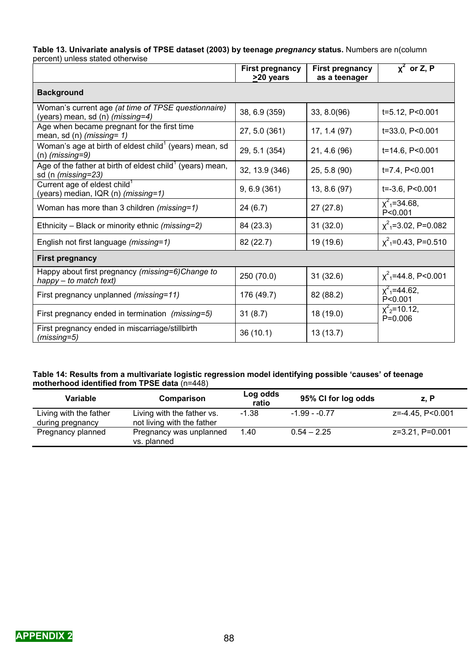| Table 13. Univariate analysis of TPSE dataset (2003) by teenage pregnancy status. Numbers are n(column |  |
|--------------------------------------------------------------------------------------------------------|--|
| percent) unless stated otherwise                                                                       |  |

|                                                                                             | <b>First pregnancy</b><br>>20 years | <b>First pregnancy</b><br>as a teenager | $\chi^2$ or Z, P                           |
|---------------------------------------------------------------------------------------------|-------------------------------------|-----------------------------------------|--------------------------------------------|
| <b>Background</b>                                                                           |                                     |                                         |                                            |
| Woman's current age (at time of TPSE questionnaire)<br>(years) mean, sd (n) (missing=4)     | 38, 6.9 (359)                       | 33, 8.0(96)                             | t=5.12, P<0.001                            |
| Age when became pregnant for the first time<br>mean, sd (n) $(missing=1)$                   | 27, 5.0 (361)                       | 17, 1.4 (97)                            | t=33.0, P<0.001                            |
| Woman's age at birth of eldest child <sup>1</sup> (years) mean, sd<br>$(n)$ (missing=9)     | 29, 5.1 (354)                       | 21, 4.6 (96)                            | $t=14.6, P<0.001$                          |
| Age of the father at birth of eldest child <sup>1</sup> (years) mean,<br>sd (n (missing=23) | 32, 13.9 (346)                      | 25, 5.8 (90)                            | t=7.4, P<0.001                             |
| Current age of eldest child <sup>1</sup><br>(years) median, IQR (n) (missing=1)             | 9, 6.9(361)                         | 13, 8.6 (97)                            | $t = -3.6$ , P<0.001                       |
| Woman has more than 3 children (missing=1)                                                  | 24(6.7)                             | 27(27.8)                                | $\chi^2$ <sub>1</sub> =34.68,<br>P<0.001   |
| Ethnicity - Black or minority ethnic (missing=2)                                            | 84 (23.3)                           | 31(32.0)                                | $\chi^2$ <sub>1</sub> =3.02, P=0.082       |
| English not first language (missing=1)                                                      | 82 (22.7)                           | 19 (19.6)                               | $\chi^2$ <sub>1</sub> =0.43, P=0.510       |
| <b>First pregnancy</b>                                                                      |                                     |                                         |                                            |
| Happy about first pregnancy (missing=6)Change to<br>happy – to match text)                  | 250 (70.0)                          | 31(32.6)                                | $\chi^2$ <sub>1</sub> =44.8, P<0.001       |
| First pregnancy unplanned (missing=11)                                                      | 176 (49.7)                          | 82 (88.2)                               | $x^2$ <sub>1</sub> =44.62,<br>P<0.001      |
| First pregnancy ended in termination (missing=5)                                            | 31(8.7)                             | 18 (19.0)                               | $\chi^2$ <sub>2</sub> =10.12,<br>$P=0.006$ |
| First pregnancy ended in miscarriage/stillbirth<br>(missing=5)                              | 36(10.1)                            | 13(13.7)                                |                                            |

#### **Table 14: Results from a multivariate logistic regression model identifying possible 'causes' of teenage motherhood identified from TPSE data** (n=448)

| Variable                                   | Comparison                                               | Log odds<br>ratio | 95% CI for log odds | z, P             |
|--------------------------------------------|----------------------------------------------------------|-------------------|---------------------|------------------|
| Living with the father<br>during pregnancy | Living with the father vs.<br>not living with the father | $-1.38$           | $-1.99 - 0.77$      | z=-4.45, P<0.001 |
| Pregnancy planned                          | Pregnancy was unplanned<br>vs. planned                   | 1.40              | $0.54 - 2.25$       | z=3.21, P=0.001  |

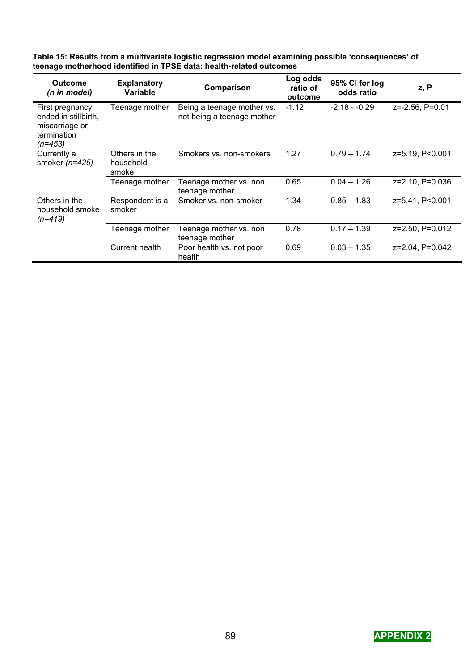**Table 15: Results from a multivariate logistic regression model examining possible 'consequences' of teenage motherhood identified in TPSE data: health-related outcomes** 

| <b>Outcome</b><br>(n in model)                                                        | <b>Explanatory</b><br><b>Variable</b> | Comparison                                               | Log odds<br>ratio of<br>outcome | 95% CI for log<br>odds ratio | z, P                 |
|---------------------------------------------------------------------------------------|---------------------------------------|----------------------------------------------------------|---------------------------------|------------------------------|----------------------|
| First pregnancy<br>ended in stillbirth,<br>miscarriage or<br>termination<br>$(n=453)$ | Teenage mother                        | Being a teenage mother vs.<br>not being a teenage mother | $-1.12$                         | $-2.18 - 0.29$               | $z=-2.56$ , $P=0.01$ |
| Currently a<br>smoker $(n=425)$                                                       | Others in the<br>household<br>smoke   | Smokers vs. non-smokers                                  | 1.27                            | $0.79 - 1.74$                | z=5.19, P<0.001      |
|                                                                                       | Teenage mother                        | Teenage mother vs. non<br>teenage mother                 | 0.65                            | $0.04 - 1.26$                | z=2.10, P=0.036      |
| Others in the<br>household smoke<br>$(n=419)$                                         | Respondent is a<br>smoker             | Smoker vs. non-smoker                                    | 1.34                            | $0.85 - 1.83$                | z=5.41, P<0.001      |
|                                                                                       | Teenage mother                        | Teenage mother vs. non<br>teenage mother                 | 0.78                            | $0.17 - 1.39$                | z=2.50, P=0.012      |
|                                                                                       | Current health                        | Poor health vs. not poor<br>health                       | 0.69                            | $0.03 - 1.35$                | $z=2.04$ . P=0.042   |

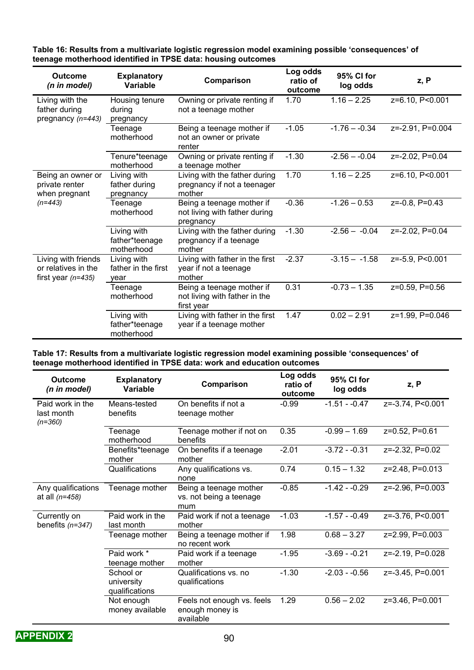| <b>Outcome</b><br>(n in model)                                     | <b>Explanatory</b><br><b>Variable</b>       | Comparison                                                               | Log odds<br>ratio of<br>outcome | 95% CI for<br>log odds | z, P             |
|--------------------------------------------------------------------|---------------------------------------------|--------------------------------------------------------------------------|---------------------------------|------------------------|------------------|
| Living with the<br>father during<br>pregnancy (n=443)              | Housing tenure<br>during<br>pregnancy       | Owning or private renting if<br>not a teenage mother                     | 1.70                            | $1.16 - 2.25$          | z=6.10, P<0.001  |
|                                                                    | Teenage<br>motherhood                       | Being a teenage mother if<br>not an owner or private<br>renter           | $-1.05$                         | $-1.76 - -0.34$        | z=-2.91, P=0.004 |
|                                                                    | Tenure*teenage<br>motherhood                | Owning or private renting if<br>a teenage mother                         | $-1.30$                         | $-2.56 - -0.04$        | z=-2.02, P=0.04  |
| Being an owner or<br>private renter<br>when pregnant               | Living with<br>father during<br>pregnancy   | Living with the father during<br>pregnancy if not a teenager<br>mother   | 1.70                            | $1.16 - 2.25$          | z=6.10, P<0.001  |
| $(n=443)$                                                          | Teenage<br>motherhood                       | Being a teenage mother if<br>not living with father during<br>pregnancy  | $-0.36$                         | $-1.26 - 0.53$         | $z=-0.8, P=0.43$ |
|                                                                    | Living with<br>father*teenage<br>motherhood | Living with the father during<br>pregnancy if a teenage<br>mother        | $-1.30$                         | $-2.56 - -0.04$        | z=-2.02, P=0.04  |
| Living with friends<br>or relatives in the<br>first year $(n=435)$ | Living with<br>father in the first<br>year  | Living with father in the first<br>year if not a teenage<br>mother       | $-2.37$                         | $-3.15 - -1.58$        | z=-5.9, P<0.001  |
|                                                                    | Teenage<br>motherhood                       | Being a teenage mother if<br>not living with father in the<br>first year | 0.31                            | $-0.73 - 1.35$         | z=0.59, P=0.56   |
|                                                                    | Living with<br>father*teenage<br>motherhood | Living with father in the first<br>year if a teenage mother              | 1.47                            | $0.02 - 2.91$          | z=1.99, P=0.046  |

**Table 16: Results from a multivariate logistic regression model examining possible 'consequences' of teenage motherhood identified in TPSE data: housing outcomes** 

### **Table 17: Results from a multivariate logistic regression model examining possible 'consequences' of teenage motherhood identified in TPSE data: work and education outcomes**

| <b>Outcome</b><br>(n in model)         | <b>Explanatory</b><br><b>Variable</b>     | Comparison                                                 | Log odds<br>ratio of<br>outcome | 95% CI for<br>log odds | z, P                |
|----------------------------------------|-------------------------------------------|------------------------------------------------------------|---------------------------------|------------------------|---------------------|
| Paid work in the                       | Means-tested                              | On benefits if not a                                       | $-0.99$                         | $-1.51 - -0.47$        | z=-3.74, P<0.001    |
| last month<br>$(n=360)$                | benefits                                  | teenage mother                                             |                                 |                        |                     |
|                                        | Teenage<br>motherhood                     | Teenage mother if not on<br>benefits                       | 0.35                            | $-0.99 - 1.69$         | z=0.52, P=0.61      |
|                                        | Benefits*teenage<br>mother                | On benefits if a teenage<br>mother                         | $-2.01$                         | $-3.72 - 0.31$         | $z=-2.32, P=0.02$   |
|                                        | Qualifications                            | Any qualifications vs.<br>none                             | 0.74                            | $0.15 - 1.32$          | z=2.48, P=0.013     |
| Any qualifications<br>at all $(n=458)$ | Teenage mother                            | Being a teenage mother<br>vs. not being a teenage<br>mum   | $-0.85$                         | $-1.42 - 0.29$         | z=-2.96, P=0.003    |
| Currently on<br>benefits $(n=347)$     | Paid work in the<br>last month            | Paid work if not a teenage<br>mother                       | $-1.03$                         | $-1.57 - 0.49$         | z=-3.76, P<0.001    |
|                                        | Teenage mother                            | Being a teenage mother if<br>no recent work                | 1.98                            | $0.68 - 3.27$          | z=2.99, P=0.003     |
|                                        | Paid work *<br>teenage mother             | Paid work if a teenage<br>mother                           | $-1.95$                         | $-3.69 - 0.21$         | z=-2.19, P=0.028    |
|                                        | School or<br>university<br>qualifications | Qualifications vs. no<br>qualifications                    | $-1.30$                         | $-2.03 - 0.56$         | $z=-3.45$ , P=0.001 |
|                                        | Not enough<br>money available             | Feels not enough vs. feels<br>enough money is<br>available | 1.29                            | $0.56 - 2.02$          | z=3.46, P=0.001     |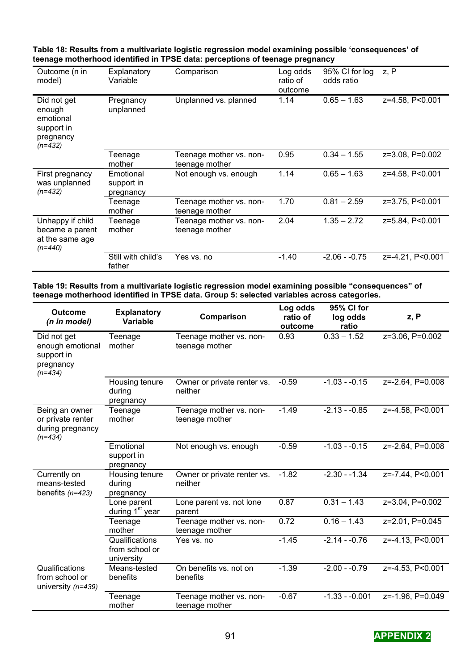**Table 18: Results from a multivariate logistic regression model examining possible 'consequences' of teenage motherhood identified in TPSE data: perceptions of teenage pregnancy** 

| Outcome (n in<br>model)                                                    | Explanatory<br>Variable              | Comparison                                | Log odds<br>ratio of<br>outcome | 95% CI for log<br>odds ratio | Z, P             |
|----------------------------------------------------------------------------|--------------------------------------|-------------------------------------------|---------------------------------|------------------------------|------------------|
| Did not get<br>enough<br>emotional<br>support in<br>pregnancy<br>$(n=432)$ | Pregnancy<br>unplanned               | Unplanned vs. planned                     | 1.14                            | $0.65 - 1.63$                | z=4.58, P<0.001  |
|                                                                            | Teenage<br>mother                    | Teenage mother vs. non-<br>teenage mother | 0.95                            | $0.34 - 1.55$                | z=3.08, P=0.002  |
| First pregnancy<br>was unplanned<br>$(n=432)$                              | Emotional<br>support in<br>pregnancy | Not enough vs. enough                     | 1.14                            | $0.65 - 1.63$                | z=4.58, P<0.001  |
|                                                                            | Teenage<br>mother                    | Teenage mother vs. non-<br>teenage mother | 1.70                            | $0.81 - 2.59$                | z=3.75, P<0.001  |
| Unhappy if child<br>became a parent<br>at the same age<br>$(n=440)$        | Teenage<br>mother                    | Teenage mother vs. non-<br>teenage mother | 2.04                            | $1.35 - 2.72$                | z=5.84, P<0.001  |
|                                                                            | Still with child's<br>father         | Yes vs. no                                | $-1.40$                         | $-2.06 - 0.75$               | z=-4.21, P<0.001 |

**Table 19: Results from a multivariate logistic regression model examining possible "consequences" of teenage motherhood identified in TPSE data. Group 5: selected variables across categories.** 

| <b>Outcome</b><br>(n in model)                                          | <b>Explanatory</b><br><b>Variable</b>          | Comparison                                | Log odds<br>ratio of<br>outcome | 95% CI for<br>log odds<br>ratio | z, P                  |
|-------------------------------------------------------------------------|------------------------------------------------|-------------------------------------------|---------------------------------|---------------------------------|-----------------------|
| Did not get<br>enough emotional<br>support in<br>pregnancy<br>$(n=434)$ | Teenage<br>mother                              | Teenage mother vs. non-<br>teenage mother | 0.93                            | $0.33 - 1.52$                   | z=3.06, P=0.002       |
|                                                                         | Housing tenure<br>during<br>pregnancy          | Owner or private renter vs.<br>neither    | $-0.59$                         | $-1.03 - 0.15$                  | $z=-2.64$ , $P=0.008$ |
| Being an owner<br>or private renter<br>during pregnancy<br>$(n=434)$    | Teenage<br>mother                              | Teenage mother vs. non-<br>teenage mother | $-1.49$                         | $-2.13 - -0.85$                 | z=-4.58, P<0.001      |
|                                                                         | Emotional<br>support in<br>pregnancy           | Not enough vs. enough                     | $-0.59$                         | $-1.03 - 0.15$                  | $z=-2.64$ , $P=0.008$ |
| Currently on<br>means-tested<br>benefits $(n=423)$                      | Housing tenure<br>during<br>pregnancy          | Owner or private renter vs.<br>neither    | $-1.82$                         | $-2.30 - 1.34$                  | z=-7.44, P<0.001      |
|                                                                         | Lone parent<br>during 1 <sup>st</sup> year     | Lone parent vs. not lone<br>parent        | 0.87                            | $0.31 - 1.43$                   | z=3.04, P=0.002       |
|                                                                         | Teenage<br>mother                              | Teenage mother vs. non-<br>teenage mother | 0.72                            | $0.16 - 1.\overline{43}$        | z=2.01, P=0.045       |
|                                                                         | Qualifications<br>from school or<br>university | Yes vs. no                                | $-1.45$                         | $-2.14 - 0.76$                  | z=-4.13, P<0.001      |
| Qualifications<br>from school or<br>university $(n=439)$                | Means-tested<br>benefits                       | On benefits vs. not on<br>benefits        | $-1.39$                         | $-2.00 - -0.79$                 | z=-4.53, P<0.001      |
|                                                                         | Teenage<br>mother                              | Teenage mother vs. non-<br>teenage mother | $-0.67$                         | $-1.33 - -0.001$                | z=-1.96, P=0.049      |

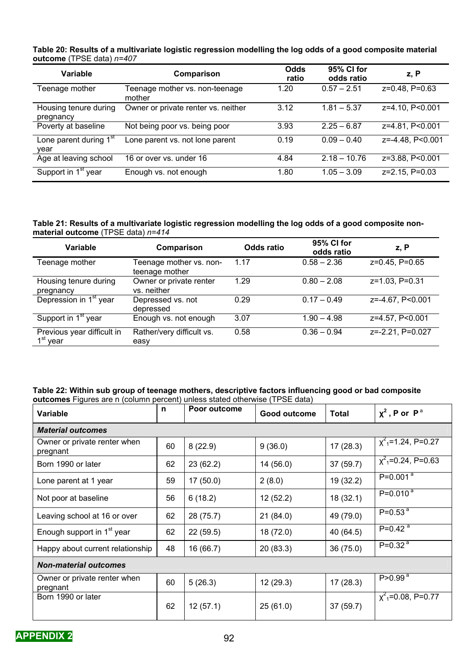**Table 20: Results of a multivariate logistic regression modelling the log odds of a good composite material outcome** (TPSE data) *n=407*

| Variable                                   | Comparison                               | <b>Odds</b><br>ratio | 95% CI for<br>odds ratio | z, P             |
|--------------------------------------------|------------------------------------------|----------------------|--------------------------|------------------|
| Teenage mother                             | Teenage mother vs. non-teenage<br>mother | 1.20                 | $0.57 - 2.51$            | z=0.48, P=0.63   |
| Housing tenure during<br>pregnancy         | Owner or private renter vs. neither      | 3.12                 | $1.81 - 5.37$            | z=4.10, P<0.001  |
| Poverty at baseline                        | Not being poor vs. being poor            | 3.93                 | $2.25 - 6.87$            | z=4.81, P<0.001  |
| Lone parent during 1 <sup>st</sup><br>year | Lone parent vs. not lone parent          | 0.19                 | $0.09 - 0.40$            | z=-4.48, P<0.001 |
| Age at leaving school                      | 16 or over vs. under 16                  | 4.84                 | $2.18 - 10.76$           | z=3.88, P<0.001  |
| Support in 1 <sup>st</sup> year            | Enough vs. not enough                    | 1.80                 | $1.05 - 3.09$            | z=2.15, P=0.03   |

#### **Table 21: Results of a multivariate logistic regression modelling the log odds of a good composite nonmaterial outcome** (TPSE data) *n=414*

| <b>Variable</b>                                    | Comparison                                | Odds ratio | 95% CI for<br>odds ratio | z, P             |
|----------------------------------------------------|-------------------------------------------|------------|--------------------------|------------------|
| Teenage mother                                     | Teenage mother vs. non-<br>teenage mother | 1.17       | $0.58 - 2.36$            | z=0.45, P=0.65   |
| Housing tenure during<br>pregnancy                 | Owner or private renter<br>vs. neither    | 1.29       | $0.80 - 2.08$            | z=1.03, P=0.31   |
| Depression in 1 <sup>st</sup> year                 | Depressed vs. not<br>depressed            | 0.29       | $0.17 - 0.49$            | z=-4.67, P<0.001 |
| Support in 1 <sup>st</sup> year                    | Enough vs. not enough                     | 3.07       | $1.90 - 4.98$            | z=4.57, P<0.001  |
| Previous year difficult in<br>1 <sup>st</sup> year | Rather/very difficult vs.<br>easy         | 0.58       | $0.36 - 0.94$            | z=-2.21, P=0.027 |

#### **Table 22: Within sub group of teenage mothers, descriptive factors influencing good or bad composite outcomes** Figures are n (column percent) unless stated otherwise (TPSE data)

| Variable                                 | n  | Poor outcome | Good outcome | <b>Total</b> | $\chi^2$ , P or P <sup>a</sup>      |  |  |
|------------------------------------------|----|--------------|--------------|--------------|-------------------------------------|--|--|
| <b>Material outcomes</b>                 |    |              |              |              |                                     |  |  |
| Owner or private renter when<br>pregnant | 60 | 8(22.9)      | 9(36.0)      | 17(28.3)     | $\chi^2$ <sub>1</sub> =1.24, P=0.27 |  |  |
| Born 1990 or later                       | 62 | 23(62.2)     | 14 (56.0)    | 37(59.7)     | $\chi^2$ <sub>1</sub> =0.24, P=0.63 |  |  |
| Lone parent at 1 year                    | 59 | 17(50.0)     | 2(8.0)       | 19 (32.2)    | $P = 0.001^a$                       |  |  |
| Not poor at baseline                     | 56 | 6(18.2)      | 12(52.2)     | 18(32.1)     | $P = 0.010a$                        |  |  |
| Leaving school at 16 or over             | 62 | 28 (75.7)    | 21(84.0)     | 49 (79.0)    | $P = 0.53^{a}$                      |  |  |
| Enough support in 1 <sup>st</sup> year   | 62 | 22(59.5)     | 18 (72.0)    | 40 (64.5)    | $P=0.42$ <sup>a</sup>               |  |  |
| Happy about current relationship         | 48 | 16 (66.7)    | 20(83.3)     | 36(75.0)     | $P = 0.32^{a}$                      |  |  |
| <b>Non-material outcomes</b>             |    |              |              |              |                                     |  |  |
| Owner or private renter when<br>pregnant | 60 | 5(26.3)      | 12(29.3)     | 17(28.3)     | P > 0.99 <sup>a</sup>               |  |  |
| Born 1990 or later                       | 62 | 12(57.1)     | 25(61.0)     | 37(59.7)     | $\chi^2$ <sub>1</sub> =0.08, P=0.77 |  |  |

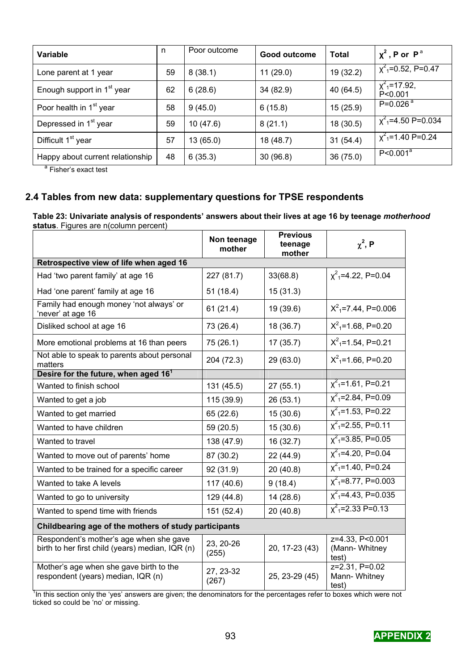| Variable                               | n  | Poor outcome | Good outcome | <b>Total</b> | $\chi^2$ , P or P <sup>a</sup>             |
|----------------------------------------|----|--------------|--------------|--------------|--------------------------------------------|
| Lone parent at 1 year                  | 59 | 8(38.1)      | 11(29.0)     | 19 (32.2)    | $\chi^2$ <sub>1</sub> =0.52, P=0.47        |
| Enough support in 1 <sup>st</sup> year | 62 | 6(28.6)      | 34 (82.9)    | 40 (64.5)    | $\chi^2$ <sub>1</sub> =17.92,<br>P < 0.001 |
| Poor health in 1 <sup>st</sup> year    | 58 | 9(45.0)      | 6(15.8)      | 15(25.9)     | $P=0.026$ <sup>a</sup>                     |
| Depressed in 1 <sup>st</sup> year      | 59 | 10(47.6)     | 8(21.1)      | 18 (30.5)    | $\chi^2$ <sub>1</sub> =4.50 P=0.034        |
| Difficult 1 <sup>st</sup> year         | 57 | 13(65.0)     | 18 (48.7)    | 31(54.4)     | $\chi^2$ <sub>1</sub> =1.40 P=0.24         |
| Happy about current relationship       | 48 | 6(35.3)      | 30(96.8)     | 36(75.0)     | P < 0.001 <sup>a</sup>                     |

<sup>a</sup> Fisher's exact test

## **2.4 Tables from new data: supplementary questions for TPSE respondents**

**Table 23: Univariate analysis of respondents' answers about their lives at age 16 by teenage** *motherhood* status. Figures are n(column percent)

|                                                                                             | Non teenage<br>mother | <b>Previous</b><br>teenage<br>mother | $\chi^2$ , P                              |  |  |  |
|---------------------------------------------------------------------------------------------|-----------------------|--------------------------------------|-------------------------------------------|--|--|--|
| Retrospective view of life when aged 16                                                     |                       |                                      |                                           |  |  |  |
| Had 'two parent family' at age 16                                                           | 227 (81.7)            | 33(68.8)                             | $x^2$ <sub>1</sub> =4.22, P=0.04          |  |  |  |
| Had 'one parent' family at age 16                                                           | 51(18.4)              | 15(31.3)                             |                                           |  |  |  |
| Family had enough money 'not always' or<br>'never' at age 16                                | 61(21.4)              | 19 (39.6)                            | $X^2$ <sub>1</sub> =7.44, P=0.006         |  |  |  |
| Disliked school at age 16                                                                   | 73 (26.4)             | 18 (36.7)                            | $X^2$ <sub>1</sub> =1.68, P=0.20          |  |  |  |
| More emotional problems at 16 than peers                                                    | 75 (26.1)             | 17(35.7)                             | $X^2$ <sub>1</sub> =1.54, P=0.21          |  |  |  |
| Not able to speak to parents about personal<br>matters                                      | 204 (72.3)            | 29 (63.0)                            | $X^2$ <sub>1</sub> =1.66, P=0.20          |  |  |  |
| Desire for the future, when aged 16 <sup>1</sup>                                            |                       |                                      |                                           |  |  |  |
| Wanted to finish school                                                                     | 131 (45.5)            | 27(55.1)                             | $\chi^2$ <sub>1</sub> =1.61, P=0.21       |  |  |  |
| Wanted to get a job                                                                         | 115 (39.9)            | 26(53.1)                             | $x^2$ <sub>1</sub> =2.84, P=0.09          |  |  |  |
| Wanted to get married                                                                       | 65 (22.6)             | 15(30.6)                             | $x^2$ <sub>1</sub> =1.53, P=0.22          |  |  |  |
| Wanted to have children                                                                     | 59 (20.5)             | 15(30.6)                             | $\chi^2$ <sub>1</sub> =2.55, P=0.11       |  |  |  |
| Wanted to travel                                                                            | 138 (47.9)            | 16 (32.7)                            | $\chi^2$ <sub>1</sub> =3.85, P=0.05       |  |  |  |
| Wanted to move out of parents' home                                                         | 87 (30.2)             | 22 (44.9)                            | $\chi^2$ <sub>1</sub> =4.20, P=0.04       |  |  |  |
| Wanted to be trained for a specific career                                                  | 92 (31.9)             | 20(40.8)                             | $\chi^2$ <sub>1</sub> =1.40, P=0.24       |  |  |  |
| Wanted to take A levels                                                                     | 117 (40.6)            | 9(18.4)                              | $\chi^2$ <sub>1</sub> =8.77, P=0.003      |  |  |  |
| Wanted to go to university                                                                  | 129 (44.8)            | 14(28.6)                             | $\chi^2$ <sub>1</sub> =4.43, P=0.035      |  |  |  |
| Wanted to spend time with friends                                                           | 151 (52.4)            | 20(40.8)                             | $\chi^{2}$ <sub>1</sub> =2.33 P=0.13      |  |  |  |
| Childbearing age of the mothers of study participants                                       |                       |                                      |                                           |  |  |  |
| Respondent's mother's age when she gave<br>birth to her first child (years) median, IQR (n) | 23, 20-26<br>(255)    | 20, 17-23 (43)                       | z=4.33, P<0.001<br>(Mann-Whitney<br>test) |  |  |  |
| Mother's age when she gave birth to the<br>respondent (years) median, IQR (n)               | 27, 23-32<br>(267)    | 25, 23-29 (45)                       | $z=2.31, P=0.02$<br>Mann-Whitney<br>test) |  |  |  |

 $\frac{1}{10}$  test)<br> $\frac{1}{10}$  this section only the 'yes' answers are given; the denominators for the percentages refer to boxes which were not ticked so could be 'no' or missing.

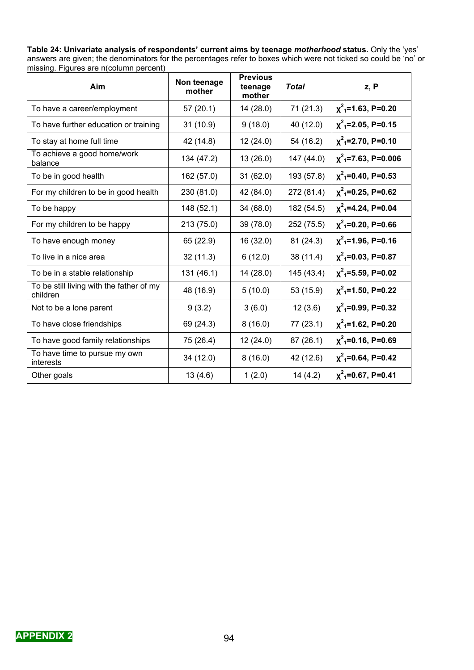**Table 24: Univariate analysis of respondents' current aims by teenage** *motherhood* **status.** Only the 'yes' answers are given; the denominators for the percentages refer to boxes which were not ticked so could be 'no' or missing. Figures are n(column percent)

| Aim                                                  | Non teenage<br>mother | <b>Previous</b><br>teenage<br>mother | <b>Total</b> | z, P                                 |
|------------------------------------------------------|-----------------------|--------------------------------------|--------------|--------------------------------------|
| To have a career/employment                          | 57(20.1)              | 14 (28.0)                            | 71 (21.3)    | $\chi^2$ <sub>1</sub> =1.63, P=0.20  |
| To have further education or training                | 31(10.9)              | 9(18.0)                              | 40 (12.0)    | $\chi^2$ <sub>1</sub> =2.05, P=0.15  |
| To stay at home full time                            | 42 (14.8)             | 12(24.0)                             | 54 (16.2)    | $x^2$ <sub>1</sub> =2.70, P=0.10     |
| To achieve a good home/work<br>balance               | 134 (47.2)            | 13(26.0)                             | 147 (44.0)   | $\chi^2$ <sub>1</sub> =7.63, P=0.006 |
| To be in good health                                 | 162 (57.0)            | 31(62.0)                             | 193 (57.8)   | $\chi^2$ <sub>1</sub> =0.40, P=0.53  |
| For my children to be in good health                 | 230 (81.0)            | 42 (84.0)                            | 272 (81.4)   | $\chi^2$ <sub>1</sub> =0.25, P=0.62  |
| To be happy                                          | 148 (52.1)            | 34 (68.0)                            | 182 (54.5)   | $x^2$ <sub>1</sub> =4.24, P=0.04     |
| For my children to be happy                          | 213 (75.0)            | 39 (78.0)                            | 252 (75.5)   | $\chi^2$ <sub>1</sub> =0.20, P=0.66  |
| To have enough money                                 | 65 (22.9)             | 16(32.0)                             | 81(24.3)     | $x^2$ <sub>1</sub> =1.96, P=0.16     |
| To live in a nice area                               | 32(11.3)              | 6(12.0)                              | 38(11.4)     | $\chi^2$ <sub>1</sub> =0.03, P=0.87  |
| To be in a stable relationship                       | 131 (46.1)            | 14(28.0)                             | 145 (43.4)   | $x^2$ <sub>1</sub> =5.59, P=0.02     |
| To be still living with the father of my<br>children | 48 (16.9)             | 5(10.0)                              | 53 (15.9)    | $x^2$ <sub>1</sub> =1.50, P=0.22     |
| Not to be a lone parent                              | 9(3.2)                | 3(6.0)                               | 12(3.6)      | $x^2$ <sub>1</sub> =0.99, P=0.32     |
| To have close friendships                            | 69 (24.3)             | 8(16.0)                              | 77 (23.1)    | $\chi^2$ <sub>1</sub> =1.62, P=0.20  |
| To have good family relationships                    | 75 (26.4)             | 12(24.0)                             | 87(26.1)     | $x^2$ <sub>1</sub> =0.16, P=0.69     |
| To have time to pursue my own<br>interests           | 34 (12.0)             | 8(16.0)                              | 42 (12.6)    | $\chi^2$ <sub>1</sub> =0.64, P=0.42  |
| Other goals                                          | 13(4.6)               | 1(2.0)                               | 14(4.2)      | $x^2$ <sub>1</sub> =0.67, P=0.41     |

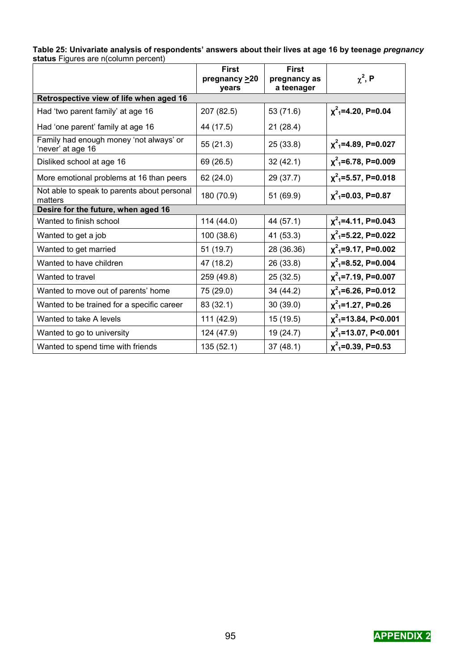| $s$ ialus Figures are hjoolumin percent)                     |                                         |                                            |                                       |  |  |  |
|--------------------------------------------------------------|-----------------------------------------|--------------------------------------------|---------------------------------------|--|--|--|
|                                                              | <b>First</b><br>pregnancy > 20<br>years | <b>First</b><br>pregnancy as<br>a teenager | $\chi^2$ , P                          |  |  |  |
| Retrospective view of life when aged 16                      |                                         |                                            |                                       |  |  |  |
| Had 'two parent family' at age 16                            | 207 (82.5)                              | 53 (71.6)                                  | $\chi^2$ <sub>1</sub> =4.20, P=0.04   |  |  |  |
| Had 'one parent' family at age 16                            | 44 (17.5)                               | 21(28.4)                                   |                                       |  |  |  |
| Family had enough money 'not always' or<br>'never' at age 16 | 55 (21.3)                               | 25(33.8)                                   | $\chi^2$ <sub>1</sub> =4.89, P=0.027  |  |  |  |
| Disliked school at age 16                                    | 69 (26.5)                               | 32(42.1)                                   | $\chi^2$ <sub>1</sub> =6.78, P=0.009  |  |  |  |
| More emotional problems at 16 than peers                     | 62 (24.0)                               | 29 (37.7)                                  | $\chi^2$ <sub>1</sub> =5.57, P=0.018  |  |  |  |
| Not able to speak to parents about personal<br>matters       | 180 (70.9)                              | 51 (69.9)                                  | $\chi^2$ <sub>1</sub> =0.03, P=0.87   |  |  |  |
| Desire for the future, when aged 16                          |                                         |                                            |                                       |  |  |  |
| Wanted to finish school                                      | 114 (44.0)                              | 44 (57.1)                                  | $\chi^2$ <sub>1</sub> =4.11, P=0.043  |  |  |  |
| Wanted to get a job                                          | 100 (38.6)                              | 41 (53.3)                                  | $\chi^2$ <sub>1</sub> =5.22, P=0.022  |  |  |  |
| Wanted to get married                                        | 51 (19.7)                               | 28 (36.36)                                 | $\chi^2$ <sub>1</sub> =9.17, P=0.002  |  |  |  |
| Wanted to have children                                      | 47 (18.2)                               | 26 (33.8)                                  | $\chi^2$ <sub>1</sub> =8.52, P=0.004  |  |  |  |
| Wanted to travel                                             | 259 (49.8)                              | 25(32.5)                                   | $\chi^2$ <sub>1</sub> =7.19, P=0.007  |  |  |  |
| Wanted to move out of parents' home                          | 75 (29.0)                               | 34 (44.2)                                  | $\chi^2$ <sub>1</sub> =6.26, P=0.012  |  |  |  |
| Wanted to be trained for a specific career                   | 83 (32.1)                               | 30(39.0)                                   | $\chi^2$ <sub>1</sub> =1.27, P=0.26   |  |  |  |
| Wanted to take A levels                                      | 111 (42.9)                              | 15 (19.5)                                  | $\chi^2$ <sub>1</sub> =13.84, P<0.001 |  |  |  |
| Wanted to go to university                                   | 124 (47.9)                              | 19(24.7)                                   | $\chi^2$ <sub>1</sub> =13.07, P<0.001 |  |  |  |
| Wanted to spend time with friends                            | 135 (52.1)                              | 37(48.1)                                   | $\chi^2$ <sub>1</sub> =0.39, P=0.53   |  |  |  |

**Table 25: Univariate analysis of respondents' answers about their lives at age 16 by teenage** *pregnancy* **status** Figures are n(column percent)